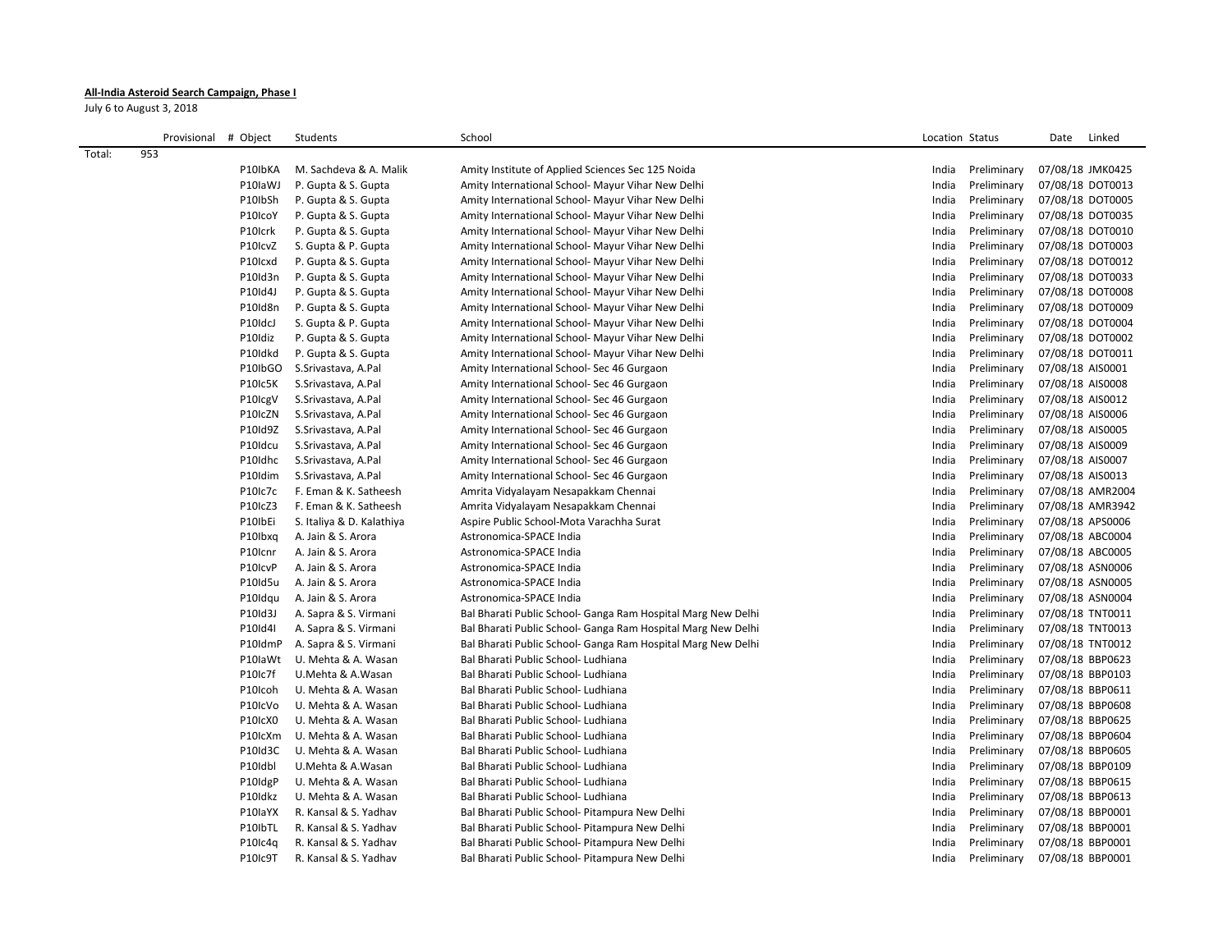## **All-India Asteroid Search Campaign, Phase I**

July 6 to August 3, 2018

|        | Provisional # Object |                                 | Students                                   | School                                                       | Location Status |                            | Date             | Linked           |
|--------|----------------------|---------------------------------|--------------------------------------------|--------------------------------------------------------------|-----------------|----------------------------|------------------|------------------|
| Total: | 953                  |                                 |                                            |                                                              |                 |                            |                  |                  |
|        |                      | P10IbKA                         | M. Sachdeva & A. Malik                     | Amity Institute of Applied Sciences Sec 125 Noida            | India           | Preliminary                | 07/08/18 JMK0425 |                  |
|        |                      | P10laWJ                         | P. Gupta & S. Gupta                        | Amity International School- Mayur Vihar New Delhi            | India           | Preliminary                | 07/08/18 DOT0013 |                  |
|        |                      | P10IbSh                         | P. Gupta & S. Gupta                        | Amity International School- Mayur Vihar New Delhi            | India           | Preliminary                | 07/08/18 DOT0005 |                  |
|        |                      | P10IcoY                         | P. Gupta & S. Gupta                        | Amity International School- Mayur Vihar New Delhi            | India           | Preliminary                | 07/08/18 DOT0035 |                  |
|        |                      | P10Icrk                         | P. Gupta & S. Gupta                        | Amity International School- Mayur Vihar New Delhi            | India           | Preliminary                | 07/08/18 DOT0010 |                  |
|        |                      | P10IcvZ                         | S. Gupta & P. Gupta                        | Amity International School- Mayur Vihar New Delhi            | India           | Preliminary                | 07/08/18 DOT0003 |                  |
|        |                      | P10Icxd                         | P. Gupta & S. Gupta                        | Amity International School- Mayur Vihar New Delhi            | India           | Preliminary                | 07/08/18 DOT0012 |                  |
|        |                      | P10Id3n                         | P. Gupta & S. Gupta                        | Amity International School- Mayur Vihar New Delhi            | India           | Preliminary                | 07/08/18 DOT0033 |                  |
|        |                      | P10Id4J                         | P. Gupta & S. Gupta                        | Amity International School- Mayur Vihar New Delhi            | India           | Preliminary                | 07/08/18 DOT0008 |                  |
|        |                      | P10Id8n                         | P. Gupta & S. Gupta                        | Amity International School- Mayur Vihar New Delhi            | India           | Preliminary                | 07/08/18 DOT0009 |                  |
|        |                      | P10IdcJ                         | S. Gupta & P. Gupta                        | Amity International School- Mayur Vihar New Delhi            | India           | Preliminary                | 07/08/18 DOT0004 |                  |
|        |                      | P10Idiz                         | P. Gupta & S. Gupta                        | Amity International School- Mayur Vihar New Delhi            | India           | Preliminary                | 07/08/18 DOT0002 |                  |
|        |                      | P10Idkd                         | P. Gupta & S. Gupta                        | Amity International School- Mayur Vihar New Delhi            | India           | Preliminary                | 07/08/18 DOT0011 |                  |
|        |                      | P10IbGO                         | S.Srivastava, A.Pal                        | Amity International School- Sec 46 Gurgaon                   | India           | Preliminary                | 07/08/18 AIS0001 |                  |
|        |                      | P10Ic5K                         | S.Srivastava, A.Pal                        | Amity International School- Sec 46 Gurgaon                   | India           | Preliminary                | 07/08/18 AIS0008 |                  |
|        |                      |                                 |                                            |                                                              | India           | Preliminary                | 07/08/18 AIS0012 |                  |
|        |                      | P10 <sub>lcg</sub> V<br>P10IcZN | S.Srivastava, A.Pal<br>S.Srivastava, A.Pal | Amity International School- Sec 46 Gurgaon                   |                 | Preliminary                | 07/08/18 AIS0006 |                  |
|        |                      | P10Id9Z                         |                                            | Amity International School- Sec 46 Gurgaon                   | India           |                            |                  |                  |
|        |                      | P10Idcu                         | S.Srivastava, A.Pal                        | Amity International School- Sec 46 Gurgaon                   | India<br>India  | Preliminary<br>Preliminary | 07/08/18 AIS0005 |                  |
|        |                      |                                 | S.Srivastava, A.Pal                        | Amity International School- Sec 46 Gurgaon                   |                 |                            | 07/08/18 AIS0009 |                  |
|        |                      | P10Idhc                         | S.Srivastava, A.Pal                        | Amity International School- Sec 46 Gurgaon                   | India           | Preliminary                | 07/08/18 AIS0007 |                  |
|        |                      | P10Idim                         | S.Srivastava, A.Pal                        | Amity International School- Sec 46 Gurgaon                   | India           | Preliminary                | 07/08/18 AIS0013 |                  |
|        |                      | P10Ic7c                         | F. Eman & K. Satheesh                      | Amrita Vidyalayam Nesapakkam Chennai                         | India           | Preliminary                |                  | 07/08/18 AMR2004 |
|        |                      | P10IcZ3                         | F. Eman & K. Satheesh                      | Amrita Vidyalayam Nesapakkam Chennai                         | India           | Preliminary                |                  | 07/08/18 AMR3942 |
|        |                      | P10IbEi                         | S. Italiya & D. Kalathiya                  | Aspire Public School-Mota Varachha Surat                     | India           | Preliminary                | 07/08/18 APS0006 |                  |
|        |                      | P10lbxq                         | A. Jain & S. Arora                         | Astronomica-SPACE India                                      | India           | Preliminary                | 07/08/18 ABC0004 |                  |
|        |                      | P10Icnr                         | A. Jain & S. Arora                         | Astronomica-SPACE India                                      | India           | Preliminary                | 07/08/18 ABC0005 |                  |
|        |                      | P10IcvP                         | A. Jain & S. Arora                         | Astronomica-SPACE India                                      | India           | Preliminary                | 07/08/18 ASN0006 |                  |
|        |                      | P10Id5u                         | A. Jain & S. Arora                         | Astronomica-SPACE India                                      | India           | Preliminary                | 07/08/18 ASN0005 |                  |
|        |                      | P10Idqu                         | A. Jain & S. Arora                         | Astronomica-SPACE India                                      | India           | Preliminary                | 07/08/18 ASN0004 |                  |
|        |                      | P10Id3J                         | A. Sapra & S. Virmani                      | Bal Bharati Public School- Ganga Ram Hospital Marg New Delhi | India           | Preliminary                | 07/08/18 TNT0011 |                  |
|        |                      | P10Id4I                         | A. Sapra & S. Virmani                      | Bal Bharati Public School- Ganga Ram Hospital Marg New Delhi | India           | Preliminary                | 07/08/18 TNT0013 |                  |
|        |                      | P10IdmP                         | A. Sapra & S. Virmani                      | Bal Bharati Public School- Ganga Ram Hospital Marg New Delhi | India           | Preliminary                | 07/08/18 TNT0012 |                  |
|        |                      | P10laWt                         | U. Mehta & A. Wasan                        | Bal Bharati Public School- Ludhiana                          | India           | Preliminary                | 07/08/18 BBP0623 |                  |
|        |                      | P10Ic7f                         | U.Mehta & A.Wasan                          | Bal Bharati Public School- Ludhiana                          | India           | Preliminary                | 07/08/18 BBP0103 |                  |
|        |                      | P10Icoh                         | U. Mehta & A. Wasan                        | Bal Bharati Public School- Ludhiana                          | India           | Preliminary                | 07/08/18 BBP0611 |                  |
|        |                      | P10IcVo                         | U. Mehta & A. Wasan                        | Bal Bharati Public School- Ludhiana                          | India           | Preliminary                | 07/08/18 BBP0608 |                  |
|        |                      | P10IcX0                         | U. Mehta & A. Wasan                        | Bal Bharati Public School- Ludhiana                          | India           | Preliminary                | 07/08/18 BBP0625 |                  |
|        |                      | P10IcXm                         | U. Mehta & A. Wasan                        | Bal Bharati Public School- Ludhiana                          | India           | Preliminary                | 07/08/18 BBP0604 |                  |
|        |                      | P10Id3C                         | U. Mehta & A. Wasan                        | Bal Bharati Public School- Ludhiana                          | India           | Preliminary                | 07/08/18 BBP0605 |                  |
|        |                      | P10Idbl                         | U.Mehta & A.Wasan                          | Bal Bharati Public School- Ludhiana                          | India           | Preliminary                | 07/08/18 BBP0109 |                  |
|        |                      | P10IdgP                         | U. Mehta & A. Wasan                        | Bal Bharati Public School- Ludhiana                          | India           | Preliminary                | 07/08/18 BBP0615 |                  |
|        |                      | P10Idkz                         | U. Mehta & A. Wasan                        | Bal Bharati Public School- Ludhiana                          | India           | Preliminary                | 07/08/18 BBP0613 |                  |
|        |                      | P10laYX                         | R. Kansal & S. Yadhav                      | Bal Bharati Public School- Pitampura New Delhi               | India           | Preliminary                | 07/08/18 BBP0001 |                  |
|        |                      | P10IbTL                         | R. Kansal & S. Yadhav                      | Bal Bharati Public School- Pitampura New Delhi               | India           | Preliminary                | 07/08/18 BBP0001 |                  |
|        |                      | P10Ic4a                         | R. Kansal & S. Yadhav                      | Bal Bharati Public School- Pitampura New Delhi               | India           | Preliminary                | 07/08/18 BBP0001 |                  |
|        |                      | P10Ic9T                         | R. Kansal & S. Yadhav                      | Bal Bharati Public School- Pitampura New Delhi               | India           | Preliminary                | 07/08/18 BBP0001 |                  |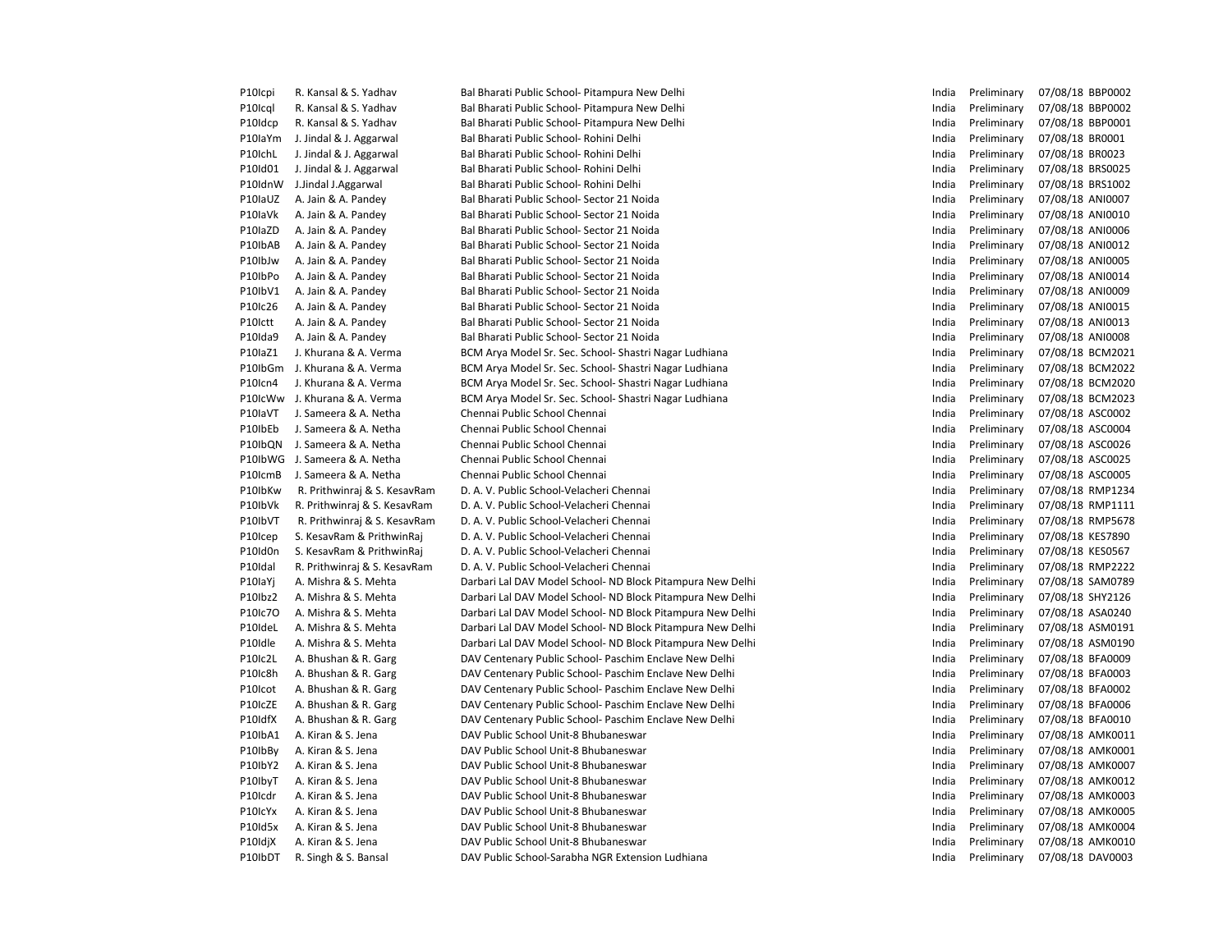| P10Icpi | R. Kansal & S. Yadhav         | Bal Bharati Public School- Pitampura New Delhi             | India | Preliminary | 07/08/18 BBP0002 |
|---------|-------------------------------|------------------------------------------------------------|-------|-------------|------------------|
| P10Icql | R. Kansal & S. Yadhav         | Bal Bharati Public School- Pitampura New Delhi             | India | Preliminary | 07/08/18 BBP0002 |
| P10Idcp | R. Kansal & S. Yadhav         | Bal Bharati Public School- Pitampura New Delhi             | India | Preliminary | 07/08/18 BBP0001 |
| P10IaYm | J. Jindal & J. Aggarwal       | Bal Bharati Public School- Rohini Delhi                    | India | Preliminary | 07/08/18 BR0001  |
| P10IchL | J. Jindal & J. Aggarwal       | Bal Bharati Public School- Rohini Delhi                    | India | Preliminary | 07/08/18 BR0023  |
| P10Id01 | J. Jindal & J. Aggarwal       | Bal Bharati Public School- Rohini Delhi                    | India | Preliminary | 07/08/18 BRS0025 |
| P10IdnW | J.Jindal J.Aggarwal           | Bal Bharati Public School- Rohini Delhi                    | India | Preliminary | 07/08/18 BRS1002 |
| P10IaUZ | A. Jain & A. Pandey           | Bal Bharati Public School- Sector 21 Noida                 | India | Preliminary | 07/08/18 ANI0007 |
| P10laVk | A. Jain & A. Pandey           | Bal Bharati Public School- Sector 21 Noida                 | India | Preliminary | 07/08/18 ANI0010 |
| P10laZD | A. Jain & A. Pandey           | Bal Bharati Public School- Sector 21 Noida                 | India | Preliminary | 07/08/18 ANI0006 |
| P10IbAB | A. Jain & A. Pandey           | Bal Bharati Public School- Sector 21 Noida                 | India | Preliminary | 07/08/18 ANI0012 |
| P10IbJw | A. Jain & A. Pandey           | Bal Bharati Public School- Sector 21 Noida                 | India | Preliminary | 07/08/18 ANI0005 |
| P10IbPo | A. Jain & A. Pandey           | Bal Bharati Public School- Sector 21 Noida                 | India | Preliminary | 07/08/18 ANI0014 |
| P10IbV1 | A. Jain & A. Pandey           | Bal Bharati Public School- Sector 21 Noida                 | India | Preliminary | 07/08/18 ANI0009 |
| P10Ic26 | A. Jain & A. Pandey           | Bal Bharati Public School- Sector 21 Noida                 | India | Preliminary | 07/08/18 ANI0015 |
| P10Ictt | A. Jain & A. Pandey           | Bal Bharati Public School- Sector 21 Noida                 | India | Preliminary | 07/08/18 ANI0013 |
| P10Ida9 | A. Jain & A. Pandey           | Bal Bharati Public School- Sector 21 Noida                 | India | Preliminary | 07/08/18 ANI0008 |
| P10IaZ1 | J. Khurana & A. Verma         | BCM Arya Model Sr. Sec. School- Shastri Nagar Ludhiana     | India | Preliminary | 07/08/18 BCM2021 |
| P10IbGm | J. Khurana & A. Verma         | BCM Arya Model Sr. Sec. School- Shastri Nagar Ludhiana     | India | Preliminary | 07/08/18 BCM2022 |
| P10Icn4 | J. Khurana & A. Verma         | BCM Arya Model Sr. Sec. School- Shastri Nagar Ludhiana     | India | Preliminary | 07/08/18 BCM2020 |
|         | P10IcWw J. Khurana & A. Verma | BCM Arya Model Sr. Sec. School- Shastri Nagar Ludhiana     | India | Preliminary | 07/08/18 BCM2023 |
| P10laVT | J. Sameera & A. Netha         | Chennai Public School Chennai                              | India | Preliminary | 07/08/18 ASC0002 |
| P10IbEb | J. Sameera & A. Netha         | Chennai Public School Chennai                              | India | Preliminary | 07/08/18 ASC0004 |
| P10IbQN | J. Sameera & A. Netha         | Chennai Public School Chennai                              | India | Preliminary | 07/08/18 ASC0026 |
| P10IbWG | J. Sameera & A. Netha         | Chennai Public School Chennai                              | India | Preliminary | 07/08/18 ASC0025 |
| P10IcmB | J. Sameera & A. Netha         | Chennai Public School Chennai                              | India | Preliminary | 07/08/18 ASC0005 |
| P10IbKw | R. Prithwinraj & S. KesavRam  | D. A. V. Public School-Velacheri Chennai                   | India | Preliminary | 07/08/18 RMP1234 |
| P10IbVk | R. Prithwinraj & S. KesavRam  | D. A. V. Public School-Velacheri Chennai                   | India | Preliminary | 07/08/18 RMP1111 |
| P10IbVT | R. Prithwinraj & S. KesavRam  | D. A. V. Public School-Velacheri Chennai                   | India | Preliminary | 07/08/18 RMP5678 |
| P10Icep | S. KesavRam & PrithwinRaj     | D. A. V. Public School-Velacheri Chennai                   | India | Preliminary | 07/08/18 KES7890 |
| P10Id0n | S. KesavRam & PrithwinRaj     | D. A. V. Public School-Velacheri Chennai                   | India | Preliminary | 07/08/18 KES0567 |
| P10Idal | R. Prithwinraj & S. KesavRam  | D. A. V. Public School-Velacheri Chennai                   | India | Preliminary | 07/08/18 RMP2222 |
| P10laYj | A. Mishra & S. Mehta          | Darbari Lal DAV Model School- ND Block Pitampura New Delhi | India | Preliminary | 07/08/18 SAM0789 |
| P10lbz2 | A. Mishra & S. Mehta          | Darbari Lal DAV Model School- ND Block Pitampura New Delhi | India | Preliminary | 07/08/18 SHY2126 |
| P10Ic7O | A. Mishra & S. Mehta          | Darbari Lal DAV Model School- ND Block Pitampura New Delhi | India | Preliminary | 07/08/18 ASA0240 |
| P10IdeL | A. Mishra & S. Mehta          | Darbari Lal DAV Model School- ND Block Pitampura New Delhi | India | Preliminary | 07/08/18 ASM0191 |
| P10Idle | A. Mishra & S. Mehta          | Darbari Lal DAV Model School- ND Block Pitampura New Delhi | India | Preliminary | 07/08/18 ASM0190 |
| P10Ic2L | A. Bhushan & R. Garg          | DAV Centenary Public School- Paschim Enclave New Delhi     | India | Preliminary | 07/08/18 BFA0009 |
| P10Ic8h | A. Bhushan & R. Garg          | DAV Centenary Public School- Paschim Enclave New Delhi     | India | Preliminary | 07/08/18 BFA0003 |
| P10Icot | A. Bhushan & R. Garg          | DAV Centenary Public School- Paschim Enclave New Delhi     | India | Preliminary | 07/08/18 BFA0002 |
| P10IcZE | A. Bhushan & R. Garg          | DAV Centenary Public School- Paschim Enclave New Delhi     | India | Preliminary | 07/08/18 BFA0006 |
| P10IdfX | A. Bhushan & R. Garg          | DAV Centenary Public School- Paschim Enclave New Delhi     | India | Preliminary | 07/08/18 BFA0010 |
| P10IbA1 | A. Kiran & S. Jena            | DAV Public School Unit-8 Bhubaneswar                       | India | Preliminary | 07/08/18 AMK0011 |
| P10IbBy | A. Kiran & S. Jena            | DAV Public School Unit-8 Bhubaneswar                       | India | Preliminary | 07/08/18 AMK0001 |
| P10IbY2 | A. Kiran & S. Jena            | DAV Public School Unit-8 Bhubaneswar                       | India | Preliminary | 07/08/18 AMK0007 |
| P10lbyT | A. Kiran & S. Jena            | DAV Public School Unit-8 Bhubaneswar                       | India | Preliminary | 07/08/18 AMK0012 |
| P10Icdr | A. Kiran & S. Jena            | DAV Public School Unit-8 Bhubaneswar                       | India | Preliminary | 07/08/18 AMK0003 |
| P10IcYx | A. Kiran & S. Jena            | DAV Public School Unit-8 Bhubaneswar                       | India | Preliminary | 07/08/18 AMK0005 |
| P10Id5x | A. Kiran & S. Jena            | DAV Public School Unit-8 Bhubaneswar                       | India | Preliminary | 07/08/18 AMK0004 |
| P10IdjX | A. Kiran & S. Jena            | DAV Public School Unit-8 Bhubaneswar                       | India | Preliminary | 07/08/18 AMK0010 |
| P10IbDT | R. Singh & S. Bansal          | DAV Public School-Sarabha NGR Extension Ludhiana           | India | Preliminary | 07/08/18 DAV0003 |
|         |                               |                                                            |       |             |                  |

| India | Preliminary | 07/08/18 | <b>BBP0002</b> |
|-------|-------------|----------|----------------|
| India | Preliminary | 07/08/18 | <b>BBP0002</b> |
| India | Preliminary | 07/08/18 | BBP0001        |
| India | Preliminary | 07/08/18 | BR0001         |
| India | Preliminary | 07/08/18 | BR0023         |
| India | Preliminary | 07/08/18 | <b>BRS0025</b> |
| India | Preliminary | 07/08/18 | <b>BRS1002</b> |
| India | Preliminary | 07/08/18 | ANI0007        |
| India | Preliminary | 07/08/18 | ANI0010        |
| India | Preliminary | 07/08/18 | ANI0006        |
| India | Preliminary | 07/08/18 | ANI0012        |
| India | Preliminary | 07/08/18 | ANI0005        |
| India | Preliminary | 07/08/18 | ANI0014        |
| India | Preliminary | 07/08/18 | ANI0009        |
| India | Preliminary | 07/08/18 | ANI0015        |
| India | Preliminary | 07/08/18 | ANI0013        |
| India | Preliminary | 07/08/18 | ANI0008        |
| India | Preliminary | 07/08/18 | <b>BCM2021</b> |
| India | Preliminary | 07/08/18 | <b>BCM2022</b> |
| India | Preliminary | 07/08/18 | <b>BCM2020</b> |
| India | Preliminary | 07/08/18 | <b>BCM2023</b> |
| India | Preliminary | 07/08/18 | ASC0002        |
| India | Preliminary | 07/08/18 | ASC0004        |
| India | Preliminary | 07/08/18 | ASC0026        |
| India | Preliminary | 07/08/18 | ASC0025        |
| India | Preliminary | 07/08/18 | ASC0005        |
| India | Preliminary | 07/08/18 | <b>RMP1234</b> |
| India | Preliminary | 07/08/18 | RMP1111        |
| India | Preliminary | 07/08/18 | <b>RMP5678</b> |
| India | Preliminary | 07/08/18 | <b>KES7890</b> |
| India | Preliminary | 07/08/18 | <b>KES0567</b> |
| India | Preliminary | 07/08/18 | <b>RMP2222</b> |
| India | Preliminary | 07/08/18 | SAM0789        |
| India | Preliminary | 07/08/18 | SHY2126        |
| India | Preliminary | 07/08/18 | ASA0240        |
| India | Preliminary | 07/08/18 | ASM0191        |
| India | Preliminary | 07/08/18 | ASM0190        |
| India | Preliminary | 07/08/18 | <b>BFA0009</b> |
| India | Preliminary | 07/08/18 | <b>BFA0003</b> |
| India | Preliminary | 07/08/18 | <b>BFA0002</b> |
| India | Preliminary | 07/08/18 | <b>BFA0006</b> |
| India | Preliminary | 07/08/18 | <b>BFA0010</b> |
| India | Preliminary | 07/08/18 | AMK0011        |
| India | Preliminary | 07/08/18 | AMK0001        |
| India | Preliminary | 07/08/18 | AMK0007        |
| India | Preliminary | 07/08/18 | AMK0012        |
| India | Preliminary | 07/08/18 | AMK0003        |
| India | Preliminary | 07/08/18 | AMK0005        |
| India | Preliminary | 07/08/18 | AMK0004        |
| India | Preliminary | 07/08/18 | AMK0010        |
| India | Preliminary | 07/08/18 | DAV0003        |
|       |             |          |                |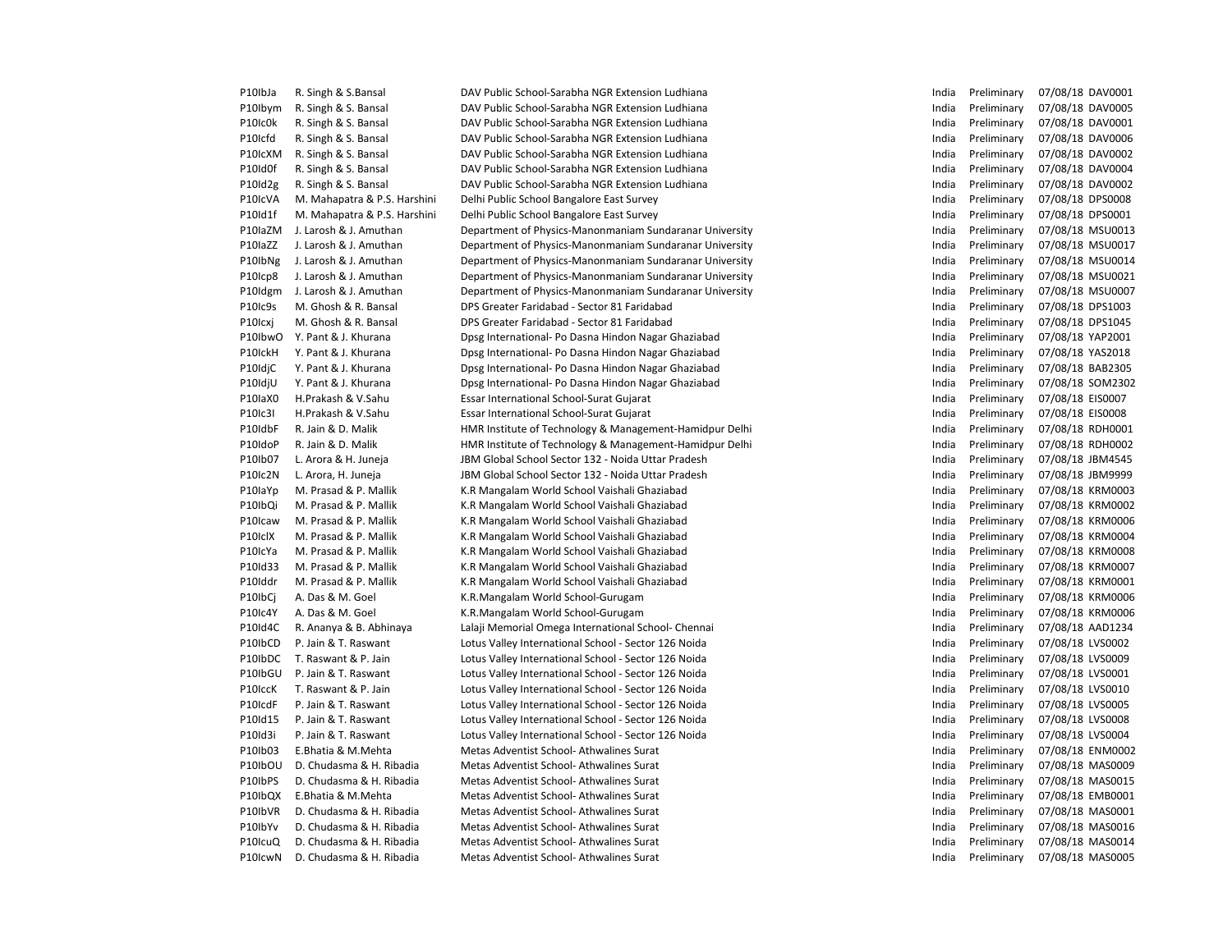| P10IbJa | R. Singh & S.Bansal          | DAV Public School-Sarabha NGR Extension Ludhiana        | India | Preliminary | 07/08/18 DAV0001 |
|---------|------------------------------|---------------------------------------------------------|-------|-------------|------------------|
| P10Ibym | R. Singh & S. Bansal         | DAV Public School-Sarabha NGR Extension Ludhiana        | India | Preliminary | 07/08/18 DAV0005 |
| P10Ic0k | R. Singh & S. Bansal         | DAV Public School-Sarabha NGR Extension Ludhiana        | India | Preliminary | 07/08/18 DAV0001 |
| P10Icfd | R. Singh & S. Bansal         | DAV Public School-Sarabha NGR Extension Ludhiana        | India | Preliminary | 07/08/18 DAV0006 |
| P10IcXM | R. Singh & S. Bansal         | DAV Public School-Sarabha NGR Extension Ludhiana        | India | Preliminary | 07/08/18 DAV0002 |
| P10Id0f | R. Singh & S. Bansal         | DAV Public School-Sarabha NGR Extension Ludhiana        | India | Preliminary | 07/08/18 DAV0004 |
| P10Id2g | R. Singh & S. Bansal         | DAV Public School-Sarabha NGR Extension Ludhiana        | India | Preliminary | 07/08/18 DAV0002 |
| P10IcVA | M. Mahapatra & P.S. Harshini | Delhi Public School Bangalore East Survey               | India | Preliminary | 07/08/18 DPS0008 |
| P10Id1f | M. Mahapatra & P.S. Harshini | Delhi Public School Bangalore East Survey               | India | Preliminary | 07/08/18 DPS0001 |
| P10IaZM | J. Larosh & J. Amuthan       | Department of Physics-Manonmaniam Sundaranar University | India | Preliminary | 07/08/18 MSU0013 |
| P10laZZ | J. Larosh & J. Amuthan       | Department of Physics-Manonmaniam Sundaranar University | India | Preliminary | 07/08/18 MSU0017 |
| P10IbNg | J. Larosh & J. Amuthan       | Department of Physics-Manonmaniam Sundaranar University | India | Preliminary | 07/08/18 MSU0014 |
| P10Icp8 | J. Larosh & J. Amuthan       | Department of Physics-Manonmaniam Sundaranar University | India | Preliminary | 07/08/18 MSU0021 |
| P10Idgm | J. Larosh & J. Amuthan       | Department of Physics-Manonmaniam Sundaranar University | India | Preliminary | 07/08/18 MSU0007 |
| P10Ic9s | M. Ghosh & R. Bansal         | DPS Greater Faridabad - Sector 81 Faridabad             | India | Preliminary | 07/08/18 DPS1003 |
| P10Icxj | M. Ghosh & R. Bansal         | DPS Greater Faridabad - Sector 81 Faridabad             | India | Preliminary | 07/08/18 DPS1045 |
| P10IbwO | Y. Pant & J. Khurana         | Dpsg International- Po Dasna Hindon Nagar Ghaziabad     | India | Preliminary | 07/08/18 YAP2001 |
| P10IckH | Y. Pant & J. Khurana         | Dpsg International- Po Dasna Hindon Nagar Ghaziabad     | India | Preliminary | 07/08/18 YAS2018 |
| P10IdjC | Y. Pant & J. Khurana         | Dpsg International- Po Dasna Hindon Nagar Ghaziabad     | India | Preliminary | 07/08/18 BAB2305 |
| P10IdjU | Y. Pant & J. Khurana         | Dpsg International- Po Dasna Hindon Nagar Ghaziabad     | India | Preliminary | 07/08/18 SOM2302 |
| P10IaX0 | H.Prakash & V.Sahu           | Essar International School-Surat Gujarat                | India | Preliminary | 07/08/18 EIS0007 |
| P10Ic3I | H.Prakash & V.Sahu           | Essar International School-Surat Gujarat                | India | Preliminary | 07/08/18 EIS0008 |
| P10IdbF | R. Jain & D. Malik           | HMR Institute of Technology & Management-Hamidpur Delhi | India | Preliminary | 07/08/18 RDH0001 |
| P10IdoP | R. Jain & D. Malik           | HMR Institute of Technology & Management-Hamidpur Delhi | India | Preliminary | 07/08/18 RDH0002 |
| P10Ib07 | L. Arora & H. Juneja         | JBM Global School Sector 132 - Noida Uttar Pradesh      | India | Preliminary | 07/08/18 JBM4545 |
| P10Ic2N | L. Arora, H. Juneja          | JBM Global School Sector 132 - Noida Uttar Pradesh      | India | Preliminary | 07/08/18 JBM9999 |
| P10laYp | M. Prasad & P. Mallik        | K.R Mangalam World School Vaishali Ghaziabad            | India | Preliminary | 07/08/18 KRM0003 |
| P10IbQi | M. Prasad & P. Mallik        | K.R Mangalam World School Vaishali Ghaziabad            | India | Preliminary | 07/08/18 KRM0002 |
| P10Icaw | M. Prasad & P. Mallik        | K.R Mangalam World School Vaishali Ghaziabad            | India | Preliminary | 07/08/18 KRM0006 |
| P10IclX | M. Prasad & P. Mallik        | K.R Mangalam World School Vaishali Ghaziabad            | India | Preliminary | 07/08/18 KRM0004 |
| P10IcYa | M. Prasad & P. Mallik        | K.R Mangalam World School Vaishali Ghaziabad            | India | Preliminary | 07/08/18 KRM0008 |
| P10Id33 | M. Prasad & P. Mallik        | K.R Mangalam World School Vaishali Ghaziabad            | India | Preliminary | 07/08/18 KRM0007 |
| P10Iddr | M. Prasad & P. Mallik        | K.R Mangalam World School Vaishali Ghaziabad            | India | Preliminary | 07/08/18 KRM0001 |
| P10IbCj | A. Das & M. Goel             | K.R.Mangalam World School-Gurugam                       | India | Preliminary | 07/08/18 KRM0006 |
| P10Ic4Y | A. Das & M. Goel             | K.R.Mangalam World School-Gurugam                       | India | Preliminary | 07/08/18 KRM0006 |
| P10Id4C | R. Ananya & B. Abhinaya      | Lalaji Memorial Omega International School- Chennai     | India | Preliminary | 07/08/18 AAD1234 |
| P10IbCD | P. Jain & T. Raswant         | Lotus Valley International School - Sector 126 Noida    | India | Preliminary | 07/08/18 LVS0002 |
| P10IbDC | T. Raswant & P. Jain         | Lotus Valley International School - Sector 126 Noida    | India | Preliminary | 07/08/18 LVS0009 |
| P10IbGU | P. Jain & T. Raswant         | Lotus Valley International School - Sector 126 Noida    | India | Preliminary | 07/08/18 LVS0001 |
| P10IccK | T. Raswant & P. Jain         | Lotus Valley International School - Sector 126 Noida    | India | Preliminary | 07/08/18 LVS0010 |
| P10IcdF | P. Jain & T. Raswant         | Lotus Valley International School - Sector 126 Noida    | India | Preliminary | 07/08/18 LVS0005 |
| P10Id15 | P. Jain & T. Raswant         | Lotus Valley International School - Sector 126 Noida    | India | Preliminary | 07/08/18 LVS0008 |
| P10Id3i | P. Jain & T. Raswant         | Lotus Valley International School - Sector 126 Noida    | India | Preliminary | 07/08/18 LVS0004 |
| P10Ib03 | E.Bhatia & M.Mehta           | Metas Adventist School- Athwalines Surat                | India | Preliminary | 07/08/18 ENM0002 |
| P10IbOU | D. Chudasma & H. Ribadia     | Metas Adventist School-Athwalines Surat                 | India | Preliminary | 07/08/18 MAS0009 |
| P10IbPS | D. Chudasma & H. Ribadia     | Metas Adventist School- Athwalines Surat                | India | Preliminary | 07/08/18 MAS0015 |
| P10IbQX | E.Bhatia & M.Mehta           | Metas Adventist School-Athwalines Surat                 | India | Preliminary | 07/08/18 EMB0001 |
| P10IbVR | D. Chudasma & H. Ribadia     | Metas Adventist School-Athwalines Surat                 | India | Preliminary | 07/08/18 MAS0001 |
| P10IbYv | D. Chudasma & H. Ribadia     | Metas Adventist School-Athwalines Surat                 | India | Preliminary | 07/08/18 MAS0016 |
| P10IcuQ | D. Chudasma & H. Ribadia     | Metas Adventist School-Athwalines Surat                 | India | Preliminary | 07/08/18 MAS0014 |
| P10IcwN | D. Chudasma & H. Ribadia     | Metas Adventist School-Athwalines Surat                 | India | Preliminary | 07/08/18 MAS0005 |
|         |                              |                                                         |       |             |                  |

| India | Preliminary                | 07/08/18 | DAV0001        |
|-------|----------------------------|----------|----------------|
| India | Preliminary                | 07/08/18 | DAV0005        |
| India | Preliminary                | 07/08/18 | DAV0001        |
| India | Preliminary                | 07/08/18 | DAV0006        |
| India | Preliminary                | 07/08/18 | DAV0002        |
| India | Preliminary                | 07/08/18 | DAV0004        |
| India | Preliminary                | 07/08/18 | DAV0002        |
| India | Preliminary                | 07/08/18 | DPS0008        |
| India | Preliminary                | 07/08/18 | DPS0001        |
| India | Preliminary                | 07/08/18 | MSU0013        |
| India | Preliminary                | 07/08/18 | MSU0017        |
| India | Preliminary                | 07/08/18 | MSU0014        |
| India | Preliminary                | 07/08/18 | MSU0021        |
| India | Preliminary                | 07/08/18 | <b>MSU0007</b> |
| India | Preliminary                | 07/08/18 | DPS1003        |
| India | Preliminary                | 07/08/18 | DPS1045        |
| India | Preliminary                | 07/08/18 | YAP2001        |
| India | Preliminary                | 07/08/18 | YAS2018        |
| India | Preliminary                | 07/08/18 | <b>BAB2305</b> |
| India | Preliminary                | 07/08/18 | SOM2302        |
| India | Preliminary                | 07/08/18 | EIS0007        |
| India |                            | 07/08/18 | <b>EIS0008</b> |
| India | Preliminary<br>Preliminary | 07/08/18 | RDH0001        |
| India | Preliminary                | 07/08/18 | RDH0002        |
| India | Preliminary                | 07/08/18 | JBM4545        |
| India |                            | 07/08/18 | JBM9999        |
| India | Preliminary<br>Preliminary | 07/08/18 | KRM0003        |
| India |                            |          | <b>KRM0002</b> |
| India | Preliminary                | 07/08/18 |                |
|       | Preliminary                | 07/08/18 | KRM0006        |
| India | Preliminary                | 07/08/18 | KRM0004        |
| India | Preliminary                | 07/08/18 | <b>KRM0008</b> |
| India | Preliminary                | 07/08/18 | <b>KRM0007</b> |
| India | Preliminary                | 07/08/18 | KRM0001        |
| India | Preliminarv                | 07/08/18 | KRM0006        |
| India | Preliminary                | 07/08/18 | KRM0006        |
| India | Preliminary                | 07/08/18 | AAD1234        |
| India | Preliminary                | 07/08/18 | LVS0002        |
| India | Preliminary                | 07/08/18 | LVS0009        |
| India | Preliminary                | 07/08/18 | LVS0001        |
| India | Preliminary                | 07/08/18 | LVS0010        |
| India | Preliminary                | 07/08/18 | LVS0005        |
| India | Preliminary                | 07/08/18 | LVS0008        |
| India | Preliminary                | 07/08/18 | LVS0004        |
| India | Preliminary                | 07/08/18 | <b>ENM0002</b> |
| India | Preliminary                | 07/08/18 | MAS0009        |
| India | Preliminary                | 07/08/18 | MAS0015        |
| India | Preliminary                | 07/08/18 | EMB0001        |
| India | Preliminary                | 07/08/18 | MAS0001        |
| India | Preliminary                | 07/08/18 | MAS0016        |
| India | Preliminary                | 07/08/18 | MAS0014        |
| India | Preliminary                | 07/08/18 | MAS0005        |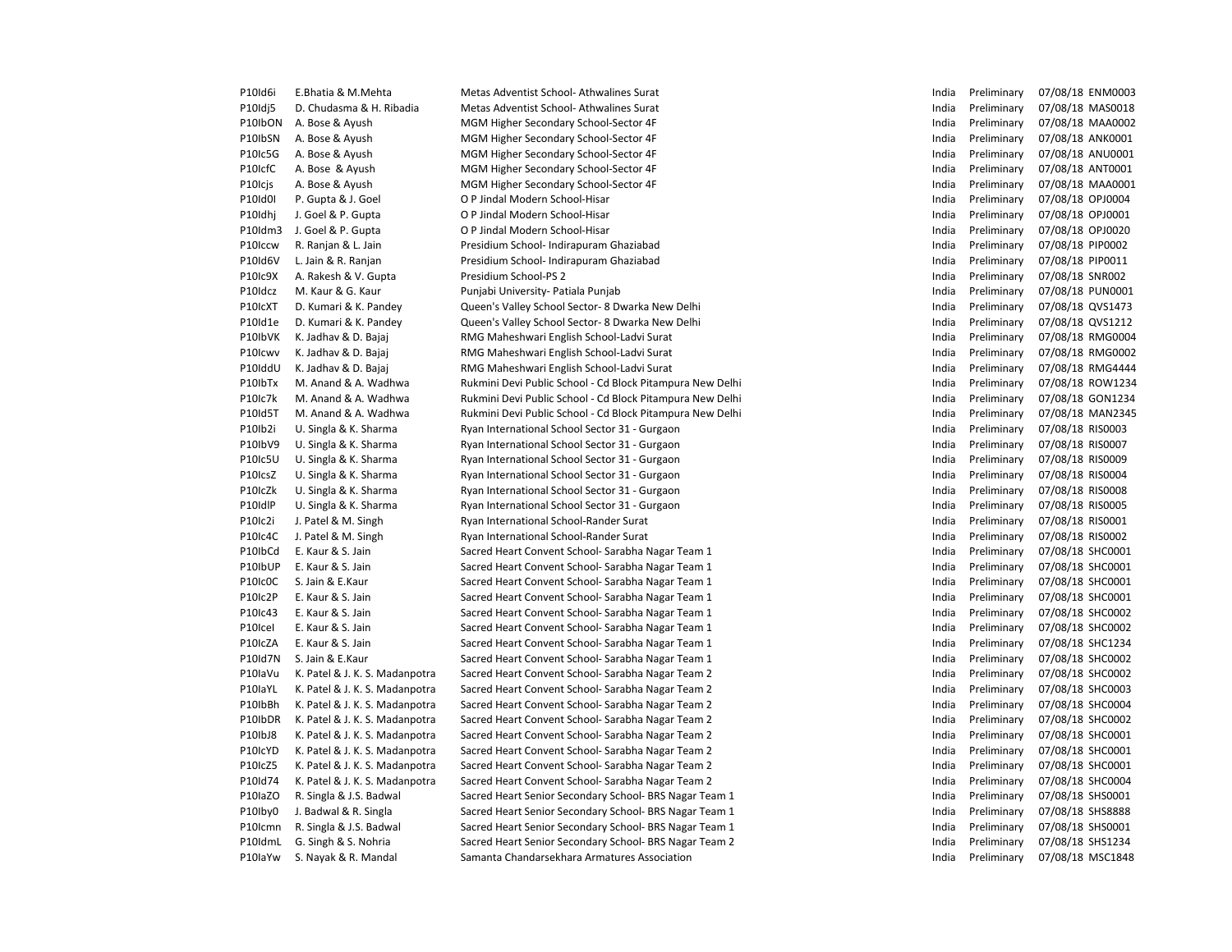| P <sub>10</sub> Id6i | E.Bhatia & M.Mehta                                               | Metas Adventist School-Athwalines Surat                                                                | India          | Preliminary                | 07/08/18 ENM0003                     |
|----------------------|------------------------------------------------------------------|--------------------------------------------------------------------------------------------------------|----------------|----------------------------|--------------------------------------|
| P10Idj5              | D. Chudasma & H. Ribadia                                         | Metas Adventist School-Athwalines Surat                                                                | India          | Preliminary                | 07/08/18 MAS0018                     |
| P10IbON              | A. Bose & Ayush                                                  | MGM Higher Secondary School-Sector 4F                                                                  | India          | Preliminary                | 07/08/18 MAA0002                     |
| P10IbSN              | A. Bose & Ayush                                                  | MGM Higher Secondary School-Sector 4F                                                                  | India          | Preliminary                | 07/08/18 ANK0001                     |
| P10Ic5G              | A. Bose & Ayush                                                  | MGM Higher Secondary School-Sector 4F                                                                  | India          | Preliminary                | 07/08/18 ANU0001                     |
| P10IcfC              | A. Bose & Ayush                                                  | MGM Higher Secondary School-Sector 4F                                                                  | India          | Preliminary                | 07/08/18 ANT0001                     |
| P10Icjs              | A. Bose & Ayush                                                  | MGM Higher Secondary School-Sector 4F                                                                  | India          | Preliminary                | 07/08/18 MAA0001                     |
| P10Id0I              | P. Gupta & J. Goel                                               | O P Jindal Modern School-Hisar                                                                         | India          | Preliminary                | 07/08/18 OPJ0004                     |
| P10Idhj              | J. Goel & P. Gupta                                               | O P Jindal Modern School-Hisar                                                                         | India          | Preliminary                | 07/08/18 OPJ0001                     |
| P10Idm3              | J. Goel & P. Gupta                                               | O P Jindal Modern School-Hisar                                                                         | India          | Preliminary                | 07/08/18 OPJ0020                     |
| P10Iccw              | R. Ranjan & L. Jain                                              | Presidium School- Indirapuram Ghaziabad                                                                | India          | Preliminary                | 07/08/18 PIP0002                     |
| P10Id6V              | L. Jain & R. Ranjan                                              | Presidium School- Indirapuram Ghaziabad                                                                | India          | Preliminary                | 07/08/18 PIP0011                     |
| P10Ic9X              | A. Rakesh & V. Gupta                                             | Presidium School-PS 2                                                                                  | India          | Preliminary                | 07/08/18 SNR002                      |
| P10Idcz              | M. Kaur & G. Kaur                                                | Punjabi University- Patiala Punjab                                                                     | India          | Preliminary                | 07/08/18 PUN0001                     |
| P10IcXT              | D. Kumari & K. Pandey                                            | Queen's Valley School Sector- 8 Dwarka New Delhi                                                       | India          | Preliminary                | 07/08/18 QVS1473                     |
| P10Id1e              | D. Kumari & K. Pandey                                            | Queen's Valley School Sector- 8 Dwarka New Delhi                                                       | India          | Preliminary                | 07/08/18 QVS1212                     |
| P10IbVK              | K. Jadhav & D. Bajaj                                             | RMG Maheshwari English School-Ladvi Surat                                                              | India          | Preliminary                | 07/08/18 RMG0004                     |
| P10Icwv              | K. Jadhav & D. Bajaj                                             | RMG Maheshwari English School-Ladvi Surat                                                              | India          | Preliminary                | 07/08/18 RMG0002                     |
| P10IddU              | K. Jadhav & D. Bajaj                                             | RMG Maheshwari English School-Ladvi Surat                                                              | India          | Preliminary                | 07/08/18 RMG4444                     |
| P10IbTx              | M. Anand & A. Wadhwa                                             | Rukmini Devi Public School - Cd Block Pitampura New Delhi                                              | India          | Preliminary                | 07/08/18 ROW1234                     |
| P10Ic7k              | M. Anand & A. Wadhwa                                             | Rukmini Devi Public School - Cd Block Pitampura New Delhi                                              | India          | Preliminary                | 07/08/18 GON1234                     |
| P10Id5T              | M. Anand & A. Wadhwa                                             | Rukmini Devi Public School - Cd Block Pitampura New Delhi                                              | India          | Preliminary                | 07/08/18 MAN2345                     |
| P10Ib2i              | U. Singla & K. Sharma                                            | Ryan International School Sector 31 - Gurgaon                                                          | India          | Preliminary                | 07/08/18 RIS0003                     |
| P10IbV9              | U. Singla & K. Sharma                                            | Ryan International School Sector 31 - Gurgaon                                                          | India          | Preliminary                | 07/08/18 RIS0007                     |
| P10Ic5U              | U. Singla & K. Sharma                                            | Ryan International School Sector 31 - Gurgaon                                                          | India          | Preliminary                | 07/08/18 RIS0009                     |
| P10IcsZ              | U. Singla & K. Sharma                                            | Ryan International School Sector 31 - Gurgaon                                                          | India          | Preliminary                | 07/08/18 RIS0004                     |
| P10IcZk              | U. Singla & K. Sharma                                            | Ryan International School Sector 31 - Gurgaon                                                          | India          | Preliminary                | 07/08/18 RIS0008                     |
| P10IdlP              | U. Singla & K. Sharma                                            | Ryan International School Sector 31 - Gurgaon                                                          | India          | Preliminary                | 07/08/18 RIS0005                     |
| P10Ic2i              | J. Patel & M. Singh                                              | Ryan International School-Rander Surat                                                                 | India          | Preliminary                | 07/08/18 RIS0001                     |
| P10Ic4C              | J. Patel & M. Singh                                              | Ryan International School-Rander Surat                                                                 | India          | Preliminary                | 07/08/18 RIS0002                     |
| P10IbCd              | E. Kaur & S. Jain                                                | Sacred Heart Convent School- Sarabha Nagar Team 1                                                      | India          | Preliminary                | 07/08/18 SHC0001                     |
| P10IbUP              | E. Kaur & S. Jain                                                | Sacred Heart Convent School- Sarabha Nagar Team 1                                                      | India          | Preliminary                | 07/08/18 SHC0001                     |
| P10Ic0C              | S. Jain & E.Kaur                                                 | Sacred Heart Convent School- Sarabha Nagar Team 1                                                      | India          | Preliminary                | 07/08/18 SHC0001                     |
| P10Ic2P              | E. Kaur & S. Jain                                                | Sacred Heart Convent School- Sarabha Nagar Team 1                                                      | India          | Preliminary                | 07/08/18 SHC0001                     |
| P10Ic43              | E. Kaur & S. Jain                                                | Sacred Heart Convent School- Sarabha Nagar Team 1                                                      | India          | Preliminary                | 07/08/18 SHC0002                     |
| P10Icel              | E. Kaur & S. Jain                                                | Sacred Heart Convent School- Sarabha Nagar Team 1                                                      | India          | Preliminary                | 07/08/18 SHC0002                     |
| P10IcZA              | E. Kaur & S. Jain                                                | Sacred Heart Convent School- Sarabha Nagar Team 1                                                      | India          | Preliminary                | 07/08/18 SHC1234                     |
| P10Id7N              | S. Jain & E.Kaur                                                 | Sacred Heart Convent School- Sarabha Nagar Team 1                                                      | India          | Preliminary                | 07/08/18 SHC0002                     |
| P10laVu              | K. Patel & J. K. S. Madanpotra                                   | Sacred Heart Convent School- Sarabha Nagar Team 2                                                      | India          | Preliminary                | 07/08/18 SHC0002                     |
| P10laYL              | K. Patel & J. K. S. Madanpotra                                   | Sacred Heart Convent School- Sarabha Nagar Team 2                                                      | India          | Preliminary                | 07/08/18 SHC0003                     |
| P10IbBh              | K. Patel & J. K. S. Madanpotra                                   | Sacred Heart Convent School- Sarabha Nagar Team 2                                                      | India          | Preliminary                | 07/08/18 SHC0004                     |
|                      |                                                                  |                                                                                                        |                |                            |                                      |
| P10IbDR<br>P10IbJ8   | K. Patel & J. K. S. Madanpotra<br>K. Patel & J. K. S. Madanpotra | Sacred Heart Convent School- Sarabha Nagar Team 2<br>Sacred Heart Convent School- Sarabha Nagar Team 2 | India<br>India | Preliminary<br>Preliminary | 07/08/18 SHC0002<br>07/08/18 SHC0001 |
| P10IcYD              |                                                                  |                                                                                                        | India          |                            | 07/08/18 SHC0001                     |
| P10IcZ5              | K. Patel & J. K. S. Madanpotra<br>K. Patel & J. K. S. Madanpotra | Sacred Heart Convent School- Sarabha Nagar Team 2<br>Sacred Heart Convent School- Sarabha Nagar Team 2 | India          | Preliminary<br>Preliminary | 07/08/18 SHC0001                     |
|                      |                                                                  |                                                                                                        |                |                            |                                      |
| P10Id74              | K. Patel & J. K. S. Madanpotra                                   | Sacred Heart Convent School- Sarabha Nagar Team 2                                                      | India          | Preliminary                | 07/08/18 SHC0004                     |
| P10laZO              | R. Singla & J.S. Badwal                                          | Sacred Heart Senior Secondary School- BRS Nagar Team 1                                                 | India          | Preliminary                | 07/08/18 SHS0001                     |
| P10lby0              | J. Badwal & R. Singla                                            | Sacred Heart Senior Secondary School- BRS Nagar Team 1                                                 | India          | Preliminary                | 07/08/18 SHS8888                     |
| P10Icmn              | R. Singla & J.S. Badwal                                          | Sacred Heart Senior Secondary School- BRS Nagar Team 1                                                 | India          | Preliminary                | 07/08/18 SHS0001                     |
| P10IdmL              | G. Singh & S. Nohria                                             | Sacred Heart Senior Secondary School- BRS Nagar Team 2                                                 | India          | Preliminary                | 07/08/18 SHS1234                     |
| P10laYw              | S. Nayak & R. Mandal                                             | Samanta Chandarsekhara Armatures Association                                                           | India          | Preliminary                | 07/08/18 MSC1848                     |

| India | Preliminary |                  | 07/08/18 ENM0003 |
|-------|-------------|------------------|------------------|
| India | Preliminary |                  | 07/08/18 MAS0018 |
| India | Preliminary |                  | 07/08/18 MAA0002 |
| India | Preliminary | 07/08/18 ANK0001 |                  |
| India | Preliminary |                  | 07/08/18 ANU0001 |
| India | Preliminary | 07/08/18 ANT0001 |                  |
| India | Preliminary |                  | 07/08/18 MAA0001 |
| India | Preliminary | 07/08/18 OPJ0004 |                  |
| India | Preliminary | 07/08/18 OPJ0001 |                  |
| India | Preliminary | 07/08/18 OPJ0020 |                  |
| India | Preliminary | 07/08/18 PIP0002 |                  |
| India | Preliminary | 07/08/18 PIP0011 |                  |
| India | Preliminary | 07/08/18 SNR002  |                  |
| India | Preliminary | 07/08/18 PUN0001 |                  |
| India | Preliminary | 07/08/18 QVS1473 |                  |
| India | Preliminary | 07/08/18 QVS1212 |                  |
| India | Preliminary |                  | 07/08/18 RMG0004 |
| India | Preliminary |                  | 07/08/18 RMG0002 |
| India | Preliminary |                  | 07/08/18 RMG4444 |
| India | Preliminary |                  | 07/08/18 ROW1234 |
| India | Preliminary |                  | 07/08/18 GON1234 |
| India | Preliminary |                  | 07/08/18 MAN2345 |
| India | Preliminary | 07/08/18 RIS0003 |                  |
| India | Preliminary | 07/08/18 RIS0007 |                  |
| India | Preliminary | 07/08/18 RIS0009 |                  |
| India | Preliminary | 07/08/18 RIS0004 |                  |
| India | Preliminary | 07/08/18 RIS0008 |                  |
| India | Preliminary | 07/08/18 RIS0005 |                  |
| India | Preliminary | 07/08/18 RIS0001 |                  |
| India | Preliminary | 07/08/18 RIS0002 |                  |
| India | Preliminary | 07/08/18 SHC0001 |                  |
| India | Preliminary | 07/08/18 SHC0001 |                  |
| India | Preliminary | 07/08/18 SHC0001 |                  |
| India | Preliminary | 07/08/18 SHC0001 |                  |
| India | Preliminary | 07/08/18 SHC0002 |                  |
| India | Preliminary | 07/08/18 SHC0002 |                  |
| India | Preliminary | 07/08/18 SHC1234 |                  |
| India | Preliminary | 07/08/18 SHC0002 |                  |
| India | Preliminary | 07/08/18 SHC0002 |                  |
| India | Preliminary | 07/08/18 SHC0003 |                  |
| India | Preliminary | 07/08/18 SHC0004 |                  |
| India | Preliminary | 07/08/18 SHC0002 |                  |
| India | Preliminary | 07/08/18 SHC0001 |                  |
| India | Preliminary | 07/08/18 SHC0001 |                  |
| India | Preliminary | 07/08/18 SHC0001 |                  |
| India | Preliminary | 07/08/18 SHC0004 |                  |
| India | Preliminary | 07/08/18 SHS0001 |                  |
| India | Preliminary | 07/08/18 SHS8888 |                  |
| India | Preliminary | 07/08/18 SHS0001 |                  |
| India | Preliminary | 07/08/18 SHS1234 |                  |
| India | Preliminary |                  | 07/08/18 MSC1848 |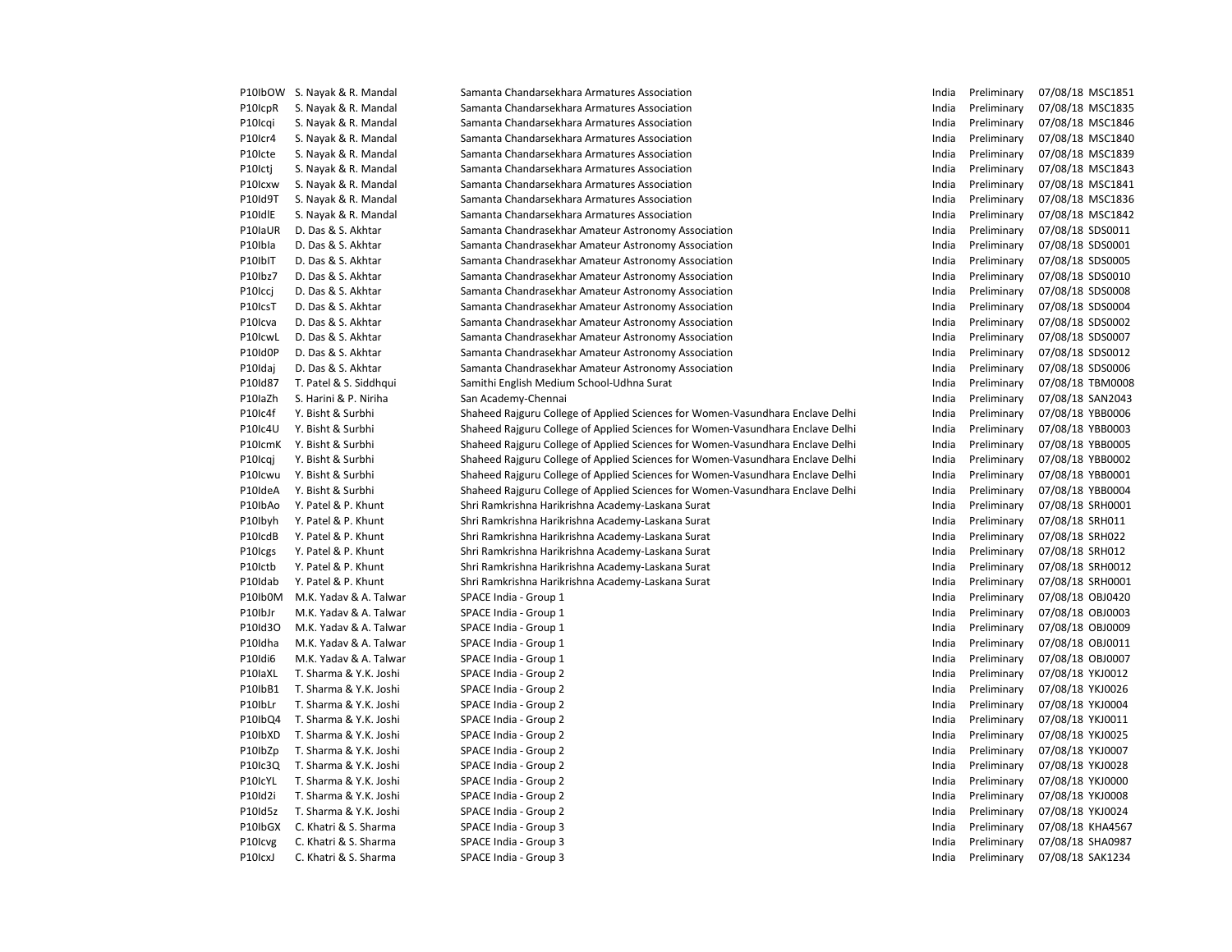| P10IbOW                           | S. Nayak & R. Mandal   | Samanta Chandarsekhara Armatures Association                                   | India | Preliminary | 07/08/18 MSC1851 |
|-----------------------------------|------------------------|--------------------------------------------------------------------------------|-------|-------------|------------------|
| P10IcpR                           | S. Nayak & R. Mandal   | Samanta Chandarsekhara Armatures Association                                   | India | Preliminary | 07/08/18 MSC1835 |
| P10Icqi                           | S. Nayak & R. Mandal   | Samanta Chandarsekhara Armatures Association                                   | India | Preliminary | 07/08/18 MSC1846 |
| P10Icr4                           | S. Nayak & R. Mandal   | Samanta Chandarsekhara Armatures Association                                   | India | Preliminary | 07/08/18 MSC1840 |
| P10Icte                           | S. Nayak & R. Mandal   | Samanta Chandarsekhara Armatures Association                                   | India | Preliminary | 07/08/18 MSC1839 |
| P <sub>10</sub> Icti              | S. Nayak & R. Mandal   | Samanta Chandarsekhara Armatures Association                                   | India | Preliminary | 07/08/18 MSC1843 |
| P10Icxw                           | S. Nayak & R. Mandal   | Samanta Chandarsekhara Armatures Association                                   | India | Preliminary | 07/08/18 MSC1841 |
| P10Id9T                           | S. Nayak & R. Mandal   | Samanta Chandarsekhara Armatures Association                                   | India | Preliminary | 07/08/18 MSC1836 |
| P10IdlE                           | S. Nayak & R. Mandal   | Samanta Chandarsekhara Armatures Association                                   | India | Preliminary | 07/08/18 MSC1842 |
| P10IaUR                           | D. Das & S. Akhtar     | Samanta Chandrasekhar Amateur Astronomy Association                            | India | Preliminary | 07/08/18 SDS0011 |
| P10Ibla                           | D. Das & S. Akhtar     | Samanta Chandrasekhar Amateur Astronomy Association                            | India | Preliminary | 07/08/18 SDS0001 |
| P10IbIT                           | D. Das & S. Akhtar     | Samanta Chandrasekhar Amateur Astronomy Association                            | India | Preliminary | 07/08/18 SDS0005 |
| P10lbz7                           | D. Das & S. Akhtar     | Samanta Chandrasekhar Amateur Astronomy Association                            | India | Preliminary | 07/08/18 SDS0010 |
| P <sub>10</sub> Iccj              | D. Das & S. Akhtar     | Samanta Chandrasekhar Amateur Astronomy Association                            | India | Preliminary | 07/08/18 SDS0008 |
| P <sub>10</sub> I <sub>cs</sub> T | D. Das & S. Akhtar     | Samanta Chandrasekhar Amateur Astronomy Association                            | India | Preliminary | 07/08/18 SDS0004 |
| P10Icva                           | D. Das & S. Akhtar     | Samanta Chandrasekhar Amateur Astronomy Association                            | India | Preliminary | 07/08/18 SDS0002 |
| P10IcwL                           | D. Das & S. Akhtar     | Samanta Chandrasekhar Amateur Astronomy Association                            | India | Preliminary | 07/08/18 SDS0007 |
| P10Id0P                           | D. Das & S. Akhtar     | Samanta Chandrasekhar Amateur Astronomy Association                            | India | Preliminary | 07/08/18 SDS0012 |
| P10Idaj                           | D. Das & S. Akhtar     | Samanta Chandrasekhar Amateur Astronomy Association                            | India | Preliminary | 07/08/18 SDS0006 |
| P10Id87                           | T. Patel & S. Siddhqui | Samithi English Medium School-Udhna Surat                                      | India | Preliminary | 07/08/18 TBM0008 |
| P10IaZh                           | S. Harini & P. Niriha  | San Academy-Chennai                                                            | India | Preliminary | 07/08/18 SAN2043 |
| P10Ic4f                           | Y. Bisht & Surbhi      | Shaheed Rajguru College of Applied Sciences for Women-Vasundhara Enclave Delhi | India | Preliminary | 07/08/18 YBB0006 |
| P10Ic4U                           | Y. Bisht & Surbhi      | Shaheed Rajguru College of Applied Sciences for Women-Vasundhara Enclave Delhi | India | Preliminary | 07/08/18 YBB0003 |
| P10IcmK                           | Y. Bisht & Surbhi      | Shaheed Rajguru College of Applied Sciences for Women-Vasundhara Enclave Delhi | India | Preliminary | 07/08/18 YBB0005 |
| P10 <sub>Icqi</sub>               | Y. Bisht & Surbhi      | Shaheed Rajguru College of Applied Sciences for Women-Vasundhara Enclave Delhi | India | Preliminary | 07/08/18 YBB0002 |
| P10Icwu                           | Y. Bisht & Surbhi      | Shaheed Rajguru College of Applied Sciences for Women-Vasundhara Enclave Delhi | India | Preliminary | 07/08/18 YBB0001 |
| P10IdeA                           | Y. Bisht & Surbhi      | Shaheed Rajguru College of Applied Sciences for Women-Vasundhara Enclave Delhi | India | Preliminary | 07/08/18 YBB0004 |
| P10IbAo                           | Y. Patel & P. Khunt    | Shri Ramkrishna Harikrishna Academy-Laskana Surat                              | India | Preliminary | 07/08/18 SRH0001 |
| P10lbyh                           | Y. Patel & P. Khunt    | Shri Ramkrishna Harikrishna Academy-Laskana Surat                              | India | Preliminary | 07/08/18 SRH011  |
| P10IcdB                           | Y. Patel & P. Khunt    | Shri Ramkrishna Harikrishna Academy-Laskana Surat                              | India | Preliminary | 07/08/18 SRH022  |
| P10Icgs                           | Y. Patel & P. Khunt    | Shri Ramkrishna Harikrishna Academy-Laskana Surat                              | India | Preliminary | 07/08/18 SRH012  |
| P10Ictb                           | Y. Patel & P. Khunt    | Shri Ramkrishna Harikrishna Academy-Laskana Surat                              | India | Preliminary | 07/08/18 SRH0012 |
| P10Idab                           | Y. Patel & P. Khunt    | Shri Ramkrishna Harikrishna Academy-Laskana Surat                              | India | Preliminary | 07/08/18 SRH0001 |
| P10Ib0M                           | M.K. Yadav & A. Talwar | SPACE India - Group 1                                                          | India | Preliminary | 07/08/18 OBJ0420 |
| P10lbJr                           | M.K. Yadav & A. Talwar | SPACE India - Group 1                                                          | India | Preliminary | 07/08/18 OBJ0003 |
| P10Id3O                           | M.K. Yadav & A. Talwar | SPACE India - Group 1                                                          | India | Preliminary | 07/08/18 OBJ0009 |
| P10Idha                           | M.K. Yadav & A. Talwar |                                                                                | India | Preliminary | 07/08/18 OBJ0011 |
| P10Idi6                           | M.K. Yadav & A. Talwar | SPACE India - Group 1                                                          | India | Preliminary | 07/08/18 OBJ0007 |
| P10laXL                           | T. Sharma & Y.K. Joshi | SPACE India - Group 1<br>SPACE India - Group 2                                 | India |             | 07/08/18 YKJ0012 |
|                                   |                        |                                                                                | India | Preliminary |                  |
| P10IbB1<br>P10IbLr                | T. Sharma & Y.K. Joshi | SPACE India - Group 2                                                          |       | Preliminary | 07/08/18 YKJ0026 |
|                                   | T. Sharma & Y.K. Joshi | SPACE India - Group 2                                                          | India | Preliminary | 07/08/18 YKJ0004 |
| P10IbQ4                           | T. Sharma & Y.K. Joshi | SPACE India - Group 2                                                          | India | Preliminary | 07/08/18 YKJ0011 |
| P10IbXD                           | T. Sharma & Y.K. Joshi | SPACE India - Group 2                                                          | India | Preliminary | 07/08/18 YKJ0025 |
| P10IbZp                           | T. Sharma & Y.K. Joshi | SPACE India - Group 2                                                          | India | Preliminary | 07/08/18 YKJ0007 |
| P10Ic3Q                           | T. Sharma & Y.K. Joshi | SPACE India - Group 2                                                          | India | Preliminary | 07/08/18 YKJ0028 |
| P10IcYL                           | T. Sharma & Y.K. Joshi | SPACE India - Group 2                                                          | India | Preliminary | 07/08/18 YKJ0000 |
| P10Id2i                           | T. Sharma & Y.K. Joshi | SPACE India - Group 2                                                          | India | Preliminary | 07/08/18 YKJ0008 |
| P10Id5z                           | T. Sharma & Y.K. Joshi | SPACE India - Group 2                                                          | India | Preliminary | 07/08/18 YKJ0024 |
| P10IbGX                           | C. Khatri & S. Sharma  | SPACE India - Group 3                                                          | India | Preliminary | 07/08/18 KHA4567 |
| P10Icvg                           | C. Khatri & S. Sharma  | SPACE India - Group 3                                                          | India | Preliminary | 07/08/18 SHA0987 |
| P10IcxJ                           | C. Khatri & S. Sharma  | SPACE India - Group 3                                                          | India | Preliminary | 07/08/18 SAK1234 |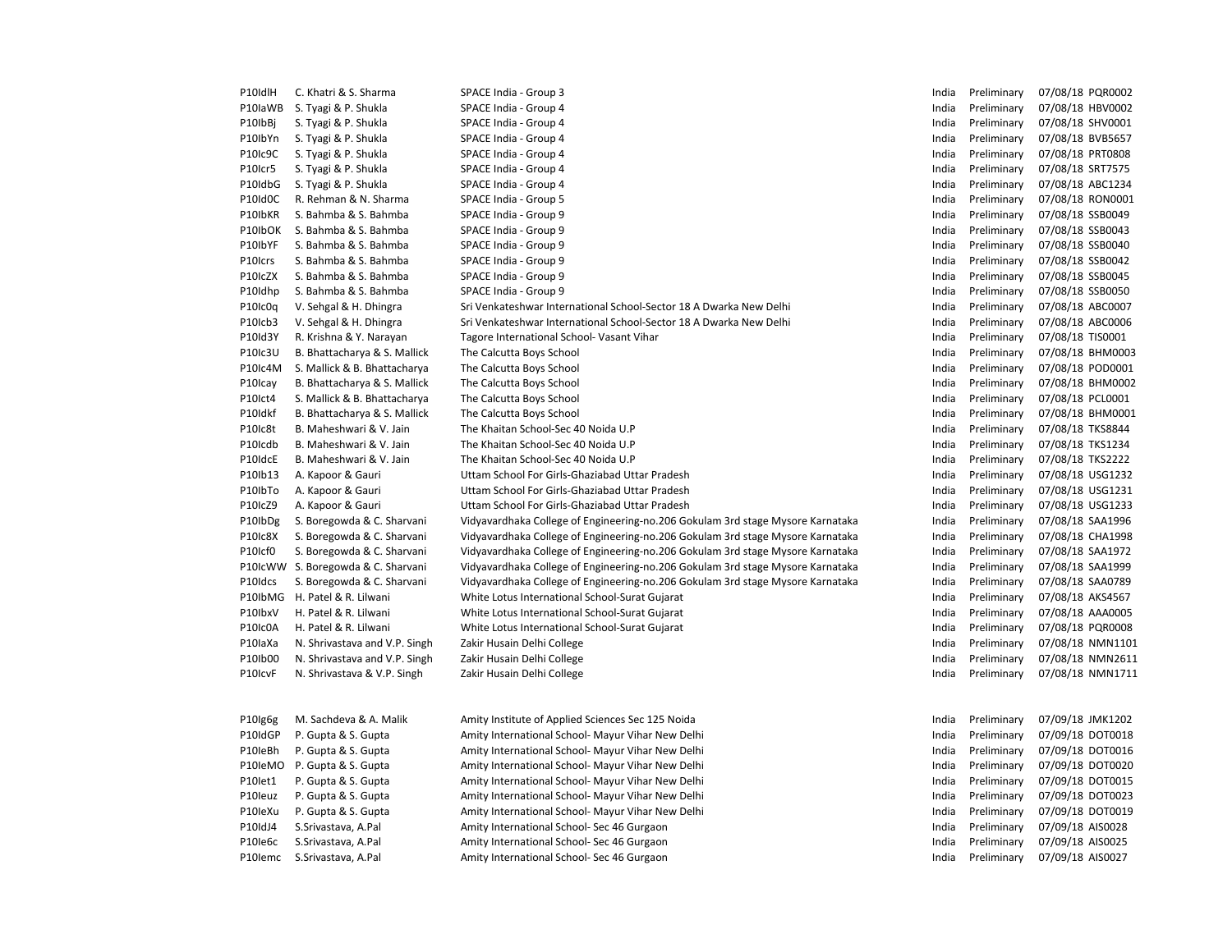| P10IdlH | C. Khatri & S. Sharma         | SPACE India - Group 3                                                                                                                    | India          | Preliminary | 07/08/18 PQR0002 |
|---------|-------------------------------|------------------------------------------------------------------------------------------------------------------------------------------|----------------|-------------|------------------|
| P10laWB | S. Tyagi & P. Shukla          | SPACE India - Group 4                                                                                                                    | India          | Preliminary | 07/08/18 HBV0002 |
| P10IbBi | S. Tyagi & P. Shukla          | SPACE India - Group 4                                                                                                                    | India          | Preliminary | 07/08/18 SHV0001 |
| P10IbYn | S. Tyagi & P. Shukla          | SPACE India - Group 4                                                                                                                    | India          | Preliminary | 07/08/18 BVB5657 |
| P10Ic9C | S. Tyagi & P. Shukla          | SPACE India - Group 4                                                                                                                    | India          | Preliminary | 07/08/18 PRT0808 |
| P10Icr5 | S. Tyagi & P. Shukla          | SPACE India - Group 4                                                                                                                    | India          | Preliminary | 07/08/18 SRT7575 |
| P10IdbG | S. Tyagi & P. Shukla          | SPACE India - Group 4                                                                                                                    | India          | Preliminary | 07/08/18 ABC1234 |
| P10Id0C | R. Rehman & N. Sharma         | SPACE India - Group 5                                                                                                                    | India          | Preliminary | 07/08/18 RON0001 |
| P10IbKR | S. Bahmba & S. Bahmba         | SPACE India - Group 9                                                                                                                    | India          | Preliminary | 07/08/18 SSB0049 |
| P10IbOK | S. Bahmba & S. Bahmba         | SPACE India - Group 9                                                                                                                    | India          | Preliminary | 07/08/18 SSB0043 |
| P10IbYF | S. Bahmba & S. Bahmba         | SPACE India - Group 9                                                                                                                    | India          | Preliminary | 07/08/18 SSB0040 |
| P10Icrs | S. Bahmba & S. Bahmba         | SPACE India - Group 9                                                                                                                    | India          | Preliminary | 07/08/18 SSB0042 |
| P10IcZX | S. Bahmba & S. Bahmba         | SPACE India - Group 9                                                                                                                    | India          | Preliminary | 07/08/18 SSB0045 |
|         | S. Bahmba & S. Bahmba         | SPACE India - Group 9                                                                                                                    | India          | Preliminary | 07/08/18 SSB0050 |
| P10Idhp |                               |                                                                                                                                          |                |             |                  |
| P10Ic0q | V. Sehgal & H. Dhingra        | Sri Venkateshwar International School-Sector 18 A Dwarka New Delhi<br>Sri Venkateshwar International School-Sector 18 A Dwarka New Delhi | India<br>India | Preliminary | 07/08/18 ABC0007 |
| P10Icb3 | V. Sehgal & H. Dhingra        |                                                                                                                                          |                | Preliminary | 07/08/18 ABC0006 |
| P10Id3Y | R. Krishna & Y. Narayan       | Tagore International School- Vasant Vihar                                                                                                | India          | Preliminary | 07/08/18 TIS0001 |
| P10Ic3U | B. Bhattacharya & S. Mallick  | The Calcutta Boys School                                                                                                                 | India          | Preliminary | 07/08/18 BHM0003 |
| P10Ic4M | S. Mallick & B. Bhattacharya  | The Calcutta Boys School                                                                                                                 | India          | Preliminary | 07/08/18 POD0001 |
| P10Icay | B. Bhattacharya & S. Mallick  | The Calcutta Boys School                                                                                                                 | India          | Preliminary | 07/08/18 BHM0002 |
| P10Ict4 | S. Mallick & B. Bhattacharya  | The Calcutta Boys School                                                                                                                 | India          | Preliminary | 07/08/18 PCL0001 |
| P10Idkf | B. Bhattacharya & S. Mallick  | The Calcutta Boys School                                                                                                                 | India          | Preliminary | 07/08/18 BHM0001 |
| P10Ic8t | B. Maheshwari & V. Jain       | The Khaitan School-Sec 40 Noida U.P                                                                                                      | India          | Preliminary | 07/08/18 TKS8844 |
| P10Icdb | B. Maheshwari & V. Jain       | The Khaitan School-Sec 40 Noida U.P                                                                                                      | India          | Preliminary | 07/08/18 TKS1234 |
| P10IdcE | B. Maheshwari & V. Jain       | The Khaitan School-Sec 40 Noida U.P                                                                                                      | India          | Preliminary | 07/08/18 TKS2222 |
| P10Ib13 | A. Kapoor & Gauri             | Uttam School For Girls-Ghaziabad Uttar Pradesh                                                                                           | India          | Preliminary | 07/08/18 USG1232 |
| P10IbTo | A. Kapoor & Gauri             | Uttam School For Girls-Ghaziabad Uttar Pradesh                                                                                           | India          | Preliminary | 07/08/18 USG1231 |
| P10IcZ9 | A. Kapoor & Gauri             | Uttam School For Girls-Ghaziabad Uttar Pradesh                                                                                           | India          | Preliminary | 07/08/18 USG1233 |
| P10IbDg | S. Boregowda & C. Sharvani    | Vidyavardhaka College of Engineering-no.206 Gokulam 3rd stage Mysore Karnataka                                                           | India          | Preliminary | 07/08/18 SAA1996 |
| P10Ic8X | S. Boregowda & C. Sharvani    | Vidyavardhaka College of Engineering-no.206 Gokulam 3rd stage Mysore Karnataka                                                           | India          | Preliminary | 07/08/18 CHA1998 |
| P10Icf0 | S. Boregowda & C. Sharvani    | Vidyavardhaka College of Engineering-no.206 Gokulam 3rd stage Mysore Karnataka                                                           | India          | Preliminary | 07/08/18 SAA1972 |
| P10IcWW | S. Boregowda & C. Sharvani    | Vidyavardhaka College of Engineering-no.206 Gokulam 3rd stage Mysore Karnataka                                                           | India          | Preliminary | 07/08/18 SAA1999 |
| P10Idcs | S. Boregowda & C. Sharvani    | Vidyavardhaka College of Engineering-no.206 Gokulam 3rd stage Mysore Karnataka                                                           | India          | Preliminary | 07/08/18 SAA0789 |
| P10IbMG | H. Patel & R. Lilwani         | White Lotus International School-Surat Gujarat                                                                                           | India          | Preliminary | 07/08/18 AKS4567 |
| P10lbxV | H. Patel & R. Lilwani         | White Lotus International School-Surat Gujarat                                                                                           | India          | Preliminary | 07/08/18 AAA0005 |
| P10Ic0A | H. Patel & R. Lilwani         | White Lotus International School-Surat Gujarat                                                                                           | India          | Preliminary | 07/08/18 PQR0008 |
| P10laXa | N. Shrivastava and V.P. Singh | Zakir Husain Delhi College                                                                                                               | India          | Preliminary | 07/08/18 NMN1101 |
| P10Ib00 | N. Shrivastava and V.P. Singh | Zakir Husain Delhi College                                                                                                               | India          | Preliminary | 07/08/18 NMN2611 |
| P10IcvF | N. Shrivastava & V.P. Singh   | Zakir Husain Delhi College                                                                                                               | India          | Preliminary | 07/08/18 NMN1711 |
| P10Ig6g | M. Sachdeva & A. Malik        | Amity Institute of Applied Sciences Sec 125 Noida                                                                                        | India          | Preliminary | 07/09/18 JMK1202 |
| P10IdGP | P. Gupta & S. Gupta           | Amity International School- Mayur Vihar New Delhi                                                                                        | India          | Preliminary | 07/09/18 DOT0018 |
| P10leBh | P. Gupta & S. Gupta           | Amity International School- Mayur Vihar New Delhi                                                                                        | India          | Preliminary | 07/09/18 DOT0016 |
| P10leMO | P. Gupta & S. Gupta           | Amity International School- Mayur Vihar New Delhi                                                                                        | India          | Preliminary | 07/09/18 DOT0020 |
| P10let1 | P. Gupta & S. Gupta           | Amity International School- Mayur Vihar New Delhi                                                                                        | India          | Preliminary | 07/09/18 DOT0015 |
| P10leuz | P. Gupta & S. Gupta           | Amity International School- Mayur Vihar New Delhi                                                                                        | India          | Preliminary | 07/09/18 DOT0023 |
| P10leXu | P. Gupta & S. Gupta           | Amity International School- Mayur Vihar New Delhi                                                                                        | India          | Preliminary | 07/09/18 DOT0019 |
| P10IdJ4 | S.Srivastava, A.Pal           | Amity International School- Sec 46 Gurgaon                                                                                               | India          | Preliminary | 07/09/18 AIS0028 |
| P10le6c | S.Srivastava, A.Pal           | Amity International School- Sec 46 Gurgaon                                                                                               | India          | Preliminary | 07/09/18 AIS0025 |
| P10lemc | S.Srivastava, A.Pal           | Amity International School- Sec 46 Gurgaon                                                                                               | India          | Preliminary | 07/09/18 AIS0027 |
|         |                               |                                                                                                                                          |                |             |                  |

| าdia | Preliminary | 07/08/18 | PQR0002        |
|------|-------------|----------|----------------|
| าdia | Preliminary | 07/08/18 | <b>HBV0002</b> |
| าdia | Preliminary | 07/08/18 | SHV0001        |
| ndia | Preliminary | 07/08/18 | <b>BVB5657</b> |
| ndia | Preliminary | 07/08/18 | PRT0808        |
| าdia | Preliminary | 07/08/18 | SRT7575        |
| าdia | Preliminary | 07/08/18 | ABC1234        |
| ndia | Preliminary | 07/08/18 | RON0001        |
| าdia | Preliminary | 07/08/18 | SSB0049        |
| าdia | Preliminary | 07/08/18 | SSB0043        |
| ndia | Preliminary | 07/08/18 | SSB0040        |
| ndia | Preliminary | 07/08/18 | SSB0042        |
| าdia | Preliminary | 07/08/18 | SSB0045        |
| าdia | Preliminary | 07/08/18 | SSB0050        |
| ndia | Preliminary | 07/08/18 | ABC0007        |
| ndia | Preliminary | 07/08/18 | ABC0006        |
| าdia | Preliminary | 07/08/18 | <b>TIS0001</b> |
| าdia | Preliminary | 07/08/18 | BHM0003        |
| ndia | Preliminary | 07/08/18 | POD0001        |
| าdia | Preliminary | 07/08/18 | <b>BHM0002</b> |
| าdia | Preliminary | 07/08/18 | PCL0001        |
| าdia | Preliminary | 07/08/18 | BHM0001        |
| ndia | Preliminary | 07/08/18 | <b>TKS8844</b> |
| าdia | Preliminary | 07/08/18 | <b>TKS1234</b> |
| าdia | Preliminary | 07/08/18 | <b>TKS2222</b> |
| ndia | Preliminary | 07/08/18 | USG1232        |
| ndia | Preliminary | 07/08/18 | USG1231        |
| าdia | Preliminary | 07/08/18 | USG1233        |
| าdia | Preliminary | 07/08/18 | SAA1996        |
| ndia | Preliminary | 07/08/18 | <b>CHA1998</b> |
| าdia | Preliminary | 07/08/18 | SAA1972        |
| าdia | Preliminary | 07/08/18 | SAA1999        |
| าdia | Preliminary | 07/08/18 | SAA0789        |
| ndia | Preliminary | 07/08/18 | AKS4567        |
| าdia | Preliminary | 07/08/18 | AAA0005        |
| าdia | Preliminary | 07/08/18 | PQR0008        |
| าdia | Preliminary | 07/08/18 | NMN1101        |
| ndia | Preliminary | 07/08/18 | NMN2611        |
| าdia | Preliminary | 07/08/18 | NMN1711        |
| าdia | Preliminary | 07/09/18 | <b>JMK1202</b> |
| ndia | Preliminary | 07/09/18 | DOT0018        |
|      |             |          |                |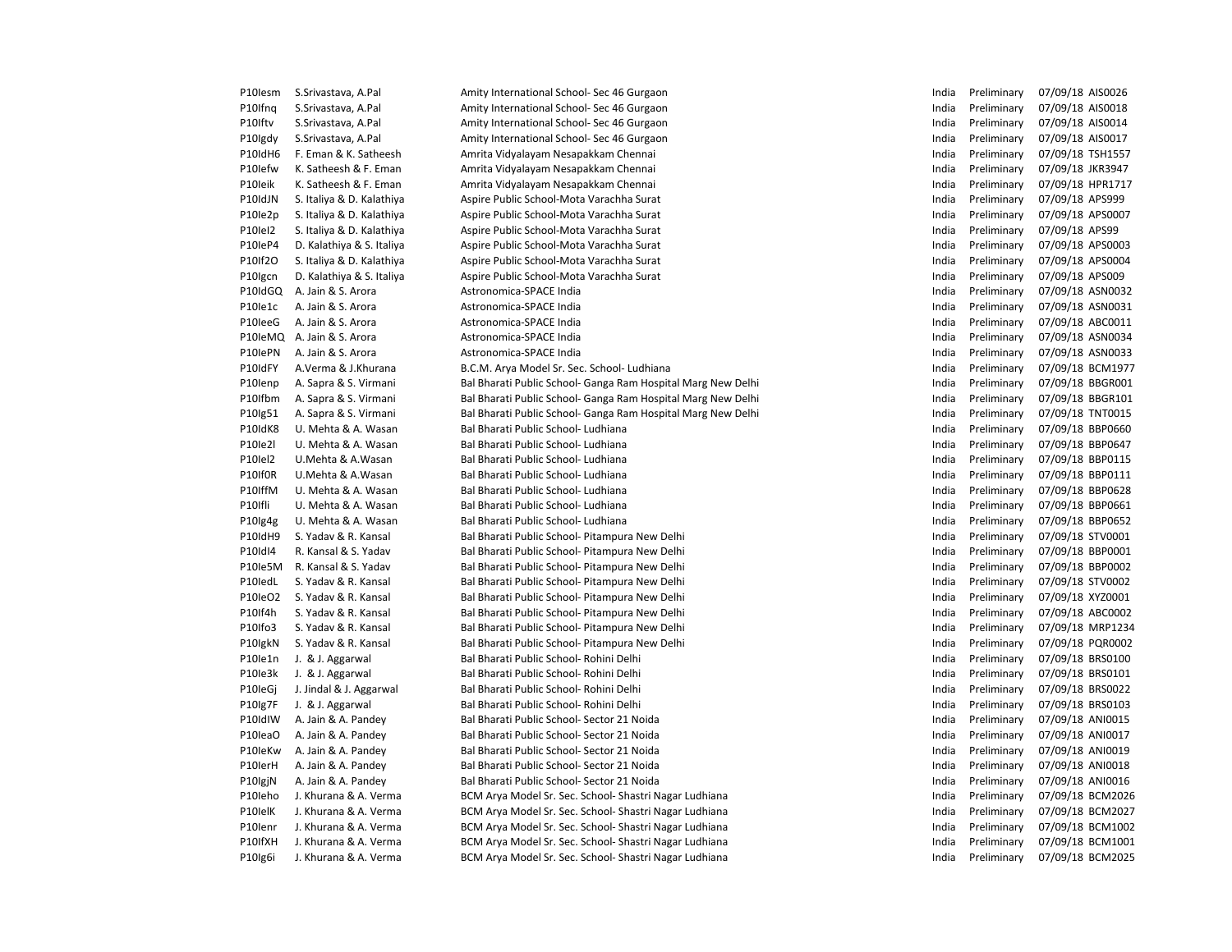| P10lesm | S.Srivastava, A.Pal       | Amity International School- Sec 46 Gurgaon                   | India | Preliminary | 07/09/18 AIS0026 |
|---------|---------------------------|--------------------------------------------------------------|-------|-------------|------------------|
| P10Ifng | S.Srivastava, A.Pal       | Amity International School- Sec 46 Gurgaon                   | India | Preliminary | 07/09/18 AIS0018 |
| P10Iftv | S.Srivastava, A.Pal       | Amity International School- Sec 46 Gurgaon                   | India | Preliminary | 07/09/18 AIS0014 |
| P10Igdy | S.Srivastava, A.Pal       | Amity International School- Sec 46 Gurgaon                   | India | Preliminary | 07/09/18 AIS0017 |
| P10IdH6 | F. Eman & K. Satheesh     | Amrita Vidyalayam Nesapakkam Chennai                         | India | Preliminary | 07/09/18 TSH1557 |
| P10lefw | K. Satheesh & F. Eman     | Amrita Vidyalayam Nesapakkam Chennai                         | India | Preliminary | 07/09/18 JKR3947 |
| P10leik | K. Satheesh & F. Eman     | Amrita Vidyalayam Nesapakkam Chennai                         | India | Preliminary | 07/09/18 HPR1717 |
| P10IdJN | S. Italiya & D. Kalathiya | Aspire Public School-Mota Varachha Surat                     | India | Preliminary | 07/09/18 APS999  |
| P10le2p | S. Italiya & D. Kalathiya | Aspire Public School-Mota Varachha Surat                     | India | Preliminary | 07/09/18 APS0007 |
| P10lel2 | S. Italiya & D. Kalathiya | Aspire Public School-Mota Varachha Surat                     | India | Preliminary | 07/09/18 APS99   |
| P10leP4 | D. Kalathiya & S. Italiya | Aspire Public School-Mota Varachha Surat                     | India | Preliminary | 07/09/18 APS0003 |
| P10If2O | S. Italiya & D. Kalathiya | Aspire Public School-Mota Varachha Surat                     | India | Preliminary | 07/09/18 APS0004 |
| P10Igcn | D. Kalathiya & S. Italiya | Aspire Public School-Mota Varachha Surat                     | India | Preliminary | 07/09/18 APS009  |
| P10IdGQ | A. Jain & S. Arora        | Astronomica-SPACE India                                      | India | Preliminary | 07/09/18 ASN0032 |
| P10le1c | A. Jain & S. Arora        | Astronomica-SPACE India                                      | India | Preliminary | 07/09/18 ASN0031 |
| P10leeG | A. Jain & S. Arora        | Astronomica-SPACE India                                      | India | Preliminary | 07/09/18 ABC0011 |
| P10leMQ | A. Jain & S. Arora        | Astronomica-SPACE India                                      | India | Preliminary | 07/09/18 ASN0034 |
| P10lePN | A. Jain & S. Arora        | Astronomica-SPACE India                                      | India | Preliminary | 07/09/18 ASN0033 |
| P10IdFY | A.Verma & J.Khurana       | B.C.M. Arya Model Sr. Sec. School- Ludhiana                  | India | Preliminary | 07/09/18 BCM1977 |
| P10lenp | A. Sapra & S. Virmani     | Bal Bharati Public School- Ganga Ram Hospital Marg New Delhi | India | Preliminary | 07/09/18 BBGR001 |
| P10Ifbm | A. Sapra & S. Virmani     | Bal Bharati Public School- Ganga Ram Hospital Marg New Delhi | India | Preliminary | 07/09/18 BBGR101 |
| P10lg51 | A. Sapra & S. Virmani     | Bal Bharati Public School- Ganga Ram Hospital Marg New Delhi | India | Preliminary | 07/09/18 TNT0015 |
| P10IdK8 | U. Mehta & A. Wasan       | Bal Bharati Public School- Ludhiana                          | India | Preliminary | 07/09/18 BBP0660 |
| P10le2l | U. Mehta & A. Wasan       | Bal Bharati Public School- Ludhiana                          | India | Preliminary | 07/09/18 BBP0647 |
| P10lel2 | U.Mehta & A.Wasan         | Bal Bharati Public School- Ludhiana                          | India | Preliminary | 07/09/18 BBP0115 |
| P10If0R | U.Mehta & A.Wasan         | Bal Bharati Public School- Ludhiana                          | India | Preliminary | 07/09/18 BBP0111 |
| P10IffM | U. Mehta & A. Wasan       | Bal Bharati Public School- Ludhiana                          | India | Preliminary | 07/09/18 BBP0628 |
| P10Ifli | U. Mehta & A. Wasan       | Bal Bharati Public School- Ludhiana                          | India | Preliminary | 07/09/18 BBP0661 |
| P10lg4g | U. Mehta & A. Wasan       | Bal Bharati Public School- Ludhiana                          | India | Preliminary | 07/09/18 BBP0652 |
| P10IdH9 | S. Yadav & R. Kansal      | Bal Bharati Public School- Pitampura New Delhi               | India | Preliminary | 07/09/18 STV0001 |
| P10IdI4 | R. Kansal & S. Yadav      | Bal Bharati Public School- Pitampura New Delhi               | India | Preliminary | 07/09/18 BBP0001 |
| P10le5M | R. Kansal & S. Yadav      | Bal Bharati Public School- Pitampura New Delhi               | India | Preliminary | 07/09/18 BBP0002 |
| P10ledL | S. Yadav & R. Kansal      | Bal Bharati Public School- Pitampura New Delhi               | India | Preliminary | 07/09/18 STV0002 |
| P10leO2 | S. Yadav & R. Kansal      | Bal Bharati Public School- Pitampura New Delhi               | India | Preliminary | 07/09/18 XYZ0001 |
| P10If4h | S. Yadav & R. Kansal      | Bal Bharati Public School- Pitampura New Delhi               | India | Preliminary | 07/09/18 ABC0002 |
| P10Ifo3 | S. Yadav & R. Kansal      | Bal Bharati Public School- Pitampura New Delhi               | India | Preliminary | 07/09/18 MRP1234 |
| P10IgkN | S. Yadav & R. Kansal      | Bal Bharati Public School- Pitampura New Delhi               | India | Preliminary | 07/09/18 PQR0002 |
| P10le1n | J. & J. Aggarwal          | Bal Bharati Public School- Rohini Delhi                      | India | Preliminary | 07/09/18 BRS0100 |
| P10le3k | J. & J. Aggarwal          | Bal Bharati Public School- Rohini Delhi                      | India | Preliminary | 07/09/18 BRS0101 |
| P10leGj | J. Jindal & J. Aggarwal   | Bal Bharati Public School- Rohini Delhi                      | India | Preliminary | 07/09/18 BRS0022 |
| P10lg7F | J. & J. Aggarwal          | Bal Bharati Public School- Rohini Delhi                      | India | Preliminary | 07/09/18 BRS0103 |
| P10IdIW | A. Jain & A. Pandey       | Bal Bharati Public School- Sector 21 Noida                   | India | Preliminary | 07/09/18 ANI0015 |
| P10leaO | A. Jain & A. Pandey       | Bal Bharati Public School- Sector 21 Noida                   | India | Preliminary | 07/09/18 ANI0017 |
| P10leKw | A. Jain & A. Pandey       | Bal Bharati Public School- Sector 21 Noida                   | India | Preliminary | 07/09/18 ANI0019 |
| P10lerH | A. Jain & A. Pandey       | Bal Bharati Public School- Sector 21 Noida                   | India | Preliminary | 07/09/18 ANI0018 |
| P10IgjN | A. Jain & A. Pandey       | Bal Bharati Public School- Sector 21 Noida                   | India | Preliminary | 07/09/18 ANI0016 |
| P10leho | J. Khurana & A. Verma     | BCM Arya Model Sr. Sec. School- Shastri Nagar Ludhiana       | India | Preliminary | 07/09/18 BCM2026 |
| P10IelK | J. Khurana & A. Verma     | BCM Arya Model Sr. Sec. School- Shastri Nagar Ludhiana       | India | Preliminary | 07/09/18 BCM2027 |
| P10lenr | J. Khurana & A. Verma     | BCM Arya Model Sr. Sec. School- Shastri Nagar Ludhiana       | India | Preliminary | 07/09/18 BCM1002 |
| P10IfXH | J. Khurana & A. Verma     | BCM Arya Model Sr. Sec. School- Shastri Nagar Ludhiana       | India | Preliminary | 07/09/18 BCM1001 |
| P10lg6i | J. Khurana & A. Verma     | BCM Arya Model Sr. Sec. School- Shastri Nagar Ludhiana       | India | Preliminary | 07/09/18 BCM2025 |
|         |                           |                                                              |       |             |                  |

| India | Preliminary | 07/09/18 | AIS0026        |
|-------|-------------|----------|----------------|
| India | Preliminary | 07/09/18 | AIS0018        |
| India | Preliminary | 07/09/18 | AIS0014        |
| India | Preliminary | 07/09/18 | AIS0017        |
| India | Preliminary | 07/09/18 | <b>TSH1557</b> |
| India | Preliminary | 07/09/18 | JKR3947        |
| India | Preliminary | 07/09/18 | HPR1717        |
| India | Preliminary | 07/09/18 | APS999         |
| India | Preliminary | 07/09/18 | APS0007        |
| India | Preliminary | 07/09/18 | APS99          |
| India | Preliminary | 07/09/18 | APS0003        |
| India | Preliminary | 07/09/18 | APS0004        |
| India | Preliminary | 07/09/18 | APS009         |
| India | Preliminary | 07/09/18 | ASN0032        |
| India | Preliminary | 07/09/18 | ASN0031        |
| India | Preliminary | 07/09/18 | ABC0011        |
| India | Preliminary | 07/09/18 | ASN0034        |
|       |             |          |                |
| India | Preliminary | 07/09/18 | ASN0033        |
| India | Preliminary | 07/09/18 | <b>BCM1977</b> |
| India | Preliminary | 07/09/18 | BBGR001        |
| India | Preliminary | 07/09/18 | <b>BBGR101</b> |
| India | Preliminary | 07/09/18 | <b>TNT0015</b> |
| India | Preliminary | 07/09/18 | <b>BBP0660</b> |
| India | Preliminary | 07/09/18 | <b>BBP0647</b> |
| India | Preliminary | 07/09/18 | BBP0115        |
| India | Preliminary | 07/09/18 | BBP0111        |
| India | Preliminary | 07/09/18 | <b>BBP0628</b> |
| India | Preliminary | 07/09/18 | BBP0661        |
| India | Preliminary | 07/09/18 | BBP0652        |
| India | Preliminary | 07/09/18 | STV0001        |
| India | Preliminary | 07/09/18 | BBP0001        |
| India | Preliminary | 07/09/18 | BBP0002        |
| India | Preliminary | 07/09/18 | STV0002        |
| India | Preliminary | 07/09/18 | XYZ0001        |
| India | Preliminary | 07/09/18 | ABC0002        |
| India | Preliminary | 07/09/18 | MRP1234        |
| India | Preliminary | 07/09/18 | PQR0002        |
| India | Preliminary | 07/09/18 | BRS0100        |
| India | Preliminary | 07/09/18 | BRS0101        |
| India | Preliminary | 07/09/18 | <b>BRS0022</b> |
| India | Preliminary | 07/09/18 | BRS0103        |
| India | Preliminary | 07/09/18 | ANI0015        |
| India | Preliminary | 07/09/18 | ANI0017        |
| India | Preliminary | 07/09/18 | ANI0019        |
| India | Preliminary | 07/09/18 | ANI0018        |
| India | Preliminary | 07/09/18 | ANI0016        |
| India | Preliminary | 07/09/18 | BCM2026        |
| India | Preliminary | 07/09/18 | <b>BCM2027</b> |
| India | Preliminary | 07/09/18 | <b>BCM1002</b> |
| India | Preliminary | 07/09/18 | <b>BCM1001</b> |
| India | Preliminary | 07/09/18 | <b>BCM2025</b> |
|       |             |          |                |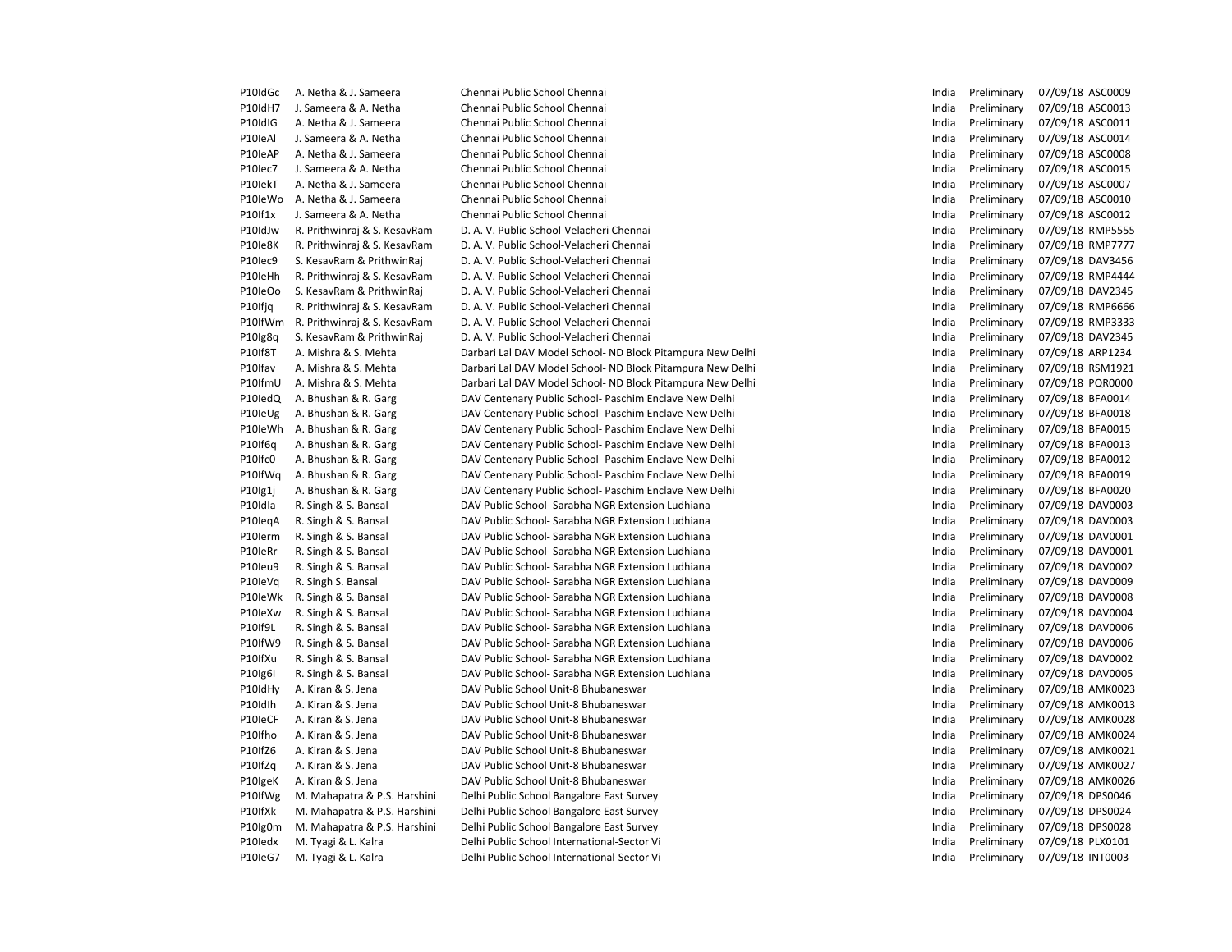| P10IdGc | A. Netha & J. Sameera        | Chennai Public School Chennai                              | India | Preliminary | 07/09/18 ASC0009 |
|---------|------------------------------|------------------------------------------------------------|-------|-------------|------------------|
| P10IdH7 | J. Sameera & A. Netha        | Chennai Public School Chennai                              | India | Preliminary | 07/09/18 ASC0013 |
| P10IdIG | A. Netha & J. Sameera        | Chennai Public School Chennai                              | India | Preliminary | 07/09/18 ASC0011 |
| P10leAl | J. Sameera & A. Netha        | Chennai Public School Chennai                              | India | Preliminary | 07/09/18 ASC0014 |
| P10leAP | A. Netha & J. Sameera        | Chennai Public School Chennai                              | India | Preliminary | 07/09/18 ASC0008 |
| P10lec7 | J. Sameera & A. Netha        | Chennai Public School Chennai                              | India | Preliminary | 07/09/18 ASC0015 |
| P10lekT | A. Netha & J. Sameera        | Chennai Public School Chennai                              | India | Preliminary | 07/09/18 ASC0007 |
| P10leWo | A. Netha & J. Sameera        | Chennai Public School Chennai                              | India | Preliminary | 07/09/18 ASC0010 |
| P10If1x | J. Sameera & A. Netha        | Chennai Public School Chennai                              | India | Preliminary | 07/09/18 ASC0012 |
| P10IdJw | R. Prithwinraj & S. KesavRam | D. A. V. Public School-Velacheri Chennai                   | India | Preliminary | 07/09/18 RMP5555 |
| P10le8K | R. Prithwinraj & S. KesavRam | D. A. V. Public School-Velacheri Chennai                   | India | Preliminary | 07/09/18 RMP7777 |
| P10lec9 | S. KesavRam & PrithwinRaj    | D. A. V. Public School-Velacheri Chennai                   | India | Preliminary | 07/09/18 DAV3456 |
| P10leHh | R. Prithwinraj & S. KesavRam | D. A. V. Public School-Velacheri Chennai                   | India | Preliminary | 07/09/18 RMP4444 |
| P10leOo | S. KesavRam & PrithwinRaj    | D. A. V. Public School-Velacheri Chennai                   | India | Preliminary | 07/09/18 DAV2345 |
| P10Ifjq | R. Prithwinraj & S. KesavRam | D. A. V. Public School-Velacheri Chennai                   | India | Preliminary | 07/09/18 RMP6666 |
| P10IfWm | R. Prithwinraj & S. KesavRam | D. A. V. Public School-Velacheri Chennai                   | India | Preliminary | 07/09/18 RMP3333 |
| P10Ig8q | S. KesavRam & PrithwinRaj    | D. A. V. Public School-Velacheri Chennai                   | India | Preliminary | 07/09/18 DAV2345 |
| P10If8T | A. Mishra & S. Mehta         | Darbari Lal DAV Model School- ND Block Pitampura New Delhi | India | Preliminary | 07/09/18 ARP1234 |
| P10Ifav | A. Mishra & S. Mehta         | Darbari Lal DAV Model School- ND Block Pitampura New Delhi | India | Preliminary | 07/09/18 RSM1921 |
| P10IfmU | A. Mishra & S. Mehta         | Darbari Lal DAV Model School- ND Block Pitampura New Delhi | India | Preliminary | 07/09/18 PQR0000 |
| P10ledQ | A. Bhushan & R. Garg         | DAV Centenary Public School- Paschim Enclave New Delhi     | India | Preliminary | 07/09/18 BFA0014 |
| P10leUg | A. Bhushan & R. Garg         | DAV Centenary Public School- Paschim Enclave New Delhi     | India | Preliminary | 07/09/18 BFA0018 |
| P10leWh | A. Bhushan & R. Garg         | DAV Centenary Public School- Paschim Enclave New Delhi     | India | Preliminary | 07/09/18 BFA0015 |
| P10If6q | A. Bhushan & R. Garg         | DAV Centenary Public School- Paschim Enclave New Delhi     | India | Preliminary | 07/09/18 BFA0013 |
| P10Ifc0 | A. Bhushan & R. Garg         | DAV Centenary Public School- Paschim Enclave New Delhi     | India | Preliminary | 07/09/18 BFA0012 |
| P10IfWq | A. Bhushan & R. Garg         | DAV Centenary Public School- Paschim Enclave New Delhi     | India | Preliminary | 07/09/18 BFA0019 |
| P10lg1j | A. Bhushan & R. Garg         | DAV Centenary Public School- Paschim Enclave New Delhi     | India | Preliminary | 07/09/18 BFA0020 |
| P10Idla | R. Singh & S. Bansal         | DAV Public School- Sarabha NGR Extension Ludhiana          | India | Preliminary | 07/09/18 DAV0003 |
| P10legA | R. Singh & S. Bansal         | DAV Public School- Sarabha NGR Extension Ludhiana          | India | Preliminary | 07/09/18 DAV0003 |
| P10lerm | R. Singh & S. Bansal         | DAV Public School- Sarabha NGR Extension Ludhiana          | India | Preliminary | 07/09/18 DAV0001 |
| P10leRr | R. Singh & S. Bansal         | DAV Public School- Sarabha NGR Extension Ludhiana          | India | Preliminary | 07/09/18 DAV0001 |
| P10leu9 | R. Singh & S. Bansal         | DAV Public School- Sarabha NGR Extension Ludhiana          | India | Preliminary | 07/09/18 DAV0002 |
| P10leVq | R. Singh S. Bansal           | DAV Public School- Sarabha NGR Extension Ludhiana          | India | Preliminary | 07/09/18 DAV0009 |
| P10leWk | R. Singh & S. Bansal         | DAV Public School- Sarabha NGR Extension Ludhiana          | India | Preliminary | 07/09/18 DAV0008 |
| P10leXw | R. Singh & S. Bansal         | DAV Public School- Sarabha NGR Extension Ludhiana          | India | Preliminary | 07/09/18 DAV0004 |
| P10If9L | R. Singh & S. Bansal         | DAV Public School- Sarabha NGR Extension Ludhiana          | India | Preliminary | 07/09/18 DAV0006 |
| P10IfW9 | R. Singh & S. Bansal         | DAV Public School- Sarabha NGR Extension Ludhiana          | India | Preliminary | 07/09/18 DAV0006 |
| P10IfXu | R. Singh & S. Bansal         | DAV Public School- Sarabha NGR Extension Ludhiana          | India | Preliminary | 07/09/18 DAV0002 |
| P10Ig6I | R. Singh & S. Bansal         | DAV Public School- Sarabha NGR Extension Ludhiana          | India | Preliminary | 07/09/18 DAV0005 |
| P10IdHy | A. Kiran & S. Jena           | DAV Public School Unit-8 Bhubaneswar                       | India | Preliminary | 07/09/18 AMK0023 |
| P10Idlh | A. Kiran & S. Jena           | DAV Public School Unit-8 Bhubaneswar                       | India | Preliminary | 07/09/18 AMK0013 |
| P10IeCF | A. Kiran & S. Jena           | DAV Public School Unit-8 Bhubaneswar                       | India | Preliminary | 07/09/18 AMK0028 |
| P10Ifho | A. Kiran & S. Jena           | DAV Public School Unit-8 Bhubaneswar                       | India | Preliminary | 07/09/18 AMK0024 |
| P10IfZ6 | A. Kiran & S. Jena           | DAV Public School Unit-8 Bhubaneswar                       | India | Preliminary | 07/09/18 AMK0021 |
| P10IfZq | A. Kiran & S. Jena           | DAV Public School Unit-8 Bhubaneswar                       | India | Preliminary | 07/09/18 AMK0027 |
| P10IgeK | A. Kiran & S. Jena           | DAV Public School Unit-8 Bhubaneswar                       | India | Preliminary | 07/09/18 AMK0026 |
| P10IfWg | M. Mahapatra & P.S. Harshini | Delhi Public School Bangalore East Survey                  | India | Preliminary | 07/09/18 DPS0046 |
| P10IfXk | M. Mahapatra & P.S. Harshini | Delhi Public School Bangalore East Survey                  | India | Preliminary | 07/09/18 DPS0024 |
| P10Ig0m | M. Mahapatra & P.S. Harshini | Delhi Public School Bangalore East Survey                  | India | Preliminary | 07/09/18 DPS0028 |
| P10ledx | M. Tyagi & L. Kalra          | Delhi Public School International-Sector Vi                | India | Preliminary | 07/09/18 PLX0101 |
| P10leG7 | M. Tyagi & L. Kalra          | Delhi Public School International-Sector Vi                | India | Preliminary | 07/09/18 INT0003 |
|         |                              |                                                            |       |             |                  |

| India | Preliminary | 07/09/18 | ASC0009        |
|-------|-------------|----------|----------------|
| India | Preliminary | 07/09/18 | ASC0013        |
| India | Preliminary | 07/09/18 | ASC0011        |
| India | Preliminary | 07/09/18 | ASC0014        |
| India | Preliminary | 07/09/18 | ASC0008        |
| India | Preliminary | 07/09/18 | ASC0015        |
| India | Preliminary | 07/09/18 | ASC0007        |
| India | Preliminary | 07/09/18 | ASC0010        |
| India | Preliminary |          | ASC0012        |
| India |             | 07/09/18 | <b>RMP5555</b> |
| India | Preliminary | 07/09/18 | <b>RMP7777</b> |
|       | Preliminary | 07/09/18 |                |
| India | Preliminary | 07/09/18 | DAV3456        |
| India | Preliminary | 07/09/18 | <b>RMP4444</b> |
| India | Preliminary | 07/09/18 | DAV2345        |
| India | Preliminary | 07/09/18 | <b>RMP6666</b> |
| India | Preliminary | 07/09/18 | RMP3333        |
| India | Preliminary | 07/09/18 | DAV2345        |
| India | Preliminary | 07/09/18 | ARP1234        |
| India | Preliminary | 07/09/18 | RSM1921        |
| India | Preliminary | 07/09/18 | PQR0000        |
| India | Preliminary | 07/09/18 | BFA0014        |
| India | Preliminary | 07/09/18 | <b>BFA0018</b> |
| India | Preliminary | 07/09/18 | BFA0015        |
| India | Preliminary | 07/09/18 | BFA0013        |
| India | Preliminary | 07/09/18 | BFA0012        |
| India | Preliminary | 07/09/18 | BFA0019        |
| India | Preliminary | 07/09/18 | <b>BFA0020</b> |
| India | Preliminary | 07/09/18 | DAV0003        |
| India | Preliminary | 07/09/18 | DAV0003        |
| India | Preliminary | 07/09/18 | DAV0001        |
| India | Preliminary | 07/09/18 | DAV0001        |
| India | Preliminary | 07/09/18 | DAV0002        |
| India | Preliminary | 07/09/18 | DAV0009        |
| India | Preliminary | 07/09/18 | <b>DAV0008</b> |
| India | Preliminary | 07/09/18 | DAV0004        |
| India | Preliminary | 07/09/18 | DAV0006        |
| India | Preliminary | 07/09/18 | DAV0006        |
| India | Preliminary | 07/09/18 | DAV0002        |
| India | Preliminary | 07/09/18 | DAV0005        |
| India | Preliminary | 07/09/18 | AMK0023        |
| India | Preliminary | 07/09/18 | AMK0013        |
| India | Preliminary | 07/09/18 | AMK0028        |
| India | Preliminary | 07/09/18 | AMK0024        |
| India | Preliminary | 07/09/18 | AMK0021        |
| India | Preliminary | 07/09/18 | AMK0027        |
| India | Preliminary | 07/09/18 | AMK0026        |
| India | Preliminary | 07/09/18 | DPS0046        |
| India | Preliminary | 07/09/18 | DPS0024        |
| India | Preliminary | 07/09/18 | DPS0028        |
| India | Preliminary | 07/09/18 | PLX0101        |
| India | Preliminary | 07/09/18 | <b>INT0003</b> |
|       |             |          |                |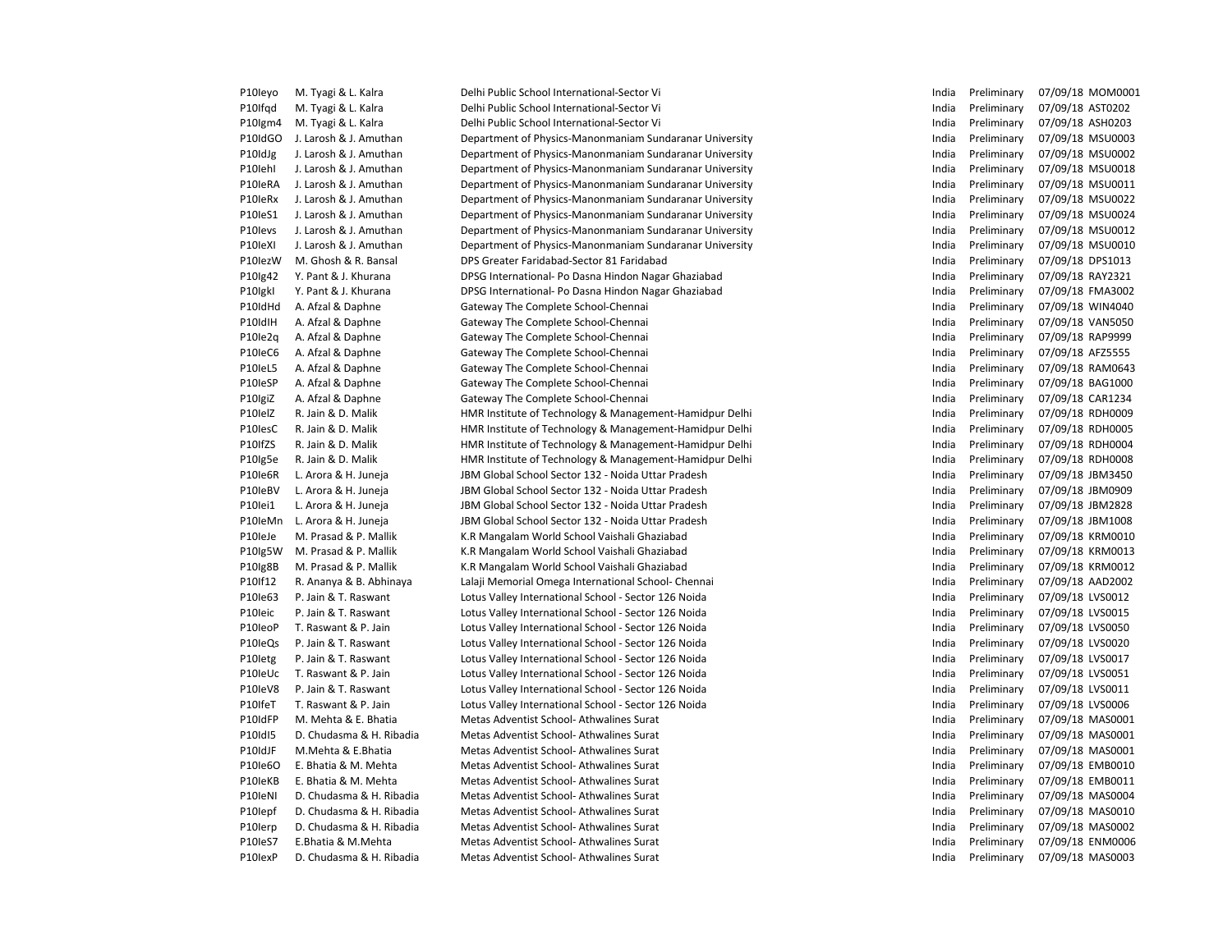| P10Ieyo | M. Tyagi & L. Kalra      | Delhi Public School International-Sector Vi             | India | Preliminary | 07/09/18 MOM0001 |
|---------|--------------------------|---------------------------------------------------------|-------|-------------|------------------|
| P10Ifqd | M. Tyagi & L. Kalra      | Delhi Public School International-Sector Vi             | India | Preliminary | 07/09/18 AST0202 |
| P10Igm4 | M. Tyagi & L. Kalra      | Delhi Public School International-Sector Vi             | India | Preliminary | 07/09/18 ASH0203 |
| P10IdGO | J. Larosh & J. Amuthan   | Department of Physics-Manonmaniam Sundaranar University | India | Preliminary | 07/09/18 MSU0003 |
| P10IdJg | J. Larosh & J. Amuthan   | Department of Physics-Manonmaniam Sundaranar University | India | Preliminary | 07/09/18 MSU0002 |
| P10lehl | J. Larosh & J. Amuthan   | Department of Physics-Manonmaniam Sundaranar University | India | Preliminary | 07/09/18 MSU0018 |
| P10IeRA | J. Larosh & J. Amuthan   | Department of Physics-Manonmaniam Sundaranar University | India | Preliminary | 07/09/18 MSU0011 |
| P10IeRx | J. Larosh & J. Amuthan   | Department of Physics-Manonmaniam Sundaranar University | India | Preliminary | 07/09/18 MSU0022 |
| P10IeS1 | J. Larosh & J. Amuthan   | Department of Physics-Manonmaniam Sundaranar University | India | Preliminary | 07/09/18 MSU0024 |
| P10levs | J. Larosh & J. Amuthan   | Department of Physics-Manonmaniam Sundaranar University | India | Preliminary | 07/09/18 MSU0012 |
| P10IeXI | J. Larosh & J. Amuthan   | Department of Physics-Manonmaniam Sundaranar University | India | Preliminary | 07/09/18 MSU0010 |
| P10lezW | M. Ghosh & R. Bansal     | DPS Greater Faridabad-Sector 81 Faridabad               | India | Preliminary | 07/09/18 DPS1013 |
| P10Ig42 | Y. Pant & J. Khurana     | DPSG International- Po Dasna Hindon Nagar Ghaziabad     | India | Preliminary | 07/09/18 RAY2321 |
| P10IgkI | Y. Pant & J. Khurana     | DPSG International- Po Dasna Hindon Nagar Ghaziabad     | India | Preliminary | 07/09/18 FMA3002 |
| P10IdHd | A. Afzal & Daphne        | Gateway The Complete School-Chennai                     | India | Preliminary | 07/09/18 WIN4040 |
| P10IdIH | A. Afzal & Daphne        | Gateway The Complete School-Chennai                     | India | Preliminary | 07/09/18 VAN5050 |
| P10Ie2q | A. Afzal & Daphne        | Gateway The Complete School-Chennai                     | India | Preliminary | 07/09/18 RAP9999 |
| P10IeC6 | A. Afzal & Daphne        | Gateway The Complete School-Chennai                     | India | Preliminary | 07/09/18 AFZ5555 |
| P10IeL5 | A. Afzal & Daphne        | Gateway The Complete School-Chennai                     | India | Preliminary | 07/09/18 RAM0643 |
| P10IeSP | A. Afzal & Daphne        | Gateway The Complete School-Chennai                     | India | Preliminary | 07/09/18 BAG1000 |
| P10IgiZ | A. Afzal & Daphne        | Gateway The Complete School-Chennai                     | India | Preliminary | 07/09/18 CAR1234 |
| P10IelZ | R. Jain & D. Malik       | HMR Institute of Technology & Management-Hamidpur Delhi | India | Preliminary | 07/09/18 RDH0009 |
| P10lesC | R. Jain & D. Malik       | HMR Institute of Technology & Management-Hamidpur Delhi | India | Preliminary | 07/09/18 RDH0005 |
| P10IfZS | R. Jain & D. Malik       | HMR Institute of Technology & Management-Hamidpur Delhi | India | Preliminary | 07/09/18 RDH0004 |
| P10Ig5e | R. Jain & D. Malik       | HMR Institute of Technology & Management-Hamidpur Delhi | India | Preliminary | 07/09/18 RDH0008 |
| P10Ie6R | L. Arora & H. Juneja     | JBM Global School Sector 132 - Noida Uttar Pradesh      | India | Preliminary | 07/09/18 JBM3450 |
| P10leBV | L. Arora & H. Juneja     | JBM Global School Sector 132 - Noida Uttar Pradesh      | India | Preliminary | 07/09/18 JBM0909 |
| P10lei1 | L. Arora & H. Juneja     | JBM Global School Sector 132 - Noida Uttar Pradesh      | India | Preliminary | 07/09/18 JBM2828 |
| P10IeMn | L. Arora & H. Juneja     | JBM Global School Sector 132 - Noida Uttar Pradesh      | India | Preliminary | 07/09/18 JBM1008 |
| P10leJe | M. Prasad & P. Mallik    | K.R Mangalam World School Vaishali Ghaziabad            | India | Preliminary | 07/09/18 KRM0010 |
| P10Ig5W | M. Prasad & P. Mallik    | K.R Mangalam World School Vaishali Ghaziabad            | India | Preliminary | 07/09/18 KRM0013 |
| P10Ig8B | M. Prasad & P. Mallik    | K.R Mangalam World School Vaishali Ghaziabad            | India | Preliminary | 07/09/18 KRM0012 |
| P10If12 | R. Ananya & B. Abhinaya  | Lalaji Memorial Omega International School- Chennai     | India | Preliminary | 07/09/18 AAD2002 |
| P10Ie63 | P. Jain & T. Raswant     | Lotus Valley International School - Sector 126 Noida    | India | Preliminary | 07/09/18 LVS0012 |
| P10Ieic | P. Jain & T. Raswant     | Lotus Valley International School - Sector 126 Noida    | India | Preliminary | 07/09/18 LVS0015 |
| P10leoP | T. Raswant & P. Jain     | Lotus Valley International School - Sector 126 Noida    | India | Preliminary | 07/09/18 LVS0050 |
| P10IeQs | P. Jain & T. Raswant     | Lotus Valley International School - Sector 126 Noida    | India | Preliminary | 07/09/18 LVS0020 |
| P10letg | P. Jain & T. Raswant     | Lotus Valley International School - Sector 126 Noida    | India | Preliminary | 07/09/18 LVS0017 |
| P10IeUc | T. Raswant & P. Jain     | Lotus Valley International School - Sector 126 Noida    | India | Preliminary | 07/09/18 LVS0051 |
| P10leV8 | P. Jain & T. Raswant     | Lotus Valley International School - Sector 126 Noida    | India | Preliminary | 07/09/18 LVS0011 |
| P10IfeT | T. Raswant & P. Jain     | Lotus Valley International School - Sector 126 Noida    | India | Preliminary | 07/09/18 LVS0006 |
| P10IdFP | M. Mehta & E. Bhatia     | Metas Adventist School-Athwalines Surat                 | India | Preliminary | 07/09/18 MAS0001 |
| P10IdI5 | D. Chudasma & H. Ribadia | Metas Adventist School- Athwalines Surat                | India | Preliminary | 07/09/18 MAS0001 |
| P10IdJF | M.Mehta & E.Bhatia       | Metas Adventist School-Athwalines Surat                 | India | Preliminary | 07/09/18 MAS0001 |
| P10Ie6O | E. Bhatia & M. Mehta     | Metas Adventist School-Athwalines Surat                 | India | Preliminary | 07/09/18 EMB0010 |
| P10leKB | E. Bhatia & M. Mehta     | Metas Adventist School-Athwalines Surat                 | India | Preliminary | 07/09/18 EMB0011 |
| P10IeNI | D. Chudasma & H. Ribadia | Metas Adventist School-Athwalines Surat                 | India | Preliminary | 07/09/18 MAS0004 |
| P10lepf | D. Chudasma & H. Ribadia | Metas Adventist School-Athwalines Surat                 | India | Preliminary | 07/09/18 MAS0010 |
| P10Ierp | D. Chudasma & H. Ribadia | Metas Adventist School-Athwalines Surat                 | India | Preliminary | 07/09/18 MAS0002 |
| P10IeS7 | E.Bhatia & M.Mehta       | Metas Adventist School-Athwalines Surat                 | India | Preliminary | 07/09/18 ENM0006 |
| P10lexP | D. Chudasma & H. Ribadia | Metas Adventist School-Athwalines Surat                 | India | Preliminary | 07/09/18 MAS0003 |
|         |                          |                                                         |       |             |                  |

| India | Preliminary | 07/09/18 | MOM0001        |
|-------|-------------|----------|----------------|
| India | Preliminary | 07/09/18 | AST0202        |
| India | Preliminary | 07/09/18 | ASH0203        |
| India | Preliminary | 07/09/18 | MSU0003        |
| India | Preliminary | 07/09/18 | MSU0002        |
| India | Preliminary | 07/09/18 | MSU0018        |
| India | Preliminary | 07/09/18 | MSU0011        |
| India | Preliminary | 07/09/18 | MSU0022        |
| India | Preliminary | 07/09/18 | MSU0024        |
| India | Preliminary | 07/09/18 | MSU0012        |
| India | Preliminary | 07/09/18 | MSU0010        |
| India | Preliminary | 07/09/18 | DPS1013        |
| India | Preliminary | 07/09/18 | RAY2321        |
| India | Preliminary | 07/09/18 | <b>FMA3002</b> |
| India | Preliminary | 07/09/18 | WIN4040        |
| India | Preliminary | 07/09/18 | <b>VAN5050</b> |
| India | Preliminary | 07/09/18 | RAP9999        |
| India | Preliminary | 07/09/18 | AFZ5555        |
| India | Preliminary | 07/09/18 | RAM0643        |
| India | Preliminary | 07/09/18 | <b>BAG1000</b> |
| India | Preliminary | 07/09/18 | CAR1234        |
| India | Preliminary | 07/09/18 | RDH0009        |
| India | Preliminary | 07/09/18 | <b>RDH0005</b> |
| India | Preliminary | 07/09/18 | RDH0004        |
| India | Preliminary | 07/09/18 | <b>RDH0008</b> |
| India | Preliminary | 07/09/18 | JBM3450        |
| India | Preliminary | 07/09/18 | JBM0909        |
| India | Preliminary | 07/09/18 | <b>JBM2828</b> |
| India | Preliminary | 07/09/18 | <b>JBM1008</b> |
| India | Preliminary | 07/09/18 | KRM0010        |
| India | Preliminary | 07/09/18 | KRM0013        |
| India | Preliminary | 07/09/18 | KRM0012        |
| India | Preliminary | 07/09/18 | AAD2002        |
| India | Preliminary | 07/09/18 | LVS0012        |
| India | Preliminary | 07/09/18 | LVS0015        |
| India | Preliminary | 07/09/18 | <b>LVS0050</b> |
| India | Preliminary | 07/09/18 | LVS0020        |
| India | Preliminary | 07/09/18 | LVS0017        |
| India | Preliminary | 07/09/18 | LVS0051        |
| India | Preliminary | 07/09/18 | LVS0011        |
| India | Preliminary | 07/09/18 | LVS0006        |
| India | Preliminary | 07/09/18 | MAS0001        |
| India | Preliminary | 07/09/18 | MAS0001        |
| India | Preliminary | 07/09/18 | MAS0001        |
| India | Preliminary | 07/09/18 | EMB0010        |
| India | Preliminary | 07/09/18 | EMB0011        |
| India | Preliminary | 07/09/18 | MAS0004        |
| India | Preliminary | 07/09/18 | MAS0010        |
| India | Preliminary | 07/09/18 | MAS0002        |
| India | Preliminary | 07/09/18 | <b>ENM0006</b> |
| India | Preliminary | 07/09/18 | MAS0003        |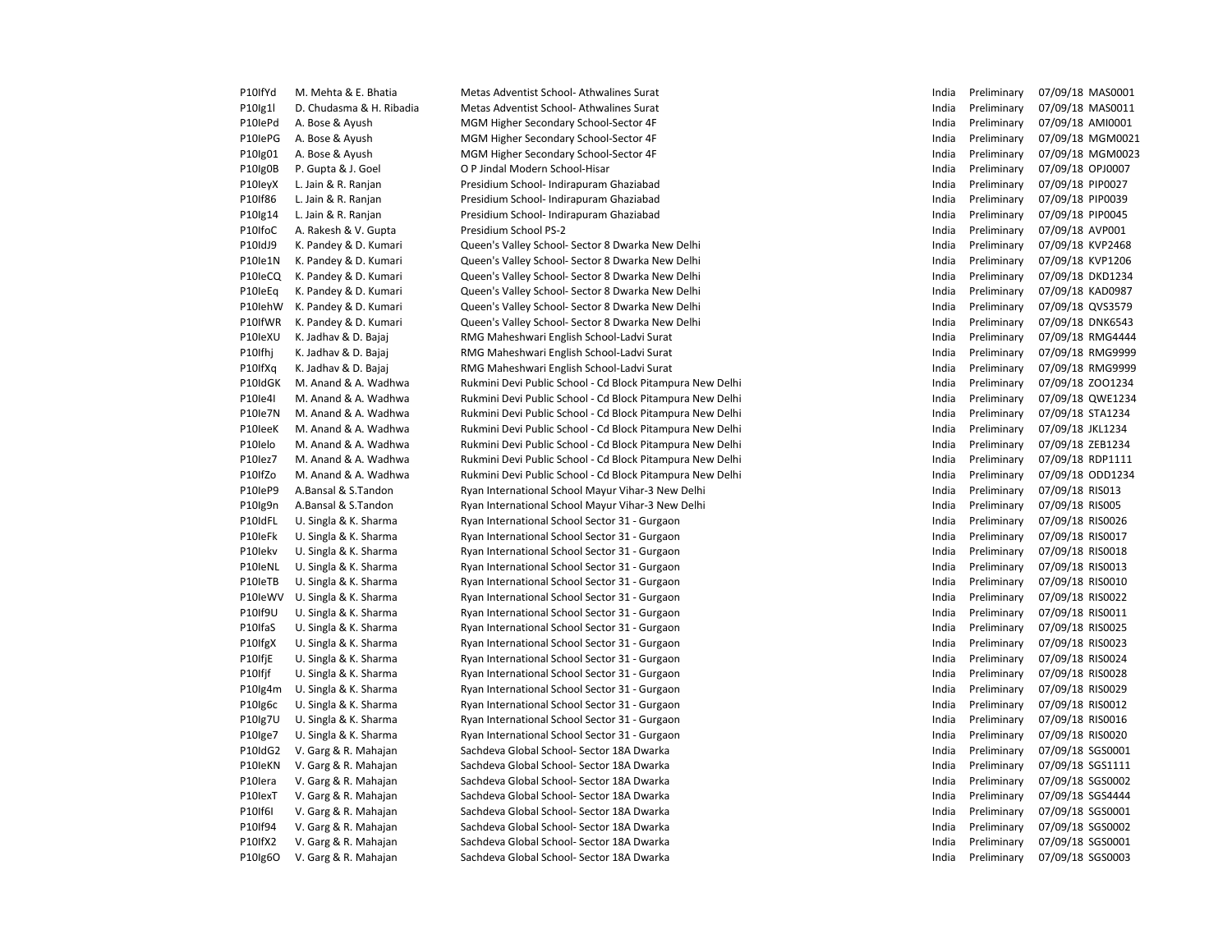| P10IfYd | M. Mehta & E. Bhatia     | Metas Adventist School- Athwalines Surat                  | India | Preliminary | 07/09/18 MAS0001 |
|---------|--------------------------|-----------------------------------------------------------|-------|-------------|------------------|
| P10Ig1l | D. Chudasma & H. Ribadia | Metas Adventist School-Athwalines Surat                   | India | Preliminary | 07/09/18 MAS0011 |
| P10IePd | A. Bose & Ayush          | MGM Higher Secondary School-Sector 4F                     | India | Preliminary | 07/09/18 AMI0001 |
| P10IePG | A. Bose & Ayush          | MGM Higher Secondary School-Sector 4F                     | India | Preliminary | 07/09/18 MGM0021 |
| P10lg01 | A. Bose & Ayush          | MGM Higher Secondary School-Sector 4F                     | India | Preliminary | 07/09/18 MGM0023 |
| P10lg0B | P. Gupta & J. Goel       | O P Jindal Modern School-Hisar                            | India | Preliminary | 07/09/18 OPJ0007 |
| P10leyX | L. Jain & R. Ranjan      | Presidium School- Indirapuram Ghaziabad                   | India | Preliminary | 07/09/18 PIP0027 |
| P10If86 | L. Jain & R. Ranjan      | Presidium School- Indirapuram Ghaziabad                   | India | Preliminary | 07/09/18 PIP0039 |
| P10Ig14 | L. Jain & R. Ranjan      | Presidium School- Indirapuram Ghaziabad                   | India | Preliminary | 07/09/18 PIP0045 |
| P10IfoC | A. Rakesh & V. Gupta     | Presidium School PS-2                                     | India | Preliminary | 07/09/18 AVP001  |
| P10IdJ9 | K. Pandey & D. Kumari    | Queen's Valley School- Sector 8 Dwarka New Delhi          | India | Preliminary | 07/09/18 KVP2468 |
| P10Ie1N | K. Pandey & D. Kumari    | Queen's Valley School- Sector 8 Dwarka New Delhi          | India | Preliminary | 07/09/18 KVP1206 |
| P10IeCQ | K. Pandey & D. Kumari    | Queen's Valley School- Sector 8 Dwarka New Delhi          | India | Preliminary | 07/09/18 DKD1234 |
| P10leEq | K. Pandey & D. Kumari    | Queen's Valley School- Sector 8 Dwarka New Delhi          | India | Preliminary | 07/09/18 KAD0987 |
| P10IehW | K. Pandey & D. Kumari    | Queen's Valley School- Sector 8 Dwarka New Delhi          | India | Preliminary | 07/09/18 QVS3579 |
| P10IfWR | K. Pandey & D. Kumari    | Queen's Valley School- Sector 8 Dwarka New Delhi          | India | Preliminary | 07/09/18 DNK6543 |
| P10IeXU | K. Jadhav & D. Bajaj     | RMG Maheshwari English School-Ladvi Surat                 | India | Preliminary | 07/09/18 RMG4444 |
| P10Ifhj | K. Jadhav & D. Bajaj     | RMG Maheshwari English School-Ladvi Surat                 | India | Preliminary | 07/09/18 RMG9999 |
| P10IfXq | K. Jadhav & D. Bajaj     | RMG Maheshwari English School-Ladvi Surat                 | India | Preliminary | 07/09/18 RMG9999 |
| P10IdGK | M. Anand & A. Wadhwa     | Rukmini Devi Public School - Cd Block Pitampura New Delhi | India | Preliminary | 07/09/18 ZOO1234 |
| P10Ie4I | M. Anand & A. Wadhwa     | Rukmini Devi Public School - Cd Block Pitampura New Delhi | India | Preliminary | 07/09/18 QWE1234 |
| P10Ie7N | M. Anand & A. Wadhwa     | Rukmini Devi Public School - Cd Block Pitampura New Delhi | India | Preliminary | 07/09/18 STA1234 |
| P10leeK | M. Anand & A. Wadhwa     | Rukmini Devi Public School - Cd Block Pitampura New Delhi | India | Preliminary | 07/09/18 JKL1234 |
| P10Ielo | M. Anand & A. Wadhwa     | Rukmini Devi Public School - Cd Block Pitampura New Delhi | India | Preliminary | 07/09/18 ZEB1234 |
| P10lez7 | M. Anand & A. Wadhwa     | Rukmini Devi Public School - Cd Block Pitampura New Delhi | India | Preliminary | 07/09/18 RDP1111 |
| P10IfZo | M. Anand & A. Wadhwa     | Rukmini Devi Public School - Cd Block Pitampura New Delhi | India | Preliminary | 07/09/18 ODD1234 |
| P10leP9 | A.Bansal & S.Tandon      | Ryan International School Mayur Vihar-3 New Delhi         | India | Preliminary | 07/09/18 RIS013  |
| P10Ig9n | A.Bansal & S.Tandon      | Ryan International School Mayur Vihar-3 New Delhi         | India | Preliminary | 07/09/18 RIS005  |
| P10IdFL | U. Singla & K. Sharma    | Ryan International School Sector 31 - Gurgaon             | India | Preliminary | 07/09/18 RIS0026 |
| P10IeFk | U. Singla & K. Sharma    | Ryan International School Sector 31 - Gurgaon             | India | Preliminary | 07/09/18 RIS0017 |
| P10Iekv | U. Singla & K. Sharma    | Ryan International School Sector 31 - Gurgaon             | India | Preliminary | 07/09/18 RIS0018 |
| P10IeNL | U. Singla & K. Sharma    | Ryan International School Sector 31 - Gurgaon             | India | Preliminary | 07/09/18 RIS0013 |
| P10IeTB | U. Singla & K. Sharma    | Ryan International School Sector 31 - Gurgaon             | India | Preliminary | 07/09/18 RIS0010 |
| P10leWV | U. Singla & K. Sharma    | Ryan International School Sector 31 - Gurgaon             | India | Preliminary | 07/09/18 RIS0022 |
| P10If9U | U. Singla & K. Sharma    | Ryan International School Sector 31 - Gurgaon             | India | Preliminary | 07/09/18 RIS0011 |
| P10IfaS | U. Singla & K. Sharma    | Ryan International School Sector 31 - Gurgaon             | India | Preliminary | 07/09/18 RIS0025 |
| P10IfgX | U. Singla & K. Sharma    | Ryan International School Sector 31 - Gurgaon             | India | Preliminary | 07/09/18 RIS0023 |
| P10IfjE | U. Singla & K. Sharma    | Ryan International School Sector 31 - Gurgaon             | India | Preliminary | 07/09/18 RIS0024 |
| P10Ifjf | U. Singla & K. Sharma    | Ryan International School Sector 31 - Gurgaon             | India | Preliminary | 07/09/18 RIS0028 |
| P10Ig4m | U. Singla & K. Sharma    | Ryan International School Sector 31 - Gurgaon             | India | Preliminary | 07/09/18 RIS0029 |
| P10Ig6c | U. Singla & K. Sharma    | Ryan International School Sector 31 - Gurgaon             | India | Preliminary | 07/09/18 RIS0012 |
| P10Ig7U | U. Singla & K. Sharma    | Ryan International School Sector 31 - Gurgaon             | India | Preliminary | 07/09/18 RIS0016 |
| P10Ige7 | U. Singla & K. Sharma    | Ryan International School Sector 31 - Gurgaon             | India | Preliminary | 07/09/18 RIS0020 |
| P10IdG2 | V. Garg & R. Mahajan     | Sachdeva Global School- Sector 18A Dwarka                 | India | Preliminary | 07/09/18 SGS0001 |
| P10IeKN | V. Garg & R. Mahajan     | Sachdeva Global School- Sector 18A Dwarka                 | India | Preliminary | 07/09/18 SGS1111 |
| P10lera | V. Garg & R. Mahajan     | Sachdeva Global School- Sector 18A Dwarka                 | India | Preliminary | 07/09/18 SGS0002 |
| P10IexT | V. Garg & R. Mahajan     | Sachdeva Global School- Sector 18A Dwarka                 | India | Preliminary | 07/09/18 SGS4444 |
| P10If6I | V. Garg & R. Mahajan     | Sachdeva Global School- Sector 18A Dwarka                 | India | Preliminary | 07/09/18 SGS0001 |
| P10If94 | V. Garg & R. Mahajan     | Sachdeva Global School- Sector 18A Dwarka                 | India | Preliminary | 07/09/18 SGS0002 |
| P10IfX2 | V. Garg & R. Mahajan     | Sachdeva Global School- Sector 18A Dwarka                 | India | Preliminary | 07/09/18 SGS0001 |
| P10Ig6O | V. Garg & R. Mahajan     | Sachdeva Global School- Sector 18A Dwarka                 | India | Preliminary | 07/09/18 SGS0003 |

| India | Preliminary | 07/09/18 | MAS0001        |
|-------|-------------|----------|----------------|
| India | Preliminary | 07/09/18 | MAS0011        |
| India | Preliminary | 07/09/18 | AMI0001        |
| India | Preliminary | 07/09/18 | MGM002:        |
| India | Preliminary | 07/09/18 | MGM0023        |
| India | Preliminary | 07/09/18 | OPJ0007        |
| India | Preliminary | 07/09/18 | PIP0027        |
| India | Preliminary | 07/09/18 | PIP0039        |
| India | Preliminary | 07/09/18 | PIP0045        |
| India | Preliminary | 07/09/18 | AVP001         |
| India | Preliminary | 07/09/18 | <b>KVP2468</b> |
| India | Preliminary | 07/09/18 | KVP1206        |
| India | Preliminary | 07/09/18 | <b>DKD1234</b> |
| India | Preliminary | 07/09/18 | KAD0987        |
| India | Preliminary | 07/09/18 | QVS3579        |
| India | Preliminary | 07/09/18 | <b>DNK6543</b> |
| India | Preliminary | 07/09/18 | <b>RMG4444</b> |
| India | Preliminary | 07/09/18 | <b>RMG9999</b> |
|       |             |          |                |
| India | Preliminary | 07/09/18 | <b>RMG9999</b> |
| India | Preliminary | 07/09/18 | ZO01234        |
| India | Preliminary | 07/09/18 | QWE1234        |
| India | Preliminary | 07/09/18 | STA1234        |
| India | Preliminary | 07/09/18 | JKL1234        |
| India | Preliminary | 07/09/18 | ZEB1234        |
| India | Preliminary | 07/09/18 | RDP1111        |
| India | Preliminary | 07/09/18 | ODD1234        |
| India | Preliminary | 07/09/18 | <b>RISO13</b>  |
| India | Preliminary | 07/09/18 | <b>RISO05</b>  |
| India | Preliminary | 07/09/18 | <b>RIS0026</b> |
| India | Preliminary | 07/09/18 | RIS0017        |
| India | Preliminary | 07/09/18 | RIS0018        |
| India | Preliminary | 07/09/18 | RIS0013        |
| India | Preliminary | 07/09/18 | RIS0010        |
| India | Preliminary | 07/09/18 | <b>RISO022</b> |
| India | Preliminary | 07/09/18 | RIS0011        |
| India | Preliminary | 07/09/18 | <b>RIS0025</b> |
| India | Preliminary | 07/09/18 | RIS0023        |
| India | Preliminary | 07/09/18 | RIS0024        |
| India | Preliminary | 07/09/18 | <b>RISO028</b> |
| India | Preliminary | 07/09/18 | RIS0029        |
| India | Preliminary | 07/09/18 | RIS0012        |
| India | Preliminary | 07/09/18 | RIS0016        |
| India | Preliminary | 07/09/18 | <b>RISO020</b> |
| India | Preliminary | 07/09/18 | SGS0001        |
| India | Preliminary | 07/09/18 | SGS1111        |
| India | Preliminary | 07/09/18 | SGS0002        |
| India | Preliminary | 07/09/18 | SGS4444        |
| India | Preliminary | 07/09/18 | SGS0001        |
| India | Preliminary | 07/09/18 | SGS0002        |
| India | Preliminary | 07/09/18 | SGS0001        |
| India | Preliminary | 07/09/18 | SGS0003        |
|       |             |          |                |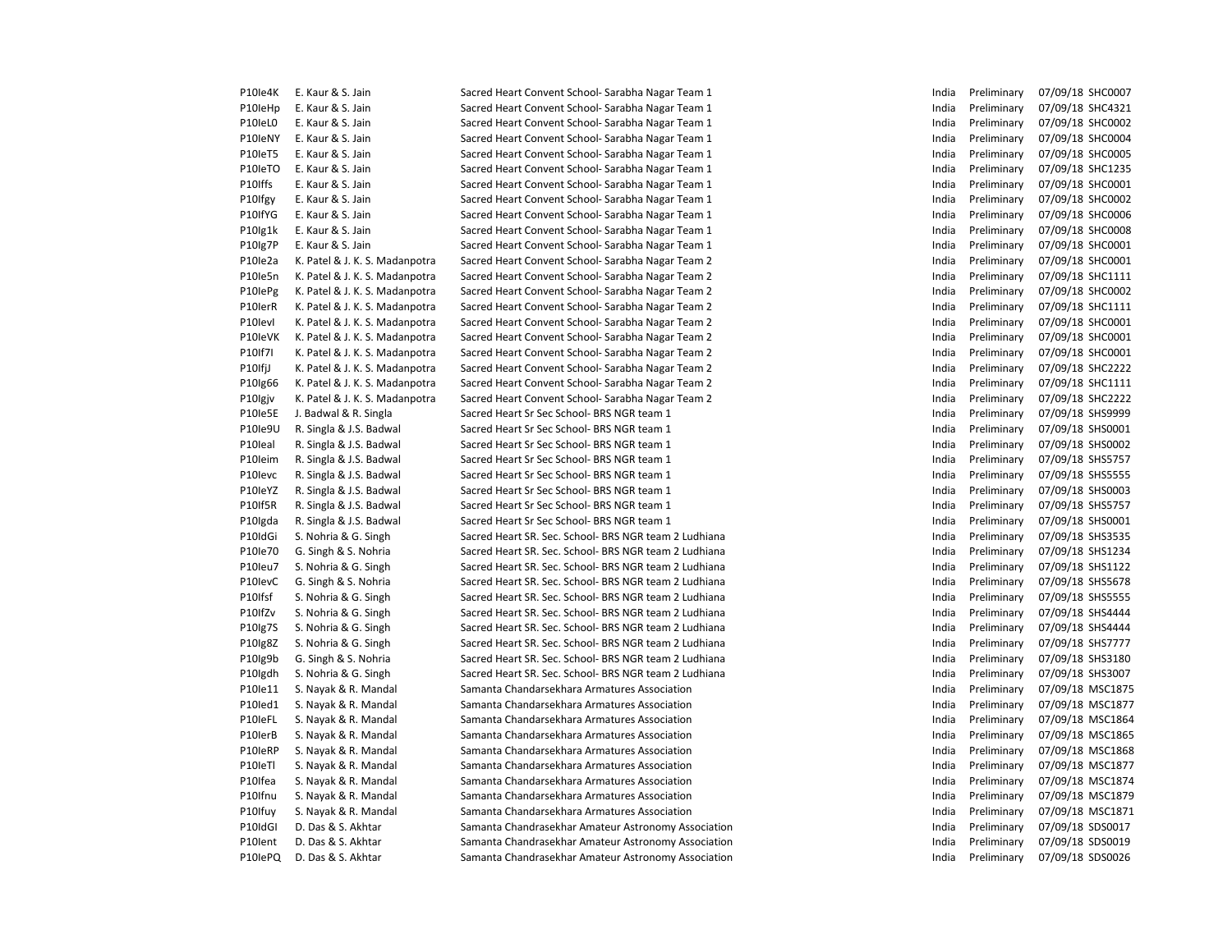| P10le4K | E. Kaur & S. Jain              | Sacred Heart Convent School- Sarabha Nagar Team 1     | India | Preliminary | 07/09/18 SHC0007 |
|---------|--------------------------------|-------------------------------------------------------|-------|-------------|------------------|
| P10leHp | E. Kaur & S. Jain              | Sacred Heart Convent School- Sarabha Nagar Team 1     | India | Preliminary | 07/09/18 SHC4321 |
| P10IeL0 | E. Kaur & S. Jain              | Sacred Heart Convent School- Sarabha Nagar Team 1     | India | Preliminary | 07/09/18 SHC0002 |
| P10leNY | E. Kaur & S. Jain              | Sacred Heart Convent School- Sarabha Nagar Team 1     | India | Preliminary | 07/09/18 SHC0004 |
| P10leT5 | E. Kaur & S. Jain              | Sacred Heart Convent School- Sarabha Nagar Team 1     | India | Preliminary | 07/09/18 SHC0005 |
| P10leTO | E. Kaur & S. Jain              | Sacred Heart Convent School- Sarabha Nagar Team 1     | India | Preliminary | 07/09/18 SHC1235 |
| P10Iffs | E. Kaur & S. Jain              | Sacred Heart Convent School- Sarabha Nagar Team 1     | India | Preliminary | 07/09/18 SHC0001 |
| P10Ifgy | E. Kaur & S. Jain              | Sacred Heart Convent School- Sarabha Nagar Team 1     | India | Preliminary | 07/09/18 SHC0002 |
| P10IfYG | E. Kaur & S. Jain              | Sacred Heart Convent School- Sarabha Nagar Team 1     | India | Preliminary | 07/09/18 SHC0006 |
| P10lg1k | E. Kaur & S. Jain              | Sacred Heart Convent School- Sarabha Nagar Team 1     | India | Preliminary | 07/09/18 SHC0008 |
| P10lg7P | E. Kaur & S. Jain              | Sacred Heart Convent School- Sarabha Nagar Team 1     | India | Preliminary | 07/09/18 SHC0001 |
| P10le2a | K. Patel & J. K. S. Madanpotra | Sacred Heart Convent School- Sarabha Nagar Team 2     | India | Preliminary | 07/09/18 SHC0001 |
| P10le5n | K. Patel & J. K. S. Madanpotra | Sacred Heart Convent School- Sarabha Nagar Team 2     | India | Preliminary | 07/09/18 SHC1111 |
| P10lePg | K. Patel & J. K. S. Madanpotra | Sacred Heart Convent School- Sarabha Nagar Team 2     | India | Preliminary | 07/09/18 SHC0002 |
| P10lerR | K. Patel & J. K. S. Madanpotra | Sacred Heart Convent School- Sarabha Nagar Team 2     | India | Preliminary | 07/09/18 SHC1111 |
| P10levl | K. Patel & J. K. S. Madanpotra | Sacred Heart Convent School- Sarabha Nagar Team 2     | India | Preliminary | 07/09/18 SHC0001 |
| P10leVK | K. Patel & J. K. S. Madanpotra | Sacred Heart Convent School- Sarabha Nagar Team 2     | India | Preliminary | 07/09/18 SHC0001 |
| P10If7I | K. Patel & J. K. S. Madanpotra | Sacred Heart Convent School- Sarabha Nagar Team 2     | India | Preliminary | 07/09/18 SHC0001 |
| P10IfjJ | K. Patel & J. K. S. Madanpotra | Sacred Heart Convent School- Sarabha Nagar Team 2     | India | Preliminary | 07/09/18 SHC2222 |
| P10lg66 | K. Patel & J. K. S. Madanpotra | Sacred Heart Convent School- Sarabha Nagar Team 2     | India | Preliminary | 07/09/18 SHC1111 |
| P10Igjv | K. Patel & J. K. S. Madanpotra | Sacred Heart Convent School- Sarabha Nagar Team 2     | India | Preliminary | 07/09/18 SHC2222 |
| P10Ie5E | J. Badwal & R. Singla          | Sacred Heart Sr Sec School- BRS NGR team 1            | India | Preliminary | 07/09/18 SHS9999 |
| P10le9U | R. Singla & J.S. Badwal        | Sacred Heart Sr Sec School- BRS NGR team 1            | India | Preliminary | 07/09/18 SHS0001 |
| P10leal | R. Singla & J.S. Badwal        | Sacred Heart Sr Sec School- BRS NGR team 1            | India | Preliminary | 07/09/18 SHS0002 |
| P10leim | R. Singla & J.S. Badwal        | Sacred Heart Sr Sec School- BRS NGR team 1            | India | Preliminary | 07/09/18 SHS5757 |
| P10levc | R. Singla & J.S. Badwal        | Sacred Heart Sr Sec School- BRS NGR team 1            | India | Preliminary | 07/09/18 SHS5555 |
| P10leYZ | R. Singla & J.S. Badwal        | Sacred Heart Sr Sec School- BRS NGR team 1            | India | Preliminary | 07/09/18 SHS0003 |
| P10If5R | R. Singla & J.S. Badwal        | Sacred Heart Sr Sec School- BRS NGR team 1            | India | Preliminary | 07/09/18 SHS5757 |
| P10Igda | R. Singla & J.S. Badwal        | Sacred Heart Sr Sec School- BRS NGR team 1            | India | Preliminary | 07/09/18 SHS0001 |
| P10IdGi | S. Nohria & G. Singh           | Sacred Heart SR. Sec. School- BRS NGR team 2 Ludhiana | India | Preliminary | 07/09/18 SHS3535 |
| P10le70 | G. Singh & S. Nohria           | Sacred Heart SR. Sec. School- BRS NGR team 2 Ludhiana | India | Preliminary | 07/09/18 SHS1234 |
| P10leu7 | S. Nohria & G. Singh           | Sacred Heart SR. Sec. School- BRS NGR team 2 Ludhiana | India | Preliminary | 07/09/18 SHS1122 |
| P10levC | G. Singh & S. Nohria           | Sacred Heart SR. Sec. School- BRS NGR team 2 Ludhiana | India | Preliminary | 07/09/18 SHS5678 |
| P10Ifsf | S. Nohria & G. Singh           | Sacred Heart SR. Sec. School- BRS NGR team 2 Ludhiana | India | Preliminary | 07/09/18 SHS5555 |
| P10IfZv | S. Nohria & G. Singh           | Sacred Heart SR. Sec. School- BRS NGR team 2 Ludhiana | India | Preliminary | 07/09/18 SHS4444 |
| P10lg7S | S. Nohria & G. Singh           | Sacred Heart SR. Sec. School- BRS NGR team 2 Ludhiana | India | Preliminary | 07/09/18 SHS4444 |
| P10lg8Z | S. Nohria & G. Singh           | Sacred Heart SR. Sec. School- BRS NGR team 2 Ludhiana | India | Preliminary | 07/09/18 SHS7777 |
| P10lg9b | G. Singh & S. Nohria           | Sacred Heart SR. Sec. School- BRS NGR team 2 Ludhiana | India | Preliminary | 07/09/18 SHS3180 |
| P10lgdh | S. Nohria & G. Singh           | Sacred Heart SR. Sec. School- BRS NGR team 2 Ludhiana | India | Preliminary | 07/09/18 SHS3007 |
| P10le11 | S. Nayak & R. Mandal           | Samanta Chandarsekhara Armatures Association          | India | Preliminary | 07/09/18 MSC1875 |
| P10led1 | S. Nayak & R. Mandal           | Samanta Chandarsekhara Armatures Association          | India | Preliminary | 07/09/18 MSC1877 |
| P10leFL | S. Nayak & R. Mandal           | Samanta Chandarsekhara Armatures Association          | India | Preliminary | 07/09/18 MSC1864 |
| P10lerB | S. Nayak & R. Mandal           | Samanta Chandarsekhara Armatures Association          | India | Preliminary | 07/09/18 MSC1865 |
| P10leRP | S. Nayak & R. Mandal           | Samanta Chandarsekhara Armatures Association          | India | Preliminary | 07/09/18 MSC1868 |
| P10leTl | S. Nayak & R. Mandal           | Samanta Chandarsekhara Armatures Association          | India | Preliminary | 07/09/18 MSC1877 |
| P10Ifea | S. Nayak & R. Mandal           | Samanta Chandarsekhara Armatures Association          | India | Preliminary | 07/09/18 MSC1874 |
| P10Ifnu | S. Nayak & R. Mandal           | Samanta Chandarsekhara Armatures Association          | India | Preliminary | 07/09/18 MSC1879 |
| P10Ifuy | S. Nayak & R. Mandal           | Samanta Chandarsekhara Armatures Association          | India | Preliminary | 07/09/18 MSC1871 |
| P10IdGI | D. Das & S. Akhtar             | Samanta Chandrasekhar Amateur Astronomy Association   | India | Preliminary | 07/09/18 SDS0017 |
| P10lent | D. Das & S. Akhtar             | Samanta Chandrasekhar Amateur Astronomy Association   | India | Preliminary | 07/09/18 SDS0019 |
| P10lePQ | D. Das & S. Akhtar             | Samanta Chandrasekhar Amateur Astronomy Association   | India | Preliminary | 07/09/18 SDS0026 |
|         |                                |                                                       |       |             |                  |

| India | Preliminary | 07/09/18 | SHC0007        |
|-------|-------------|----------|----------------|
| India | Preliminary | 07/09/18 | SHC4321        |
| India | Preliminary | 07/09/18 | SHC0002        |
| India | Preliminary | 07/09/18 | SHC0004        |
| India | Preliminary | 07/09/18 | SHC0005        |
| India | Preliminary | 07/09/18 | SHC1235        |
| India | Preliminary | 07/09/18 | SHC0001        |
| India | Preliminary | 07/09/18 | SHC0002        |
| India | Preliminary | 07/09/18 | SHC0006        |
| India | Preliminary | 07/09/18 | <b>SHC0008</b> |
| India | Preliminary | 07/09/18 | SHC0001        |
| India | Preliminary | 07/09/18 | SHC0001        |
| India | Preliminary | 07/09/18 | SHC1111        |
| India | Preliminary | 07/09/18 | SHC0002        |
| India | Preliminary | 07/09/18 | SHC1111        |
| India | Preliminary | 07/09/18 | SHC0001        |
| India | Preliminary | 07/09/18 | SHC0001        |
| India | Preliminary | 07/09/18 | SHC0001        |
| India | Preliminary | 07/09/18 | <b>SHC2222</b> |
| India | Preliminary | 07/09/18 | SHC1111        |
| India | Preliminary | 07/09/18 | <b>SHC2222</b> |
| India | Preliminary | 07/09/18 | SHS9999        |
| India | Preliminary | 07/09/18 | SHS0001        |
| India | Preliminary | 07/09/18 | SHS0002        |
| India | Preliminary | 07/09/18 | SHS5757        |
| India | Preliminary | 07/09/18 | <b>SHS5555</b> |
| India | Preliminary | 07/09/18 | SHS0003        |
| India | Preliminary | 07/09/18 | SHS5757        |
| India | Preliminary | 07/09/18 | SHS0001        |
| India | Preliminary | 07/09/18 | SHS3535        |
| India | Preliminary | 07/09/18 | SHS1234        |
| India | Preliminary | 07/09/18 | SHS1122        |
| India | Preliminary | 07/09/18 | SHS5678        |
| India | Preliminary | 07/09/18 | SHS5555        |
| India | Preliminary | 07/09/18 | SHS4444        |
| India | Preliminary | 07/09/18 | SHS4444        |
| India | Preliminary | 07/09/18 | SHS7777        |
| India | Preliminary | 07/09/18 | SHS3180        |
| India | Preliminary | 07/09/18 | SHS3007        |
| India | Preliminary | 07/09/18 | MSC1875        |
| India | Preliminary | 07/09/18 | MSC1877        |
| India | Preliminary | 07/09/18 | MSC1864        |
| India | Preliminary | 07/09/18 | MSC1865        |
| India | Preliminary | 07/09/18 | MSC1868        |
| India | Preliminary | 07/09/18 | MSC1877        |
| India | Preliminary | 07/09/18 | MSC1874        |
| India | Preliminary | 07/09/18 | MSC1879        |
| India | Preliminary | 07/09/18 | MSC1871        |
| India | Preliminary | 07/09/18 | SDS0017        |
| India | Preliminary | 07/09/18 | SDS0019        |
| India | Preliminary | 07/09/18 | SDS0026        |
|       |             |          |                |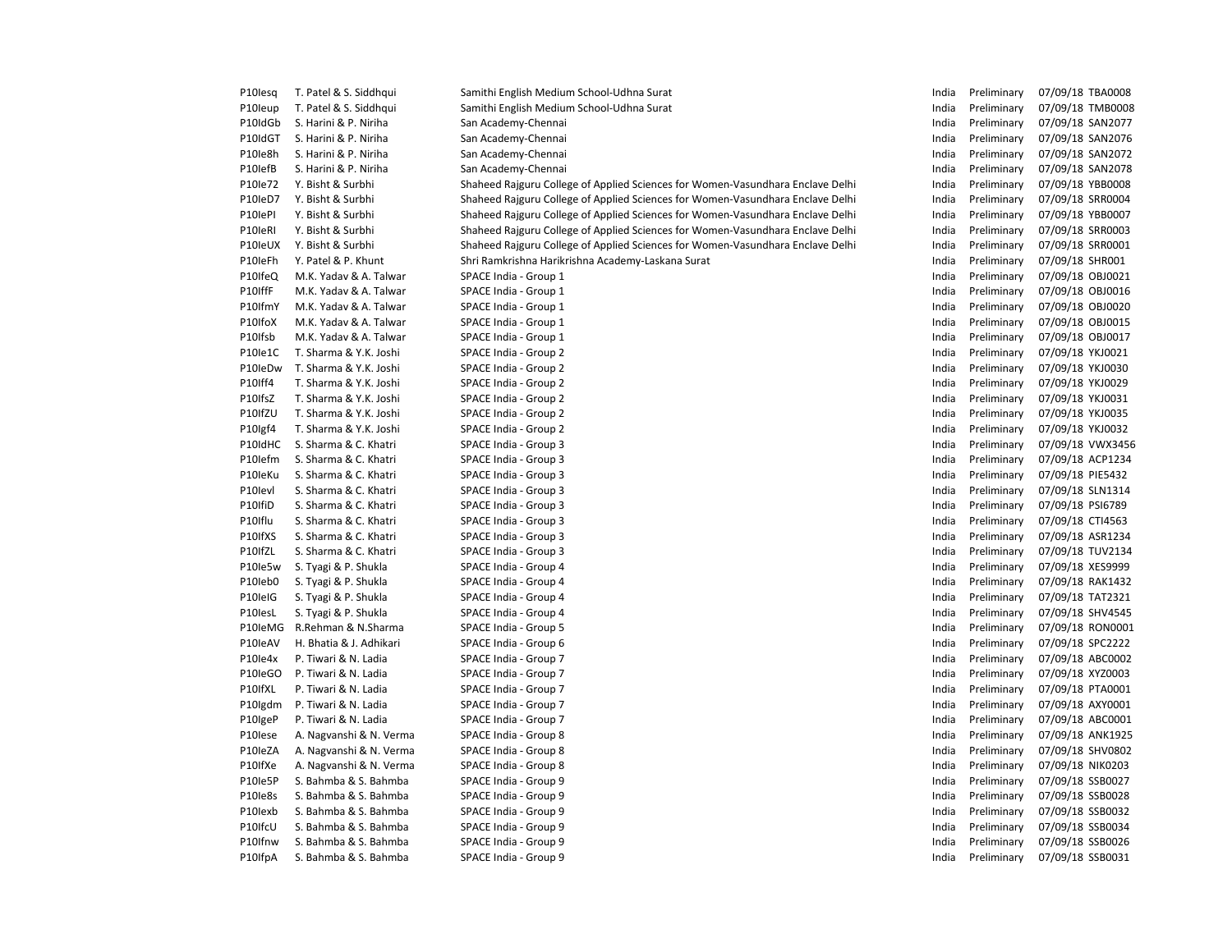| P10lesq | T. Patel & S. Siddhqui  | Samithi English Medium School-Udhna Surat                                      | India | Preliminary | 07/09/18 TBA0008 |
|---------|-------------------------|--------------------------------------------------------------------------------|-------|-------------|------------------|
| P10leup | T. Patel & S. Siddhqui  | Samithi English Medium School-Udhna Surat                                      | India | Preliminary | 07/09/18 TMB0008 |
| P10IdGb | S. Harini & P. Niriha   | San Academy-Chennai                                                            | India | Preliminary | 07/09/18 SAN2077 |
| P10IdGT | S. Harini & P. Niriha   | San Academy-Chennai                                                            | India | Preliminary | 07/09/18 SAN2076 |
| P10le8h | S. Harini & P. Niriha   | San Academy-Chennai                                                            | India | Preliminary | 07/09/18 SAN2072 |
| P10lefB | S. Harini & P. Niriha   | San Academy-Chennai                                                            | India | Preliminary | 07/09/18 SAN2078 |
| P10le72 | Y. Bisht & Surbhi       | Shaheed Rajguru College of Applied Sciences for Women-Vasundhara Enclave Delhi | India | Preliminary | 07/09/18 YBB0008 |
| P10leD7 | Y. Bisht & Surbhi       | Shaheed Rajguru College of Applied Sciences for Women-Vasundhara Enclave Delhi | India | Preliminary | 07/09/18 SRR0004 |
| P10lePl | Y. Bisht & Surbhi       | Shaheed Rajguru College of Applied Sciences for Women-Vasundhara Enclave Delhi | India | Preliminary | 07/09/18 YBB0007 |
| P10leRI | Y. Bisht & Surbhi       | Shaheed Rajguru College of Applied Sciences for Women-Vasundhara Enclave Delhi | India | Preliminary | 07/09/18 SRR0003 |
| P10leUX | Y. Bisht & Surbhi       | Shaheed Rajguru College of Applied Sciences for Women-Vasundhara Enclave Delhi | India | Preliminary | 07/09/18 SRR0001 |
| P10leFh | Y. Patel & P. Khunt     | Shri Ramkrishna Harikrishna Academy-Laskana Surat                              | India | Preliminary | 07/09/18 SHR001  |
| P10IfeQ | M.K. Yadav & A. Talwar  | SPACE India - Group 1                                                          | India | Preliminary | 07/09/18 OBJ0021 |
| P10IffF | M.K. Yadav & A. Talwar  | SPACE India - Group 1                                                          | India | Preliminary | 07/09/18 OBJ0016 |
| P10IfmY | M.K. Yadav & A. Talwar  | SPACE India - Group 1                                                          | India | Preliminary | 07/09/18 OBJ0020 |
| P10IfoX | M.K. Yadav & A. Talwar  | SPACE India - Group 1                                                          | India | Preliminary | 07/09/18 OBJ0015 |
| P10Ifsb |                         |                                                                                | India | Preliminary |                  |
|         | M.K. Yadav & A. Talwar  | SPACE India - Group 1                                                          |       |             | 07/09/18 OBJ0017 |
| P10le1C | T. Sharma & Y.K. Joshi  | SPACE India - Group 2                                                          | India | Preliminary | 07/09/18 YKJ0021 |
| P10leDw | T. Sharma & Y.K. Joshi  | SPACE India - Group 2                                                          | India | Preliminary | 07/09/18 YKJ0030 |
| P10Iff4 | T. Sharma & Y.K. Joshi  | SPACE India - Group 2                                                          | India | Preliminary | 07/09/18 YKJ0029 |
| P10IfsZ | T. Sharma & Y.K. Joshi  | SPACE India - Group 2                                                          | India | Preliminary | 07/09/18 YKJ0031 |
| P10IfZU | T. Sharma & Y.K. Joshi  | SPACE India - Group 2                                                          | India | Preliminary | 07/09/18 YKJ0035 |
| P10lgf4 | T. Sharma & Y.K. Joshi  | SPACE India - Group 2                                                          | India | Preliminary | 07/09/18 YKJ0032 |
| P10IdHC | S. Sharma & C. Khatri   | SPACE India - Group 3                                                          | India | Preliminary | 07/09/18 VWX3456 |
| P10lefm | S. Sharma & C. Khatri   | SPACE India - Group 3                                                          | India | Preliminary | 07/09/18 ACP1234 |
| P10leKu | S. Sharma & C. Khatri   | SPACE India - Group 3                                                          | India | Preliminary | 07/09/18 PIE5432 |
| P10levl | S. Sharma & C. Khatri   | SPACE India - Group 3                                                          | India | Preliminary | 07/09/18 SLN1314 |
| P10IfiD | S. Sharma & C. Khatri   | SPACE India - Group 3                                                          | India | Preliminary | 07/09/18 PSI6789 |
| P10Iflu | S. Sharma & C. Khatri   | SPACE India - Group 3                                                          | India | Preliminary | 07/09/18 CTI4563 |
| P10IfXS | S. Sharma & C. Khatri   | SPACE India - Group 3                                                          | India | Preliminary | 07/09/18 ASR1234 |
| P10IfZL | S. Sharma & C. Khatri   | SPACE India - Group 3                                                          | India | Preliminary | 07/09/18 TUV2134 |
| P10le5w | S. Tyagi & P. Shukla    | SPACE India - Group 4                                                          | India | Preliminary | 07/09/18 XES9999 |
| P10leb0 | S. Tyagi & P. Shukla    | SPACE India - Group 4                                                          | India | Preliminary | 07/09/18 RAK1432 |
| P10leIG | S. Tyagi & P. Shukla    | SPACE India - Group 4                                                          | India | Preliminary | 07/09/18 TAT2321 |
| P10lesL | S. Tyagi & P. Shukla    | SPACE India - Group 4                                                          | India | Preliminary | 07/09/18 SHV4545 |
| P10leMG | R.Rehman & N.Sharma     | SPACE India - Group 5                                                          | India | Preliminary | 07/09/18 RON0001 |
| P10leAV | H. Bhatia & J. Adhikari | SPACE India - Group 6                                                          | India | Preliminary | 07/09/18 SPC2222 |
| P10le4x | P. Tiwari & N. Ladia    | SPACE India - Group 7                                                          | India | Preliminary | 07/09/18 ABC0002 |
| P10leGO | P. Tiwari & N. Ladia    | SPACE India - Group 7                                                          | India | Preliminary | 07/09/18 XYZ0003 |
| P10IfXL | P. Tiwari & N. Ladia    | SPACE India - Group 7                                                          | India | Preliminary | 07/09/18 PTA0001 |
| P10lgdm | P. Tiwari & N. Ladia    | SPACE India - Group 7                                                          | India | Preliminary | 07/09/18 AXY0001 |
| P10IgeP | P. Tiwari & N. Ladia    | SPACE India - Group 7                                                          | India | Preliminary | 07/09/18 ABC0001 |
| P10lese | A. Nagvanshi & N. Verma | SPACE India - Group 8                                                          | India | Preliminary | 07/09/18 ANK1925 |
| P10IeZA | A. Nagvanshi & N. Verma | SPACE India - Group 8                                                          | India | Preliminary | 07/09/18 SHV0802 |
| P10IfXe | A. Nagvanshi & N. Verma | SPACE India - Group 8                                                          | India | Preliminary | 07/09/18 NIK0203 |
| P10le5P | S. Bahmba & S. Bahmba   | SPACE India - Group 9                                                          | India | Preliminary | 07/09/18 SSB0027 |
| P10le8s | S. Bahmba & S. Bahmba   | SPACE India - Group 9                                                          | India | Preliminary | 07/09/18 SSB0028 |
| P10lexb | S. Bahmba & S. Bahmba   | SPACE India - Group 9                                                          | India | Preliminary | 07/09/18 SSB0032 |
| P10IfcU | S. Bahmba & S. Bahmba   | SPACE India - Group 9                                                          | India | Preliminary | 07/09/18 SSB0034 |
| P10Ifnw | S. Bahmba & S. Bahmba   | SPACE India - Group 9                                                          | India | Preliminary | 07/09/18 SSB0026 |
| P10IfpA | S. Bahmba & S. Bahmba   | SPACE India - Group 9                                                          | India | Preliminary | 07/09/18 SSB0031 |
|         |                         |                                                                                |       |             |                  |

| India | Preliminary                | 07/09/18             | TBA0008        |
|-------|----------------------------|----------------------|----------------|
| India | Preliminary                | 07/09/18             | <b>TMB0008</b> |
| India | Preliminary                | 07/09/18             | SAN2077        |
| India | Preliminary                | 07/09/18             | SAN2076        |
| India | Preliminary                | 07/09/18             | SAN2072        |
| India | Preliminary                | 07/09/18             | SAN2078        |
| India | Preliminary                | 07/09/18             | <b>YBB0008</b> |
| India | Preliminary                | 07/09/18             | SRR0004        |
| India | Preliminary                | 07/09/18             | YBB0007        |
| India | Preliminary                | 07/09/18             | SRR0003        |
| India | Preliminary                | 07/09/18             | SRR0001        |
| India | Preliminary                | 07/09/18             | SHR001         |
| India | Preliminary                | 07/09/18             | OBJ0021        |
| India | Preliminary                | 07/09/18             | OBJ0016        |
| India | Preliminary                | 07/09/18             | <b>OBJ0020</b> |
| India | Preliminary                | 07/09/18             | OBJ0015        |
| India | Preliminary                | 07/09/18             | OBJ0017        |
| India | Preliminary                | 07/09/18             | YKJ0021        |
| India | Preliminary                | 07/09/18             | YKJ0030        |
| India | Preliminary                | 07/09/18             | YKJ0029        |
| India | Preliminary                | 07/09/18             | YKJ0031        |
| India | Preliminary                | 07/09/18             | YKJ0035        |
| India | Preliminary                | 07/09/18             | YKJ0032        |
| India | Preliminary                | 07/09/18             | VWX3456        |
| India | Preliminary                | 07/09/18             | ACP1234        |
| India | Preliminary                | 07/09/18             | PIE5432        |
| India | Preliminary                | 07/09/18             | SLN1314        |
| India | Preliminary                | 07/09/18             | PSI6789        |
| India | Preliminary                | 07/09/18             | CTI4563        |
| India | Preliminary                | 07/09/18             | ASR1234        |
| India | Preliminary                | 07/09/18             | <b>TUV2134</b> |
| India | Preliminary                | 07/09/18             | XES9999        |
| India | Preliminary                | 07/09/18             | <b>RAK1432</b> |
| India | Preliminary                | 07/09/18             | TAT2321        |
| India | Preliminary                | 07/09/18             | SHV4545        |
| India | Preliminary                | 07/09/18             | RON0001        |
| India | Preliminary                | 07/09/18             | SPC2222        |
| India | Preliminary                | 07/09/18             | ABC0002        |
| India | Preliminary                | 07/09/18             | XYZ0003        |
| India | Preliminary                | 07/09/18             | PTA0001        |
| India | Preliminary                | 07/09/18             | AXY0001        |
| India | Preliminary                | 07/09/18             | ABC0001        |
| India | Preliminary                | 07/09/18             | ANK1925        |
| India | Preliminary                | 07/09/18             | SHV0802        |
| India | Preliminary                | 07/09/18             | NIK0203        |
| India |                            | 07/09/18             | SSB0027        |
| India | Preliminary                |                      | SSB0028        |
| India | Preliminary<br>Preliminary | 07/09/18<br>07/09/18 | SSB0032        |
| India |                            | 07/09/18             | SSB0034        |
| India | Preliminary<br>Preliminary | 07/09/18             | SSB0026        |
| India | Preliminary                | 07/09/18             | SSB0031        |
|       |                            |                      |                |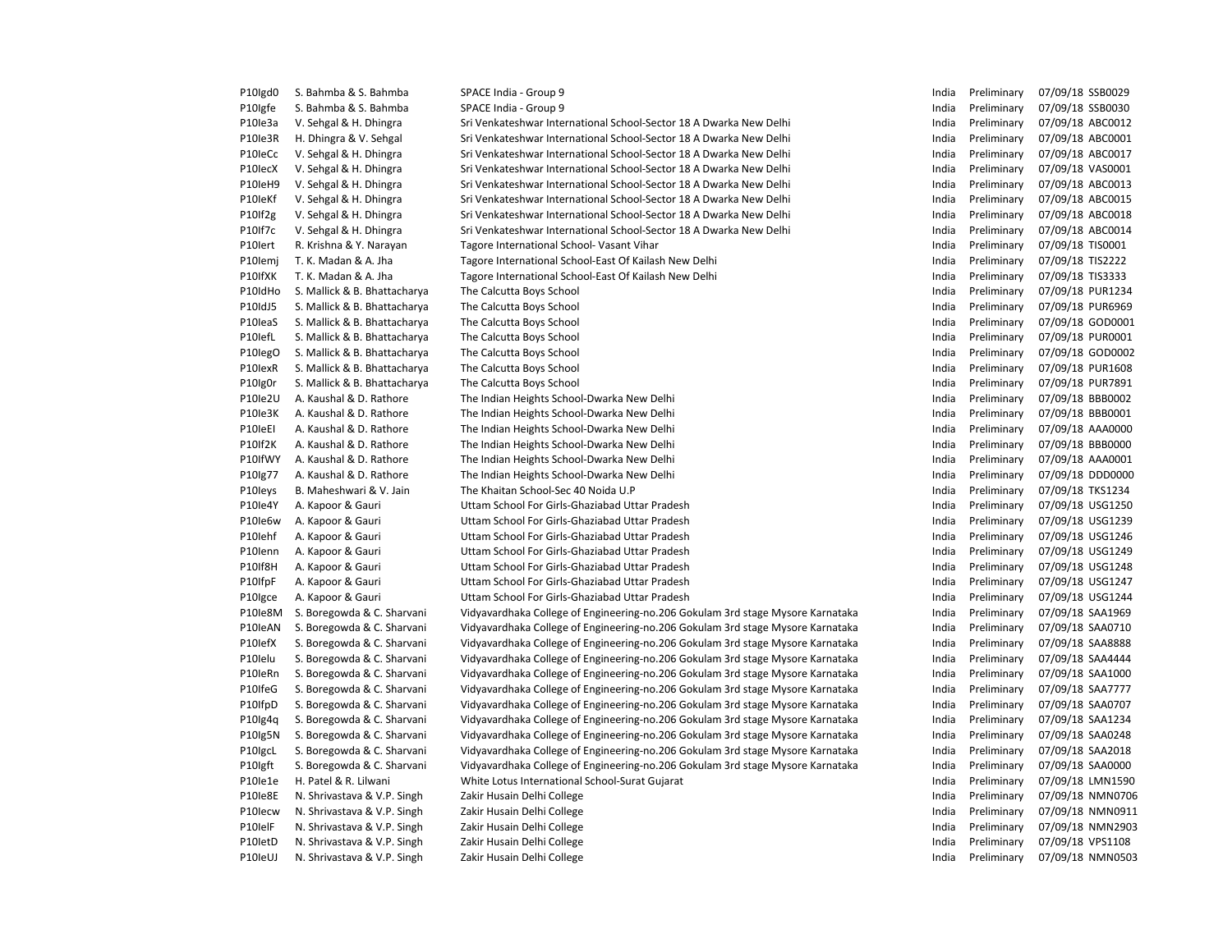| P10lgd0 | S. Bahmba & S. Bahmba        | SPACE India - Group 9                                                          | India | Preliminary | 07/09/18 SSB0029 |
|---------|------------------------------|--------------------------------------------------------------------------------|-------|-------------|------------------|
| P10Igfe | S. Bahmba & S. Bahmba        | SPACE India - Group 9                                                          | India | Preliminary | 07/09/18 SSB0030 |
| P10le3a | V. Sehgal & H. Dhingra       | Sri Venkateshwar International School-Sector 18 A Dwarka New Delhi             | India | Preliminary | 07/09/18 ABC0012 |
| P10le3R | H. Dhingra & V. Sehgal       | Sri Venkateshwar International School-Sector 18 A Dwarka New Delhi             | India | Preliminary | 07/09/18 ABC0001 |
| P10leCc | V. Sehgal & H. Dhingra       | Sri Venkateshwar International School-Sector 18 A Dwarka New Delhi             | India | Preliminary | 07/09/18 ABC0017 |
| P10lecX | V. Sehgal & H. Dhingra       | Sri Venkateshwar International School-Sector 18 A Dwarka New Delhi             | India | Preliminary | 07/09/18 VAS0001 |
| P10leH9 | V. Sehgal & H. Dhingra       | Sri Venkateshwar International School-Sector 18 A Dwarka New Delhi             | India | Preliminary | 07/09/18 ABC0013 |
| P10leKf | V. Sehgal & H. Dhingra       | Sri Venkateshwar International School-Sector 18 A Dwarka New Delhi             | India | Preliminary | 07/09/18 ABC0015 |
| P10If2g | V. Sehgal & H. Dhingra       | Sri Venkateshwar International School-Sector 18 A Dwarka New Delhi             | India | Preliminary | 07/09/18 ABC0018 |
| P10If7c | V. Sehgal & H. Dhingra       | Sri Venkateshwar International School-Sector 18 A Dwarka New Delhi             | India | Preliminary | 07/09/18 ABC0014 |
| P10lert | R. Krishna & Y. Narayan      | Tagore International School- Vasant Vihar                                      | India | Preliminary | 07/09/18 TIS0001 |
| P10lemj | T. K. Madan & A. Jha         | Tagore International School-East Of Kailash New Delhi                          | India | Preliminary | 07/09/18 TIS2222 |
| P10IfXK | T. K. Madan & A. Jha         | Tagore International School-East Of Kailash New Delhi                          | India | Preliminary | 07/09/18 TIS3333 |
| P10IdHo | S. Mallick & B. Bhattacharya | The Calcutta Boys School                                                       | India | Preliminary | 07/09/18 PUR1234 |
| P10IdJ5 | S. Mallick & B. Bhattacharya | The Calcutta Boys School                                                       | India | Preliminary | 07/09/18 PUR6969 |
| P10leaS | S. Mallick & B. Bhattacharya | The Calcutta Boys School                                                       | India | Preliminary | 07/09/18 GOD0001 |
| P10lefL | S. Mallick & B. Bhattacharya | The Calcutta Boys School                                                       | India | Preliminary | 07/09/18 PUR0001 |
| P10legO | S. Mallick & B. Bhattacharya | The Calcutta Boys School                                                       | India | Preliminary | 07/09/18 GOD0002 |
| P10lexR | S. Mallick & B. Bhattacharya | The Calcutta Boys School                                                       | India | Preliminary | 07/09/18 PUR1608 |
| P10lg0r | S. Mallick & B. Bhattacharya | The Calcutta Boys School                                                       | India | Preliminary | 07/09/18 PUR7891 |
| P10le2U | A. Kaushal & D. Rathore      | The Indian Heights School-Dwarka New Delhi                                     | India | Preliminary | 07/09/18 BBB0002 |
| P10le3K | A. Kaushal & D. Rathore      | The Indian Heights School-Dwarka New Delhi                                     | India | Preliminary | 07/09/18 BBB0001 |
| P10leEI | A. Kaushal & D. Rathore      | The Indian Heights School-Dwarka New Delhi                                     | India | Preliminary | 07/09/18 AAA0000 |
| P10If2K | A. Kaushal & D. Rathore      | The Indian Heights School-Dwarka New Delhi                                     | India | Preliminary | 07/09/18 BBB0000 |
| P10IfWY | A. Kaushal & D. Rathore      | The Indian Heights School-Dwarka New Delhi                                     | India | Preliminary | 07/09/18 AAA0001 |
| P10lg77 | A. Kaushal & D. Rathore      | The Indian Heights School-Dwarka New Delhi                                     | India | Preliminary | 07/09/18 DDD0000 |
| P10leys | B. Maheshwari & V. Jain      | The Khaitan School-Sec 40 Noida U.P                                            | India | Preliminary | 07/09/18 TKS1234 |
| P10le4Y | A. Kapoor & Gauri            | Uttam School For Girls-Ghaziabad Uttar Pradesh                                 | India | Preliminary | 07/09/18 USG1250 |
| P10le6w | A. Kapoor & Gauri            | Uttam School For Girls-Ghaziabad Uttar Pradesh                                 | India | Preliminary | 07/09/18 USG1239 |
| P10lehf | A. Kapoor & Gauri            | Uttam School For Girls-Ghaziabad Uttar Pradesh                                 | India | Preliminary | 07/09/18 USG1246 |
| P10lenn | A. Kapoor & Gauri            | Uttam School For Girls-Ghaziabad Uttar Pradesh                                 | India | Preliminary | 07/09/18 USG1249 |
| P10If8H | A. Kapoor & Gauri            | Uttam School For Girls-Ghaziabad Uttar Pradesh                                 | India | Preliminary | 07/09/18 USG1248 |
| P10IfpF | A. Kapoor & Gauri            | Uttam School For Girls-Ghaziabad Uttar Pradesh                                 | India | Preliminary | 07/09/18 USG1247 |
| P10lgce | A. Kapoor & Gauri            | Uttam School For Girls-Ghaziabad Uttar Pradesh                                 | India | Preliminary | 07/09/18 USG1244 |
| P10le8M | S. Boregowda & C. Sharvani   | Vidyavardhaka College of Engineering-no.206 Gokulam 3rd stage Mysore Karnataka | India | Preliminary | 07/09/18 SAA1969 |
| P10IeAN | S. Boregowda & C. Sharvani   | Vidyavardhaka College of Engineering-no.206 Gokulam 3rd stage Mysore Karnataka | India | Preliminary | 07/09/18 SAA0710 |
| P10lefX | S. Boregowda & C. Sharvani   | Vidyavardhaka College of Engineering-no.206 Gokulam 3rd stage Mysore Karnataka | India | Preliminary | 07/09/18 SAA8888 |
| P10lelu | S. Boregowda & C. Sharvani   | Vidyavardhaka College of Engineering-no.206 Gokulam 3rd stage Mysore Karnataka | India | Preliminary | 07/09/18 SAA4444 |
| P10leRn | S. Boregowda & C. Sharvani   | Vidyavardhaka College of Engineering-no.206 Gokulam 3rd stage Mysore Karnataka | India | Preliminary | 07/09/18 SAA1000 |
| P10IfeG | S. Boregowda & C. Sharvani   | Vidyavardhaka College of Engineering-no.206 Gokulam 3rd stage Mysore Karnataka | India | Preliminary | 07/09/18 SAA7777 |
| P10IfpD | S. Boregowda & C. Sharvani   | Vidyavardhaka College of Engineering-no.206 Gokulam 3rd stage Mysore Karnataka | India | Preliminary | 07/09/18 SAA0707 |
| P10lg4q | S. Boregowda & C. Sharvani   | Vidyavardhaka College of Engineering-no.206 Gokulam 3rd stage Mysore Karnataka | India | Preliminary | 07/09/18 SAA1234 |
| P10lg5N | S. Boregowda & C. Sharvani   | Vidyavardhaka College of Engineering-no.206 Gokulam 3rd stage Mysore Karnataka | India | Preliminary | 07/09/18 SAA0248 |
| P10lgcL | S. Boregowda & C. Sharvani   | Vidyavardhaka College of Engineering-no.206 Gokulam 3rd stage Mysore Karnataka | India | Preliminary | 07/09/18 SAA2018 |
| P10lgft | S. Boregowda & C. Sharvani   | Vidyavardhaka College of Engineering-no.206 Gokulam 3rd stage Mysore Karnataka | India | Preliminary | 07/09/18 SAA0000 |
| P10le1e | H. Patel & R. Lilwani        | White Lotus International School-Surat Gujarat                                 | India | Preliminary | 07/09/18 LMN1590 |
| P10le8E | N. Shrivastava & V.P. Singh  | Zakir Husain Delhi College                                                     | India | Preliminary | 07/09/18 NMN0706 |
| P10lecw | N. Shrivastava & V.P. Singh  | Zakir Husain Delhi College                                                     | India | Preliminary | 07/09/18 NMN0911 |
| P10lelF | N. Shrivastava & V.P. Singh  | Zakir Husain Delhi College                                                     | India | Preliminary | 07/09/18 NMN2903 |
| P10letD | N. Shrivastava & V.P. Singh  | Zakir Husain Delhi College                                                     | India | Preliminary | 07/09/18 VPS1108 |
| P10leUJ | N. Shrivastava & V.P. Singh  | Zakir Husain Delhi College                                                     | India | Preliminary | 07/09/18 NMN0503 |
|         |                              |                                                                                |       |             |                  |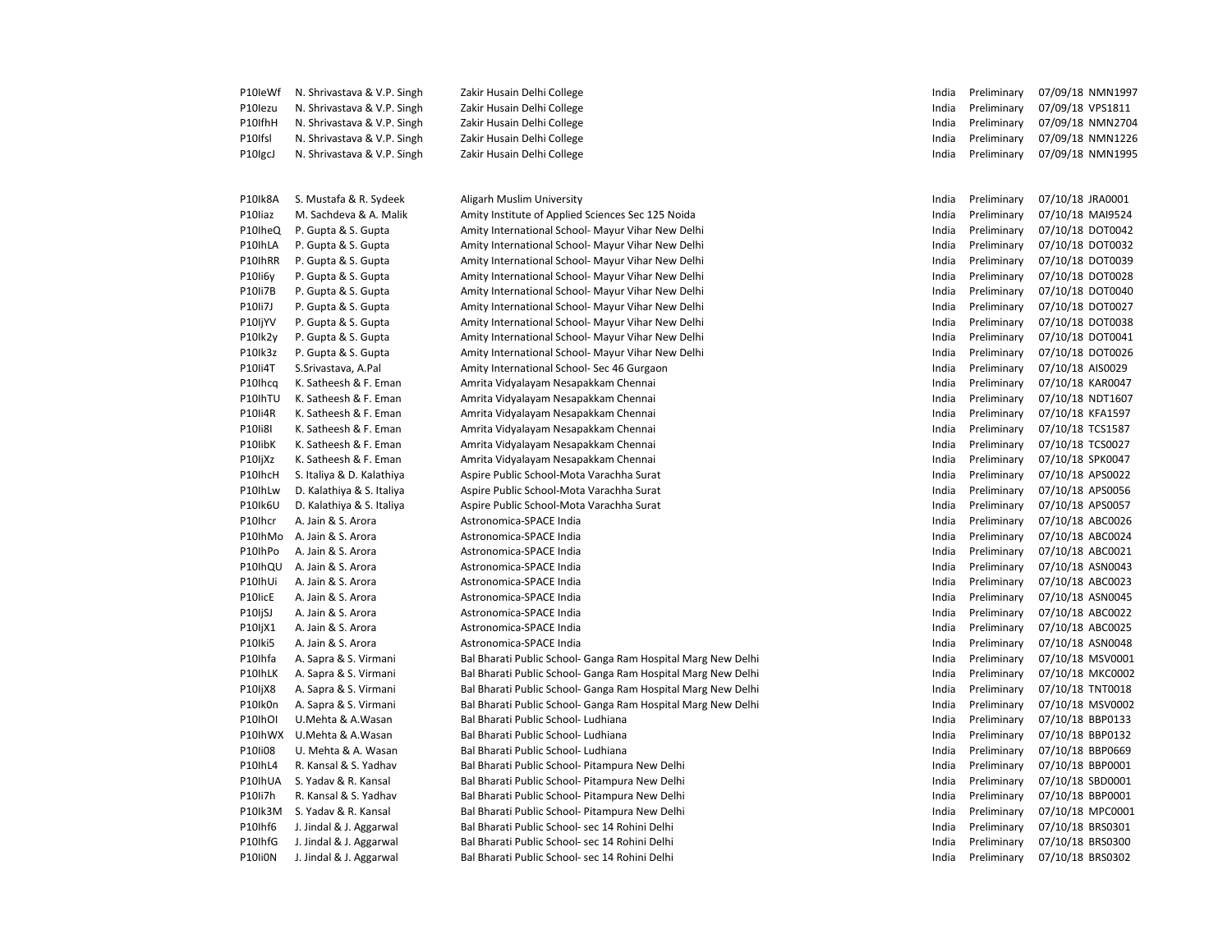| P10leWf | N. Shrivastava & V.P. Singh | Zakir Husain Delhi College                                   | India | Preliminary | 07/09/18 NMN1997 |
|---------|-----------------------------|--------------------------------------------------------------|-------|-------------|------------------|
| P10lezu | N. Shrivastava & V.P. Singh | Zakir Husain Delhi College                                   | India | Preliminary | 07/09/18 VPS1811 |
| P10IfhH | N. Shrivastava & V.P. Singh | Zakir Husain Delhi College                                   | India | Preliminary | 07/09/18 NMN2704 |
| P10Ifsl | N. Shrivastava & V.P. Singh | Zakir Husain Delhi College                                   | India | Preliminary | 07/09/18 NMN1226 |
| P10lgcJ | N. Shrivastava & V.P. Singh | Zakir Husain Delhi College                                   | India | Preliminary | 07/09/18 NMN1995 |
|         |                             |                                                              |       |             |                  |
| P10Ik8A | S. Mustafa & R. Sydeek      | Aligarh Muslim University                                    | India | Preliminary | 07/10/18 JRA0001 |
| P10liaz | M. Sachdeva & A. Malik      | Amity Institute of Applied Sciences Sec 125 Noida            | India | Preliminary | 07/10/18 MAI9524 |
| P10IheQ | P. Gupta & S. Gupta         | Amity International School- Mayur Vihar New Delhi            | India | Preliminary | 07/10/18 DOT0042 |
| P10IhLA | P. Gupta & S. Gupta         | Amity International School- Mayur Vihar New Delhi            | India | Preliminary | 07/10/18 DOT0032 |
| P10IhRR | P. Gupta & S. Gupta         | Amity International School- Mayur Vihar New Delhi            | India | Preliminary | 07/10/18 DOT0039 |
| P10li6y | P. Gupta & S. Gupta         | Amity International School- Mayur Vihar New Delhi            | India | Preliminary | 07/10/18 DOT0028 |
| P10Ii7B | P. Gupta & S. Gupta         | Amity International School- Mayur Vihar New Delhi            | India | Preliminary | 07/10/18 DOT0040 |
| P10Ii7J | P. Gupta & S. Gupta         | Amity International School- Mayur Vihar New Delhi            | India | Preliminary | 07/10/18 DOT0027 |
| P10IjYV | P. Gupta & S. Gupta         | Amity International School- Mayur Vihar New Delhi            | India | Preliminary | 07/10/18 DOT0038 |
| P10lk2y | P. Gupta & S. Gupta         | Amity International School- Mayur Vihar New Delhi            | India | Preliminary | 07/10/18 DOT0041 |
| P10Ik3z | P. Gupta & S. Gupta         | Amity International School- Mayur Vihar New Delhi            | India | Preliminary | 07/10/18 DOT0026 |
| P10Ii4T | S.Srivastava, A.Pal         | Amity International School- Sec 46 Gurgaon                   | India | Preliminary | 07/10/18 AIS0029 |
| P10Ihcq | K. Satheesh & F. Eman       | Amrita Vidyalayam Nesapakkam Chennai                         | India | Preliminary | 07/10/18 KAR0047 |
| P10IhTU | K. Satheesh & F. Eman       | Amrita Vidyalayam Nesapakkam Chennai                         | India | Preliminary | 07/10/18 NDT1607 |
| P10Ii4R | K. Satheesh & F. Eman       | Amrita Vidyalayam Nesapakkam Chennai                         | India | Preliminary | 07/10/18 KFA1597 |
| P10Ii8I | K. Satheesh & F. Eman       | Amrita Vidyalayam Nesapakkam Chennai                         | India | Preliminary | 07/10/18 TCS1587 |
| P10libK | K. Satheesh & F. Eman       | Amrita Vidyalayam Nesapakkam Chennai                         | India | Preliminary | 07/10/18 TCS0027 |
| P10IjXz | K. Satheesh & F. Eman       | Amrita Vidyalayam Nesapakkam Chennai                         | India | Preliminary | 07/10/18 SPK0047 |
| P10IhcH | S. Italiya & D. Kalathiya   | Aspire Public School-Mota Varachha Surat                     | India | Preliminary | 07/10/18 APS0022 |
| P10IhLw | D. Kalathiya & S. Italiya   | Aspire Public School-Mota Varachha Surat                     | India | Preliminary | 07/10/18 APS0056 |
| P10Ik6U | D. Kalathiya & S. Italiya   | Aspire Public School-Mota Varachha Surat                     | India | Preliminary | 07/10/18 APS0057 |
| P10Ihcr | A. Jain & S. Arora          | Astronomica-SPACE India                                      | India | Preliminary | 07/10/18 ABC0026 |
| P10IhMo | A. Jain & S. Arora          | Astronomica-SPACE India                                      | India | Preliminary | 07/10/18 ABC0024 |
| P10IhPo | A. Jain & S. Arora          | Astronomica-SPACE India                                      | India | Preliminary | 07/10/18 ABC0021 |
| P10IhQU | A. Jain & S. Arora          | Astronomica-SPACE India                                      | India | Preliminary | 07/10/18 ASN0043 |
| P10IhUi | A. Jain & S. Arora          | Astronomica-SPACE India                                      | India | Preliminary | 07/10/18 ABC0023 |
| P10licE | A. Jain & S. Arora          | Astronomica-SPACE India                                      | India | Preliminary | 07/10/18 ASN0045 |
| P10IjSJ | A. Jain & S. Arora          | Astronomica-SPACE India                                      | India | Preliminary | 07/10/18 ABC0022 |
| P10IjX1 | A. Jain & S. Arora          | Astronomica-SPACE India                                      | India | Preliminary | 07/10/18 ABC0025 |
| P10lki5 | A. Jain & S. Arora          | Astronomica-SPACE India                                      | India | Preliminary | 07/10/18 ASN0048 |
| P10Ihfa | A. Sapra & S. Virmani       | Bal Bharati Public School- Ganga Ram Hospital Marg New Delhi | India | Preliminary | 07/10/18 MSV0001 |
| P10IhLK | A. Sapra & S. Virmani       | Bal Bharati Public School- Ganga Ram Hospital Marg New Delhi | India | Preliminary | 07/10/18 MKC0002 |
| P10IjX8 | A. Sapra & S. Virmani       | Bal Bharati Public School- Ganga Ram Hospital Marg New Delhi | India | Preliminary | 07/10/18 TNT0018 |
| P10Ik0n | A. Sapra & S. Virmani       | Bal Bharati Public School- Ganga Ram Hospital Marg New Delhi | India | Preliminary | 07/10/18 MSV0002 |
| P10IhOI | U.Mehta & A.Wasan           | Bal Bharati Public School- Ludhiana                          | India | Preliminary | 07/10/18 BBP0133 |
| P10IhWX | U.Mehta & A.Wasan           | Bal Bharati Public School- Ludhiana                          | India | Preliminary | 07/10/18 BBP0132 |
| P10Ii08 | U. Mehta & A. Wasan         | Bal Bharati Public School- Ludhiana                          | India | Preliminary | 07/10/18 BBP0669 |
| P10IhL4 | R. Kansal & S. Yadhav       | Bal Bharati Public School- Pitampura New Delhi               | India | Preliminary | 07/10/18 BBP0001 |
| P10IhUA | S. Yadav & R. Kansal        | Bal Bharati Public School- Pitampura New Delhi               | India | Preliminary | 07/10/18 SBD0001 |
| P10Ii7h | R. Kansal & S. Yadhav       | Bal Bharati Public School- Pitampura New Delhi               | India | Preliminary | 07/10/18 BBP0001 |
| P10Ik3M | S. Yadav & R. Kansal        | Bal Bharati Public School- Pitampura New Delhi               | India | Preliminary | 07/10/18 MPC0001 |
| P10Ihf6 | J. Jindal & J. Aggarwal     | Bal Bharati Public School- sec 14 Rohini Delhi               | India | Preliminary | 07/10/18 BRS0301 |
| P10IhfG | J. Jindal & J. Aggarwal     | Bal Bharati Public School- sec 14 Rohini Delhi               | India | Preliminary | 07/10/18 BRS0300 |
| P10Ii0N | J. Jindal & J. Aggarwal     | Bal Bharati Public School- sec 14 Rohini Delhi               | India | Preliminary | 07/10/18 BRS0302 |
|         |                             |                                                              |       |             |                  |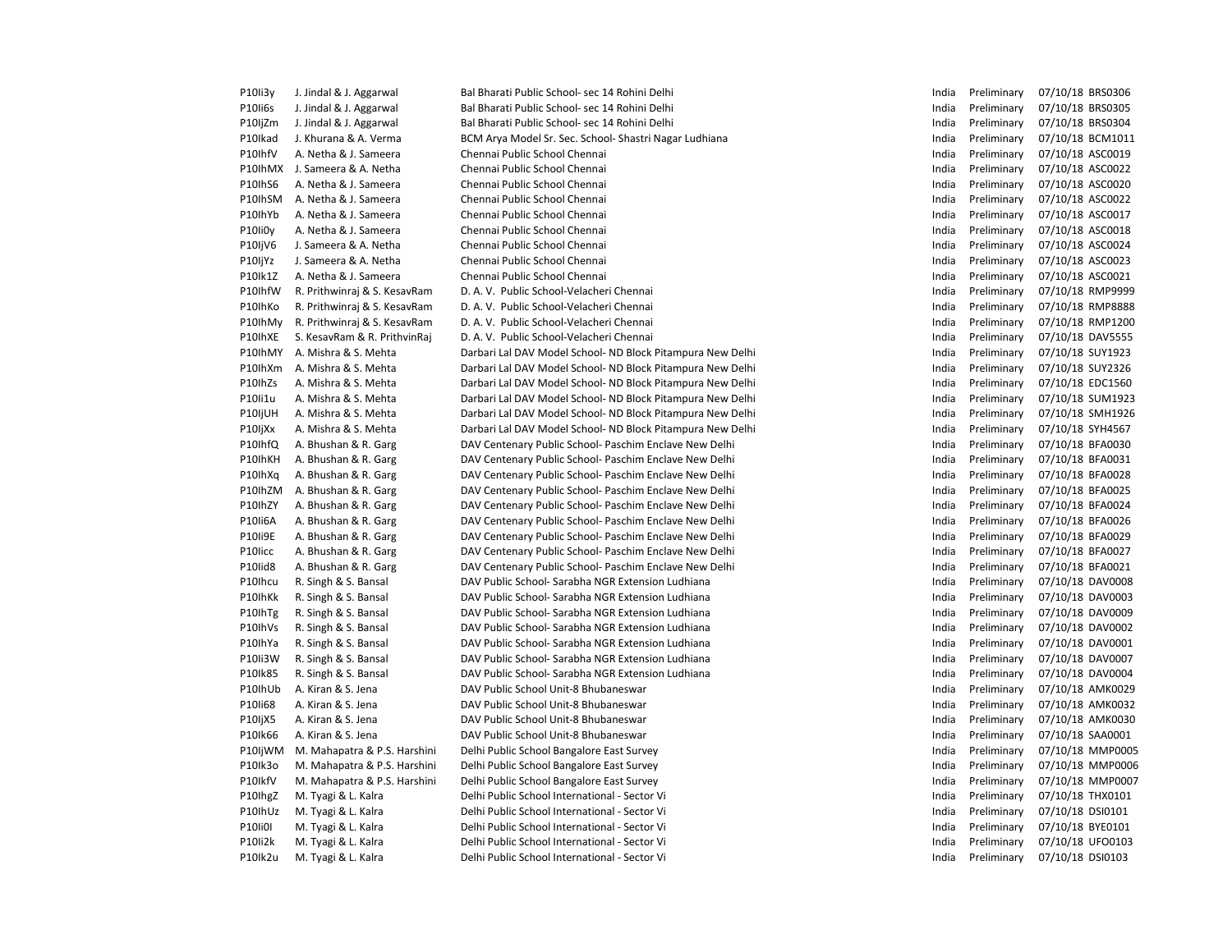| P10Ii3y        | J. Jindal & J. Aggarwal      | Bal Bharati Public School- sec 14 Rohini Delhi             | India | Preliminary | 07/10/18 BRS0306 |
|----------------|------------------------------|------------------------------------------------------------|-------|-------------|------------------|
| P10Ii6s        | J. Jindal & J. Aggarwal      | Bal Bharati Public School- sec 14 Rohini Delhi             | India | Preliminary | 07/10/18 BRS0305 |
| P10IjZm        | J. Jindal & J. Aggarwal      | Bal Bharati Public School- sec 14 Rohini Delhi             | India | Preliminary | 07/10/18 BRS0304 |
| P10Ikad        | J. Khurana & A. Verma        | BCM Arya Model Sr. Sec. School- Shastri Nagar Ludhiana     | India | Preliminary | 07/10/18 BCM1011 |
| P10IhfV        | A. Netha & J. Sameera        | Chennai Public School Chennai                              | India | Preliminary | 07/10/18 ASC0019 |
| P10IhMX        | J. Sameera & A. Netha        | Chennai Public School Chennai                              | India | Preliminary | 07/10/18 ASC0022 |
| P10IhS6        | A. Netha & J. Sameera        | Chennai Public School Chennai                              | India | Preliminary | 07/10/18 ASC0020 |
| P10IhSM        | A. Netha & J. Sameera        | Chennai Public School Chennai                              | India | Preliminary | 07/10/18 ASC0022 |
| P10IhYb        | A. Netha & J. Sameera        | Chennai Public School Chennai                              | India | Preliminary | 07/10/18 ASC0017 |
| P10li0y        | A. Netha & J. Sameera        | Chennai Public School Chennai                              | India | Preliminary | 07/10/18 ASC0018 |
| P10IjV6        | J. Sameera & A. Netha        | Chennai Public School Chennai                              | India | Preliminary | 07/10/18 ASC0024 |
| P10IjYz        | J. Sameera & A. Netha        | Chennai Public School Chennai                              | India | Preliminary | 07/10/18 ASC0023 |
| P10Ik1Z        | A. Netha & J. Sameera        | Chennai Public School Chennai                              | India | Preliminary | 07/10/18 ASC0021 |
| P10IhfW        | R. Prithwinraj & S. KesavRam | D. A. V. Public School-Velacheri Chennai                   | India | Preliminary | 07/10/18 RMP9999 |
| P10IhKo        | R. Prithwinraj & S. KesavRam | D. A. V. Public School-Velacheri Chennai                   | India | Preliminary | 07/10/18 RMP8888 |
| P10IhMy        | R. Prithwinraj & S. KesavRam | D. A. V. Public School-Velacheri Chennai                   | India | Preliminary | 07/10/18 RMP1200 |
| P10IhXE        | S. KesavRam & R. PrithvinRaj | D. A. V. Public School-Velacheri Chennai                   | India | Preliminary | 07/10/18 DAV5555 |
| P10IhMY        | A. Mishra & S. Mehta         | Darbari Lal DAV Model School- ND Block Pitampura New Delhi | India | Preliminary | 07/10/18 SUY1923 |
| P10IhXm        | A. Mishra & S. Mehta         | Darbari Lal DAV Model School- ND Block Pitampura New Delhi | India | Preliminary | 07/10/18 SUY2326 |
| P10IhZs        | A. Mishra & S. Mehta         | Darbari Lal DAV Model School- ND Block Pitampura New Delhi | India | Preliminary | 07/10/18 EDC1560 |
| P10li1u        | A. Mishra & S. Mehta         | Darbari Lal DAV Model School- ND Block Pitampura New Delhi | India | Preliminary | 07/10/18 SUM1923 |
| P10IjUH        | A. Mishra & S. Mehta         | Darbari Lal DAV Model School- ND Block Pitampura New Delhi | India | Preliminary | 07/10/18 SMH1926 |
| P10IjXx        | A. Mishra & S. Mehta         | Darbari Lal DAV Model School- ND Block Pitampura New Delhi | India | Preliminary | 07/10/18 SYH4567 |
| P10IhfQ        | A. Bhushan & R. Garg         | DAV Centenary Public School- Paschim Enclave New Delhi     | India | Preliminary | 07/10/18 BFA0030 |
| P10IhKH        | A. Bhushan & R. Garg         | DAV Centenary Public School- Paschim Enclave New Delhi     | India | Preliminary | 07/10/18 BFA0031 |
| P10IhXq        | A. Bhushan & R. Garg         | DAV Centenary Public School- Paschim Enclave New Delhi     | India | Preliminary | 07/10/18 BFA0028 |
| P10IhZM        | A. Bhushan & R. Garg         | DAV Centenary Public School- Paschim Enclave New Delhi     | India | Preliminary | 07/10/18 BFA0025 |
| P10IhZY        | A. Bhushan & R. Garg         | DAV Centenary Public School- Paschim Enclave New Delhi     | India | Preliminary | 07/10/18 BFA0024 |
| P10Ii6A        | A. Bhushan & R. Garg         | DAV Centenary Public School- Paschim Enclave New Delhi     | India | Preliminary | 07/10/18 BFA0026 |
| P10Ii9E        | A. Bhushan & R. Garg         | DAV Centenary Public School- Paschim Enclave New Delhi     | India | Preliminary | 07/10/18 BFA0029 |
| P10licc        | A. Bhushan & R. Garg         | DAV Centenary Public School- Paschim Enclave New Delhi     | India | Preliminary | 07/10/18 BFA0027 |
| P10lid8        | A. Bhushan & R. Garg         | DAV Centenary Public School- Paschim Enclave New Delhi     | India | Preliminary | 07/10/18 BFA0021 |
| P10Ihcu        | R. Singh & S. Bansal         | DAV Public School- Sarabha NGR Extension Ludhiana          | India | Preliminary | 07/10/18 DAV0008 |
| P10IhKk        | R. Singh & S. Bansal         | DAV Public School- Sarabha NGR Extension Ludhiana          | India | Preliminary | 07/10/18 DAV0003 |
| P10IhTg        | R. Singh & S. Bansal         | DAV Public School- Sarabha NGR Extension Ludhiana          | India | Preliminary | 07/10/18 DAV0009 |
| P10IhVs        | R. Singh & S. Bansal         | DAV Public School- Sarabha NGR Extension Ludhiana          | India | Preliminary | 07/10/18 DAV0002 |
| P10IhYa        | R. Singh & S. Bansal         | DAV Public School- Sarabha NGR Extension Ludhiana          | India | Preliminary | 07/10/18 DAV0001 |
| P10Ii3W        | R. Singh & S. Bansal         | DAV Public School- Sarabha NGR Extension Ludhiana          | India | Preliminary | 07/10/18 DAV0007 |
| P10Ik85        | R. Singh & S. Bansal         | DAV Public School- Sarabha NGR Extension Ludhiana          | India | Preliminary | 07/10/18 DAV0004 |
| P10IhUb        | A. Kiran & S. Jena           | DAV Public School Unit-8 Bhubaneswar                       | India | Preliminary | 07/10/18 AMK0029 |
| P10Ii68        | A. Kiran & S. Jena           | DAV Public School Unit-8 Bhubaneswar                       | India | Preliminary | 07/10/18 AMK0032 |
| P10IjX5        | A. Kiran & S. Jena           | DAV Public School Unit-8 Bhubaneswar                       | India | Preliminary | 07/10/18 AMK0030 |
| P10Ik66        | A. Kiran & S. Jena           | DAV Public School Unit-8 Bhubaneswar                       | India | Preliminary | 07/10/18 SAA0001 |
| P10IjWM        | M. Mahapatra & P.S. Harshini | Delhi Public School Bangalore East Survey                  | India | Preliminary | 07/10/18 MMP0005 |
| P10Ik3o        | M. Mahapatra & P.S. Harshini | Delhi Public School Bangalore East Survey                  | India | Preliminary | 07/10/18 MMP0006 |
| P10lkfV        | M. Mahapatra & P.S. Harshini | Delhi Public School Bangalore East Survey                  | India | Preliminary | 07/10/18 MMP0007 |
| P10lhgZ        | M. Tyagi & L. Kalra          | Delhi Public School International - Sector Vi              | India | Preliminary | 07/10/18 THX0101 |
| P10IhUz        | M. Tyagi & L. Kalra          | Delhi Public School International - Sector Vi              | India | Preliminary | 07/10/18 DSI0101 |
| <b>P10Ii0I</b> | M. Tyagi & L. Kalra          | Delhi Public School International - Sector Vi              | India | Preliminary | 07/10/18 BYE0101 |
| P10Ii2k        | M. Tyagi & L. Kalra          | Delhi Public School International - Sector Vi              | India | Preliminary | 07/10/18 UFO0103 |
| P10lk2u        | M. Tyagi & L. Kalra          | Delhi Public School International - Sector Vi              | India | Preliminary | 07/10/18 DSI0103 |
|                |                              |                                                            |       |             |                  |

| India          | Preliminary | 07/10/18 | BRS0306            |
|----------------|-------------|----------|--------------------|
| India          | Preliminary | 07/10/18 | <b>BRS0305</b>     |
| India          | Preliminary | 07/10/18 | BRS0304            |
| India          | Preliminary | 07/10/18 | BCM1011            |
| India          | Preliminary | 07/10/18 | ASC0019            |
| India          | Preliminary | 07/10/18 | ASC0022            |
| India          | Preliminary | 07/10/18 | ASC0020            |
| India          | Preliminary | 07/10/18 | ASC0022            |
| India          | Preliminary | 07/10/18 | ASC0017            |
| India          | Preliminary | 07/10/18 | ASC0018            |
| India          | Preliminary | 07/10/18 | ASC0024            |
| India          | Preliminary | 07/10/18 | ASC0023            |
| India          | Preliminary | 07/10/18 | ASC0021            |
| India          | Preliminary | 07/10/18 | RMP9999            |
| India          | Preliminary | 07/10/18 | <b>RMP8888</b>     |
| India          | Preliminary | 07/10/18 | RMP1200            |
| India          | Preliminary | 07/10/18 | DAV5555            |
| India          | Preliminary | 07/10/18 | SUY1923            |
| India          | Preliminary | 07/10/18 | SUY2326            |
| India          | Preliminary | 07/10/18 | EDC1560            |
| India          | Preliminary | 07/10/18 | SUM1923            |
| India          | Preliminary | 07/10/18 | SMH1926            |
| India          | Preliminary | 07/10/18 | SYH4567            |
| India          | Preliminary | 07/10/18 | <b>BFA0030</b>     |
| India          | Preliminary | 07/10/18 | BFA0031            |
| India          | Preliminary | 07/10/18 | <b>BFA0028</b>     |
| India          | Preliminary | 07/10/18 | <b>BFA0025</b>     |
| India          | Preliminary | 07/10/18 | <b>BFA0024</b>     |
| India          | Preliminary | 07/10/18 | <b>BFA0026</b>     |
| India          | Preliminary | 07/10/18 | <b>BFA0029</b>     |
| India          | Preliminary | 07/10/18 | <b>BFA0027</b>     |
| India          | Preliminary | 07/10/18 | BFA0021            |
| India          | Preliminary | 07/10/18 | DAV0008            |
|                |             |          | DAV0003            |
| India          | Preliminary | 07/10/18 |                    |
| India<br>India | Preliminary | 07/10/18 | DAV0009            |
|                | Preliminary | 07/10/18 | DAV0002<br>DAV0001 |
| India          | Preliminary | 07/10/18 |                    |
| India          | Preliminary | 07/10/18 | DAV0007            |
| India          | Preliminary | 07/10/18 | DAV0004            |
| India          | Preliminary | 07/10/18 | AMK0029            |
| India          | Preliminary | 07/10/18 | AMK0032            |
| India          | Preliminary | 07/10/18 | AMK0030            |
| India          | Preliminary | 07/10/18 | SAA0001            |
| India          | Preliminary | 07/10/18 | MMP0005            |
| India          | Preliminary | 07/10/18 | <b>MMP0006</b>     |
| India          | Preliminary | 07/10/18 | MMP0007            |
| India          | Preliminary | 07/10/18 | THX0101            |
| India          | Preliminary | 07/10/18 | DSI0101            |
| India          | Preliminary | 07/10/18 | BYE0101            |
| India          | Preliminary | 07/10/18 | UFO0103            |
| India          | Preliminary | 07/10/18 | DSI0103            |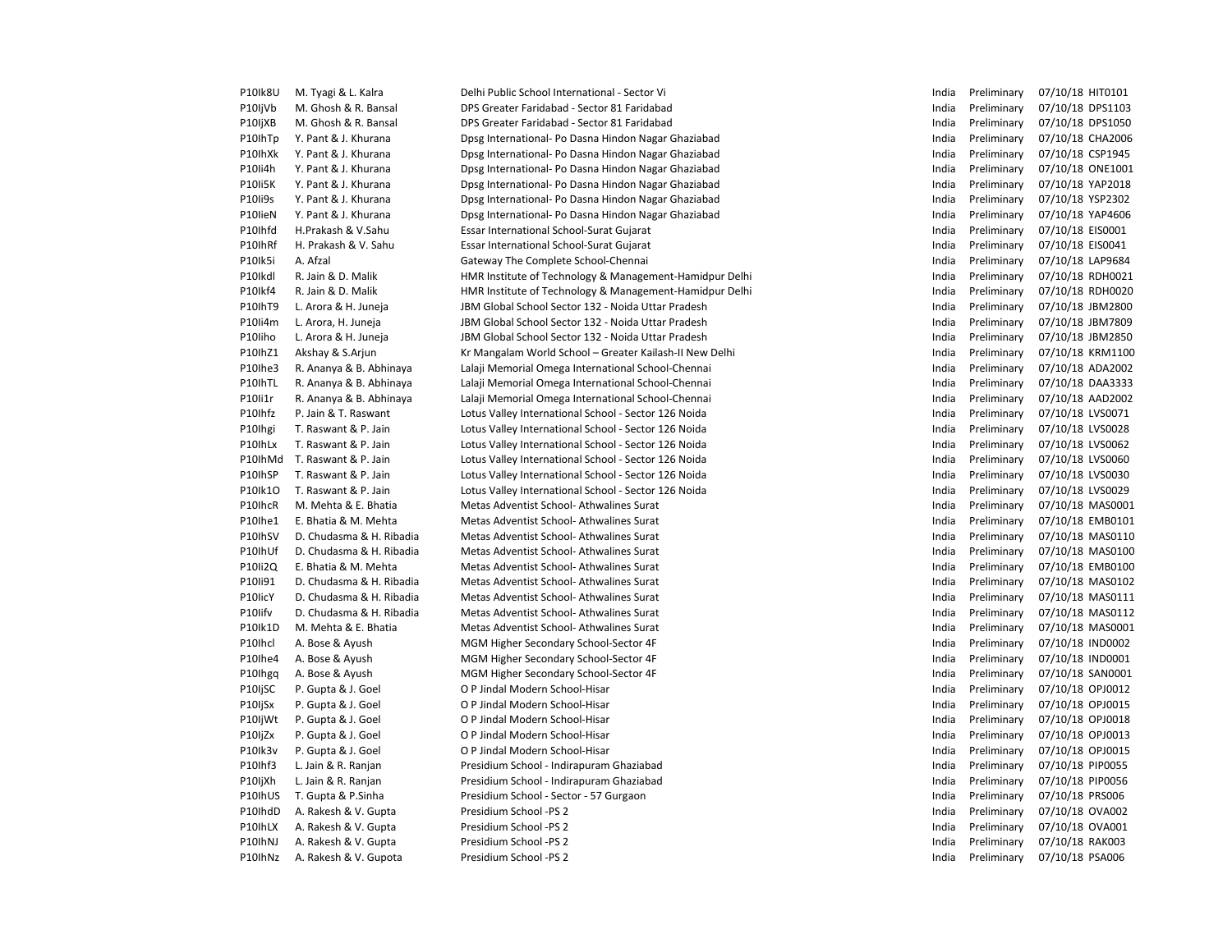| P10Ik8U | M. Tyagi & L. Kalra      | Delhi Public School International - Sector Vi           | India | Preliminary | 07/10/18 HIT0101 |
|---------|--------------------------|---------------------------------------------------------|-------|-------------|------------------|
| P10IjVb | M. Ghosh & R. Bansal     | DPS Greater Faridabad - Sector 81 Faridabad             | India | Preliminary | 07/10/18 DPS1103 |
| P10IjXB | M. Ghosh & R. Bansal     | DPS Greater Faridabad - Sector 81 Faridabad             | India | Preliminary | 07/10/18 DPS1050 |
| P10IhTp | Y. Pant & J. Khurana     | Dpsg International- Po Dasna Hindon Nagar Ghaziabad     | India | Preliminary | 07/10/18 CHA2006 |
| P10IhXk | Y. Pant & J. Khurana     | Dpsg International- Po Dasna Hindon Nagar Ghaziabad     | India | Preliminary | 07/10/18 CSP1945 |
| P10Ii4h | Y. Pant & J. Khurana     | Dpsg International- Po Dasna Hindon Nagar Ghaziabad     | India | Preliminary | 07/10/18 ONE1001 |
| P10Ii5K | Y. Pant & J. Khurana     | Dpsg International- Po Dasna Hindon Nagar Ghaziabad     | India | Preliminary | 07/10/18 YAP2018 |
| P10Ii9s | Y. Pant & J. Khurana     | Dpsg International- Po Dasna Hindon Nagar Ghaziabad     | India | Preliminary | 07/10/18 YSP2302 |
| P10lieN | Y. Pant & J. Khurana     | Dpsg International- Po Dasna Hindon Nagar Ghaziabad     | India | Preliminary | 07/10/18 YAP4606 |
| P10Ihfd | H.Prakash & V.Sahu       | Essar International School-Surat Gujarat                | India | Preliminary | 07/10/18 EIS0001 |
| P10IhRf | H. Prakash & V. Sahu     | Essar International School-Surat Gujarat                | India | Preliminary | 07/10/18 EIS0041 |
| P10Ik5i | A. Afzal                 | Gateway The Complete School-Chennai                     | India | Preliminary | 07/10/18 LAP9684 |
| P10Ikdl | R. Jain & D. Malik       | HMR Institute of Technology & Management-Hamidpur Delhi | India | Preliminary | 07/10/18 RDH0021 |
| P10Ikf4 | R. Jain & D. Malik       | HMR Institute of Technology & Management-Hamidpur Delhi | India | Preliminary | 07/10/18 RDH0020 |
| P10IhT9 | L. Arora & H. Juneja     | JBM Global School Sector 132 - Noida Uttar Pradesh      | India | Preliminary | 07/10/18 JBM2800 |
| P10Ii4m | L. Arora, H. Juneja      | JBM Global School Sector 132 - Noida Uttar Pradesh      | India | Preliminary | 07/10/18 JBM7809 |
| P10liho | L. Arora & H. Juneja     | JBM Global School Sector 132 - Noida Uttar Pradesh      | India | Preliminary | 07/10/18 JBM2850 |
| P10lhZ1 | Akshay & S.Arjun         | Kr Mangalam World School - Greater Kailash-II New Delhi | India | Preliminary | 07/10/18 KRM1100 |
| P10lhe3 | R. Ananya & B. Abhinaya  | Lalaji Memorial Omega International School-Chennai      | India | Preliminary | 07/10/18 ADA2002 |
| P10IhTL | R. Ananya & B. Abhinaya  | Lalaji Memorial Omega International School-Chennai      | India | Preliminary | 07/10/18 DAA3333 |
| P10li1r | R. Ananya & B. Abhinaya  | Lalaji Memorial Omega International School-Chennai      | India | Preliminary | 07/10/18 AAD2002 |
| P10Ihfz | P. Jain & T. Raswant     | Lotus Valley International School - Sector 126 Noida    | India | Preliminary | 07/10/18 LVS0071 |
| P10Ihgi | T. Raswant & P. Jain     | Lotus Valley International School - Sector 126 Noida    | India | Preliminary | 07/10/18 LVS0028 |
| P10IhLx | T. Raswant & P. Jain     | Lotus Valley International School - Sector 126 Noida    | India | Preliminary | 07/10/18 LVS0062 |
| P10IhMd | T. Raswant & P. Jain     | Lotus Valley International School - Sector 126 Noida    | India | Preliminary | 07/10/18 LVS0060 |
| P10IhSP | T. Raswant & P. Jain     | Lotus Valley International School - Sector 126 Noida    | India | Preliminary | 07/10/18 LVS0030 |
| P10lk10 | T. Raswant & P. Jain     | Lotus Valley International School - Sector 126 Noida    | India | Preliminary | 07/10/18 LVS0029 |
| P10IhcR | M. Mehta & E. Bhatia     | Metas Adventist School-Athwalines Surat                 | India | Preliminary | 07/10/18 MAS0001 |
| P10lhe1 | E. Bhatia & M. Mehta     | Metas Adventist School-Athwalines Surat                 | India | Preliminary | 07/10/18 EMB0101 |
| P10IhSV | D. Chudasma & H. Ribadia | Metas Adventist School-Athwalines Surat                 | India | Preliminary | 07/10/18 MAS0110 |
| P10IhUf | D. Chudasma & H. Ribadia | Metas Adventist School-Athwalines Surat                 | India | Preliminary | 07/10/18 MAS0100 |
| P10Ii2Q | E. Bhatia & M. Mehta     | Metas Adventist School-Athwalines Surat                 | India | Preliminary | 07/10/18 EMB0100 |
| P10Ii91 | D. Chudasma & H. Ribadia | Metas Adventist School-Athwalines Surat                 | India | Preliminary | 07/10/18 MAS0102 |
| P10licY | D. Chudasma & H. Ribadia | Metas Adventist School-Athwalines Surat                 | India | Preliminary | 07/10/18 MAS0111 |
| P10lifv | D. Chudasma & H. Ribadia | Metas Adventist School-Athwalines Surat                 | India | Preliminary | 07/10/18 MAS0112 |
| P10lk1D | M. Mehta & E. Bhatia     | Metas Adventist School- Athwalines Surat                | India | Preliminary | 07/10/18 MAS0001 |
| P10Ihcl | A. Bose & Ayush          | MGM Higher Secondary School-Sector 4F                   | India | Preliminary | 07/10/18 IND0002 |
| P10Ihe4 | A. Bose & Ayush          | MGM Higher Secondary School-Sector 4F                   | India | Preliminary | 07/10/18 IND0001 |
| P10Ihgq | A. Bose & Ayush          | MGM Higher Secondary School-Sector 4F                   | India | Preliminary | 07/10/18 SAN0001 |
| P10IjSC | P. Gupta & J. Goel       | O P Jindal Modern School-Hisar                          | India | Preliminary | 07/10/18 OPJ0012 |
| P10IjSx | P. Gupta & J. Goel       | O P Jindal Modern School-Hisar                          | India | Preliminary | 07/10/18 OPJ0015 |
| P10IjWt | P. Gupta & J. Goel       | O P Jindal Modern School-Hisar                          | India | Preliminary | 07/10/18 OPJ0018 |
| P10IjZx | P. Gupta & J. Goel       | O P Jindal Modern School-Hisar                          | India | Preliminary | 07/10/18 OPJ0013 |
| P10Ik3v | P. Gupta & J. Goel       | O P Jindal Modern School-Hisar                          | India | Preliminary | 07/10/18 OPJ0015 |
| P10Ihf3 | L. Jain & R. Ranjan      | Presidium School - Indirapuram Ghaziabad                | India | Preliminary | 07/10/18 PIP0055 |
| P10IjXh | L. Jain & R. Ranjan      | Presidium School - Indirapuram Ghaziabad                | India | Preliminary | 07/10/18 PIP0056 |
| P10IhUS | T. Gupta & P.Sinha       | Presidium School - Sector - 57 Gurgaon                  | India | Preliminary | 07/10/18 PRS006  |
| P10IhdD | A. Rakesh & V. Gupta     | Presidium School -PS 2                                  | India | Preliminary | 07/10/18 OVA002  |
| P10IhLX | A. Rakesh & V. Gupta     | Presidium School -PS 2                                  | India | Preliminary | 07/10/18 OVA001  |
| P10IhNJ | A. Rakesh & V. Gupta     | Presidium School -PS 2                                  | India | Preliminary | 07/10/18 RAK003  |
| P10IhNz | A. Rakesh & V. Gupota    | Presidium School -PS 2                                  | India | Preliminary | 07/10/18 PSA006  |
|         |                          |                                                         |       |             |                  |

| India | Preliminary | 07/10/18 | HIT0101        |
|-------|-------------|----------|----------------|
| India | Preliminary | 07/10/18 | DPS1103        |
| India | Preliminary | 07/10/18 | DPS1050        |
| India | Preliminary | 07/10/18 | CHA2006        |
| India | Preliminary | 07/10/18 | CSP1945        |
| India | Preliminary | 07/10/18 | ONE1001        |
| India | Preliminary | 07/10/18 | YAP2018        |
| India | Preliminary | 07/10/18 | <b>YSP2302</b> |
| India | Preliminary | 07/10/18 | YAP4606        |
| India | Preliminary | 07/10/18 | EIS0001        |
| India | Preliminary | 07/10/18 | EIS0041        |
| India | Preliminary | 07/10/18 | LAP9684        |
| India | Preliminary | 07/10/18 | RDH0021        |
| India | Preliminary | 07/10/18 | RDH0020        |
| India | Preliminary | 07/10/18 | JBM2800        |
| India | Preliminary | 07/10/18 | JBM7809        |
| India | Preliminary | 07/10/18 | JBM2850        |
| India | Preliminary |          | <b>KRM1100</b> |
| India |             | 07/10/18 |                |
|       | Preliminary | 07/10/18 | ADA2002        |
| India | Preliminary | 07/10/18 | DAA3333        |
| India | Preliminary | 07/10/18 | AAD2002        |
| India | Preliminary | 07/10/18 | LVS0071        |
| India | Preliminary | 07/10/18 | LVS0028        |
| India | Preliminary | 07/10/18 | LVS0062        |
| India | Preliminary | 07/10/18 | LVS0060        |
| India | Preliminary | 07/10/18 | LVS0030        |
| India | Preliminary | 07/10/18 | LVS0029        |
| India | Preliminary | 07/10/18 | MAS0001        |
| India | Preliminary | 07/10/18 | EMB0101        |
| India | Preliminary | 07/10/18 | MAS0110        |
| India | Preliminary | 07/10/18 | MAS0100        |
| India | Preliminary | 07/10/18 | EMB0100        |
| India | Preliminary | 07/10/18 | MAS0102        |
| India | Preliminary | 07/10/18 | MAS0111        |
| India | Preliminary | 07/10/18 | MAS0112        |
| India | Preliminary | 07/10/18 | MAS0001        |
| India | Preliminary | 07/10/18 | <b>IND0002</b> |
| India | Preliminary | 07/10/18 | <b>IND0001</b> |
| India | Preliminary | 07/10/18 | SAN0001        |
| India | Preliminary | 07/10/18 | OPJ0012        |
| India | Preliminary | 07/10/18 | OPJ0015        |
| India | Preliminary | 07/10/18 | OPJ0018        |
| India | Preliminary | 07/10/18 | OPJ0013        |
| India | Preliminary | 07/10/18 | OPJ0015        |
| India | Preliminary | 07/10/18 | PIP0055        |
| India | Preliminary | 07/10/18 | PIP0056        |
| India | Preliminary | 07/10/18 | <b>PRS006</b>  |
| India | Preliminary | 07/10/18 | <b>OVA002</b>  |
| India | Preliminary | 07/10/18 | <b>OVA001</b>  |
| India | Preliminary | 07/10/18 | <b>RAK003</b>  |
| India | Preliminary | 07/10/18 | <b>PSA006</b>  |
|       |             |          |                |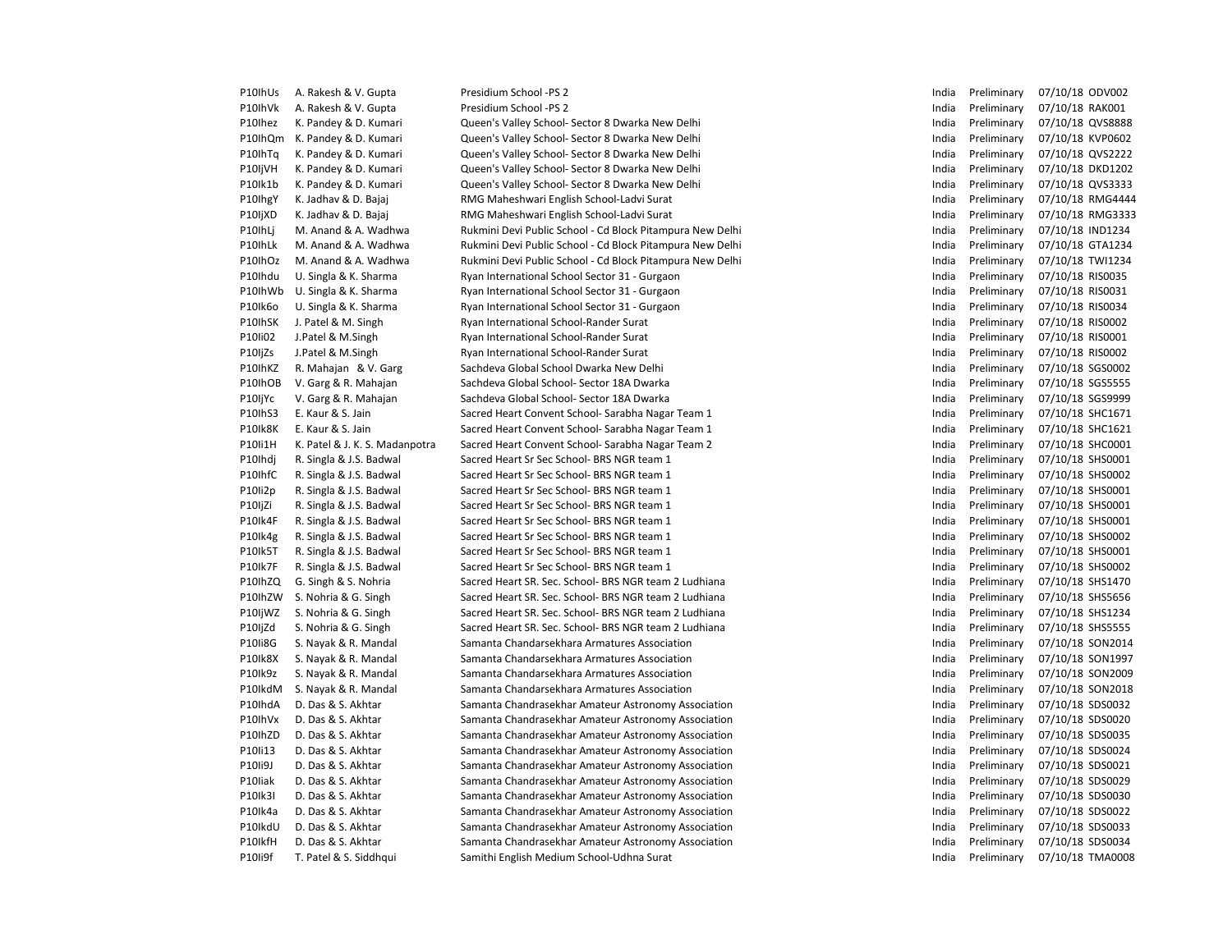| P10IhUs | A. Rakesh & V. Gupta           | Presidium School -PS 2                                    | India | Preliminary | 07/10/18 ODV002  |
|---------|--------------------------------|-----------------------------------------------------------|-------|-------------|------------------|
| P10IhVk | A. Rakesh & V. Gupta           | Presidium School -PS 2                                    | India | Preliminary | 07/10/18 RAK001  |
| P10Ihez | K. Pandey & D. Kumari          | Queen's Valley School- Sector 8 Dwarka New Delhi          | India | Preliminary | 07/10/18 QVS8888 |
| P10IhQm | K. Pandey & D. Kumari          | Queen's Valley School- Sector 8 Dwarka New Delhi          | India | Preliminary | 07/10/18 KVP0602 |
| P10IhTq | K. Pandey & D. Kumari          | Queen's Valley School- Sector 8 Dwarka New Delhi          | India | Preliminary | 07/10/18 QVS2222 |
| P10IjVH | K. Pandey & D. Kumari          | Queen's Valley School- Sector 8 Dwarka New Delhi          | India | Preliminary | 07/10/18 DKD1202 |
| P10Ik1b | K. Pandey & D. Kumari          | Queen's Valley School- Sector 8 Dwarka New Delhi          | India | Preliminary | 07/10/18 QVS3333 |
| P10lhgY | K. Jadhav & D. Bajaj           | RMG Maheshwari English School-Ladvi Surat                 | India | Preliminary | 07/10/18 RMG4444 |
| P10IjXD | K. Jadhav & D. Bajaj           | RMG Maheshwari English School-Ladvi Surat                 | India | Preliminary | 07/10/18 RMG3333 |
| P10IhLj | M. Anand & A. Wadhwa           | Rukmini Devi Public School - Cd Block Pitampura New Delhi | India | Preliminary | 07/10/18 IND1234 |
| P10IhLk | M. Anand & A. Wadhwa           | Rukmini Devi Public School - Cd Block Pitampura New Delhi | India | Preliminary | 07/10/18 GTA1234 |
| P10IhOz | M. Anand & A. Wadhwa           | Rukmini Devi Public School - Cd Block Pitampura New Delhi | India | Preliminary | 07/10/18 TWI1234 |
| P10Ihdu | U. Singla & K. Sharma          | Ryan International School Sector 31 - Gurgaon             | India | Preliminary | 07/10/18 RIS0035 |
| P10IhWb | U. Singla & K. Sharma          | Ryan International School Sector 31 - Gurgaon             | India | Preliminary | 07/10/18 RIS0031 |
| P10Ik6o | U. Singla & K. Sharma          | Ryan International School Sector 31 - Gurgaon             | India | Preliminary | 07/10/18 RIS0034 |
| P10IhSK | J. Patel & M. Singh            | Ryan International School-Rander Surat                    | India | Preliminary | 07/10/18 RIS0002 |
| P10Ii02 | J.Patel & M.Singh              | Ryan International School-Rander Surat                    | India | Preliminary | 07/10/18 RIS0001 |
| P10IjZs | J.Patel & M.Singh              | Ryan International School-Rander Surat                    | India | Preliminary | 07/10/18 RIS0002 |
| P10IhKZ | R. Mahajan & V. Garg           | Sachdeva Global School Dwarka New Delhi                   | India | Preliminary | 07/10/18 SGS0002 |
| P10IhOB | V. Garg & R. Mahajan           | Sachdeva Global School- Sector 18A Dwarka                 | India | Preliminary | 07/10/18 SGS5555 |
| P10IjYc | V. Garg & R. Mahajan           | Sachdeva Global School- Sector 18A Dwarka                 | India | Preliminary | 07/10/18 SGS9999 |
| P10IhS3 | E. Kaur & S. Jain              | Sacred Heart Convent School- Sarabha Nagar Team 1         | India | Preliminary | 07/10/18 SHC1671 |
| P10Ik8K | E. Kaur & S. Jain              | Sacred Heart Convent School- Sarabha Nagar Team 1         | India | Preliminary | 07/10/18 SHC1621 |
| P10Ii1H | K. Patel & J. K. S. Madanpotra | Sacred Heart Convent School- Sarabha Nagar Team 2         | India | Preliminary | 07/10/18 SHC0001 |
| P10Ihdj | R. Singla & J.S. Badwal        | Sacred Heart Sr Sec School- BRS NGR team 1                | India | Preliminary | 07/10/18 SHS0001 |
| P10IhfC | R. Singla & J.S. Badwal        | Sacred Heart Sr Sec School- BRS NGR team 1                | India | Preliminary | 07/10/18 SHS0002 |
| P10Ii2p | R. Singla & J.S. Badwal        | Sacred Heart Sr Sec School- BRS NGR team 1                | India | Preliminary | 07/10/18 SHS0001 |
| P10IjZi | R. Singla & J.S. Badwal        | Sacred Heart Sr Sec School- BRS NGR team 1                | India | Preliminary | 07/10/18 SHS0001 |
| P10Ik4F | R. Singla & J.S. Badwal        | Sacred Heart Sr Sec School- BRS NGR team 1                | India | Preliminary | 07/10/18 SHS0001 |
| P10Ik4g | R. Singla & J.S. Badwal        | Sacred Heart Sr Sec School- BRS NGR team 1                | India | Preliminary | 07/10/18 SHS0002 |
| P10Ik5T | R. Singla & J.S. Badwal        | Sacred Heart Sr Sec School- BRS NGR team 1                | India | Preliminary | 07/10/18 SHS0001 |
| P10Ik7F | R. Singla & J.S. Badwal        | Sacred Heart Sr Sec School- BRS NGR team 1                | India | Preliminary | 07/10/18 SHS0002 |
| P10IhZQ | G. Singh & S. Nohria           | Sacred Heart SR. Sec. School- BRS NGR team 2 Ludhiana     | India | Preliminary | 07/10/18 SHS1470 |
| P10IhZW | S. Nohria & G. Singh           | Sacred Heart SR. Sec. School- BRS NGR team 2 Ludhiana     | India | Preliminary | 07/10/18 SHS5656 |
| P10IjWZ | S. Nohria & G. Singh           | Sacred Heart SR. Sec. School- BRS NGR team 2 Ludhiana     | India | Preliminary | 07/10/18 SHS1234 |
| P10IjZd | S. Nohria & G. Singh           | Sacred Heart SR. Sec. School- BRS NGR team 2 Ludhiana     | India | Preliminary | 07/10/18 SHS5555 |
| P10Ii8G | S. Nayak & R. Mandal           | Samanta Chandarsekhara Armatures Association              | India | Preliminary | 07/10/18 SON2014 |
| P10Ik8X | S. Nayak & R. Mandal           | Samanta Chandarsekhara Armatures Association              | India | Preliminary | 07/10/18 SON1997 |
| P10Ik9z | S. Nayak & R. Mandal           | Samanta Chandarsekhara Armatures Association              | India | Preliminary | 07/10/18 SON2009 |
| P10IkdM | S. Nayak & R. Mandal           | Samanta Chandarsekhara Armatures Association              | India | Preliminary | 07/10/18 SON2018 |
| P10IhdA | D. Das & S. Akhtar             | Samanta Chandrasekhar Amateur Astronomy Association       | India | Preliminary | 07/10/18 SDS0032 |
| P10IhVx | D. Das & S. Akhtar             | Samanta Chandrasekhar Amateur Astronomy Association       | India | Preliminary | 07/10/18 SDS0020 |
| P10IhZD | D. Das & S. Akhtar             | Samanta Chandrasekhar Amateur Astronomy Association       | India | Preliminary | 07/10/18 SDS0035 |
| P10Ii13 | D. Das & S. Akhtar             | Samanta Chandrasekhar Amateur Astronomy Association       | India | Preliminary | 07/10/18 SDS0024 |
| P10Ii9J | D. Das & S. Akhtar             | Samanta Chandrasekhar Amateur Astronomy Association       | India | Preliminary | 07/10/18 SDS0021 |
| P10liak | D. Das & S. Akhtar             | Samanta Chandrasekhar Amateur Astronomy Association       | India | Preliminary | 07/10/18 SDS0029 |
| P10Ik3I | D. Das & S. Akhtar             | Samanta Chandrasekhar Amateur Astronomy Association       | India | Preliminary | 07/10/18 SDS0030 |
| P10Ik4a | D. Das & S. Akhtar             | Samanta Chandrasekhar Amateur Astronomy Association       | India | Preliminary | 07/10/18 SDS0022 |
| P10IkdU | D. Das & S. Akhtar             | Samanta Chandrasekhar Amateur Astronomy Association       | India | Preliminary | 07/10/18 SDS0033 |
| P10IkfH | D. Das & S. Akhtar             | Samanta Chandrasekhar Amateur Astronomy Association       | India | Preliminary | 07/10/18 SDS0034 |
| P10Ii9f | T. Patel & S. Siddhqui         | Samithi English Medium School-Udhna Surat                 | India | Preliminary | 07/10/18 TMA0008 |
|         |                                |                                                           |       |             |                  |

| India | Preliminary | 07/10/18 | ODV002         |
|-------|-------------|----------|----------------|
| India | Preliminary | 07/10/18 | <b>RAK001</b>  |
| India | Preliminary | 07/10/18 | QVS8888        |
| India | Preliminary | 07/10/18 | KVP0602        |
| India | Preliminary | 07/10/18 | QVS2222        |
| India | Preliminary | 07/10/18 | <b>DKD1202</b> |
| India | Preliminary | 07/10/18 | QVS3333        |
| India | Preliminary | 07/10/18 | RMG444         |
| India | Preliminary | 07/10/18 | RMG3333        |
| India | Preliminary | 07/10/18 | <b>IND1234</b> |
| India | Preliminary | 07/10/18 | GTA1234        |
| India | Preliminary | 07/10/18 | TWI1234        |
| India | Preliminary | 07/10/18 | <b>RIS0035</b> |
| India | Preliminary | 07/10/18 | RIS0031        |
| India | Preliminary | 07/10/18 | RIS0034        |
| India | Preliminary | 07/10/18 | <b>RIS0002</b> |
| India | Preliminary | 07/10/18 | RIS0001        |
| India | Preliminary | 07/10/18 | RIS0002        |
| India | Preliminary | 07/10/18 | SGS0002        |
| India | Preliminary | 07/10/18 | SGS5555        |
| India | Preliminary | 07/10/18 | SGS9999        |
| India | Preliminary | 07/10/18 | SHC1671        |
| India | Preliminary | 07/10/18 | SHC1621        |
| India | Preliminary | 07/10/18 | SHC0001        |
| India | Preliminary | 07/10/18 | SHS0001        |
| India | Preliminary | 07/10/18 | SHS0002        |
| India | Preliminary | 07/10/18 | SHS0001        |
| India | Preliminary | 07/10/18 | SHS0001        |
| India | Preliminary | 07/10/18 | SHS0001        |
| India | Preliminary | 07/10/18 | SHS0002        |
| India | Preliminary | 07/10/18 | SHS0001        |
| India | Preliminary | 07/10/18 | SHS0002        |
| India | Preliminary | 07/10/18 | SHS1470        |
| India | Preliminary | 07/10/18 | SHS5656        |
| India | Preliminary | 07/10/18 | SHS1234        |
| India | Preliminary | 07/10/18 | <b>SHS5555</b> |
| India | Preliminary | 07/10/18 | SON2014        |
| India | Preliminary | 07/10/18 | SON1997        |
| India | Preliminary | 07/10/18 | SON2009        |
| India | Preliminary | 07/10/18 | SON2018        |
| India | Preliminary | 07/10/18 | SDS0032        |
| India | Preliminary | 07/10/18 | SDS0020        |
| India | Preliminary | 07/10/18 | SDS0035        |
| India | Preliminary | 07/10/18 | SDS0024        |
| India | Preliminary | 07/10/18 | SDS0021        |
| India | Preliminary | 07/10/18 | SDS0029        |
| India | Preliminary | 07/10/18 | SDS0030        |
| India | Preliminary | 07/10/18 | SDS0022        |
| India | Preliminary | 07/10/18 | SDS0033        |
| India | Preliminary | 07/10/18 | SDS0034        |
| India | Preliminary | 07/10/18 | <b>TMA0008</b> |
|       |             |          |                |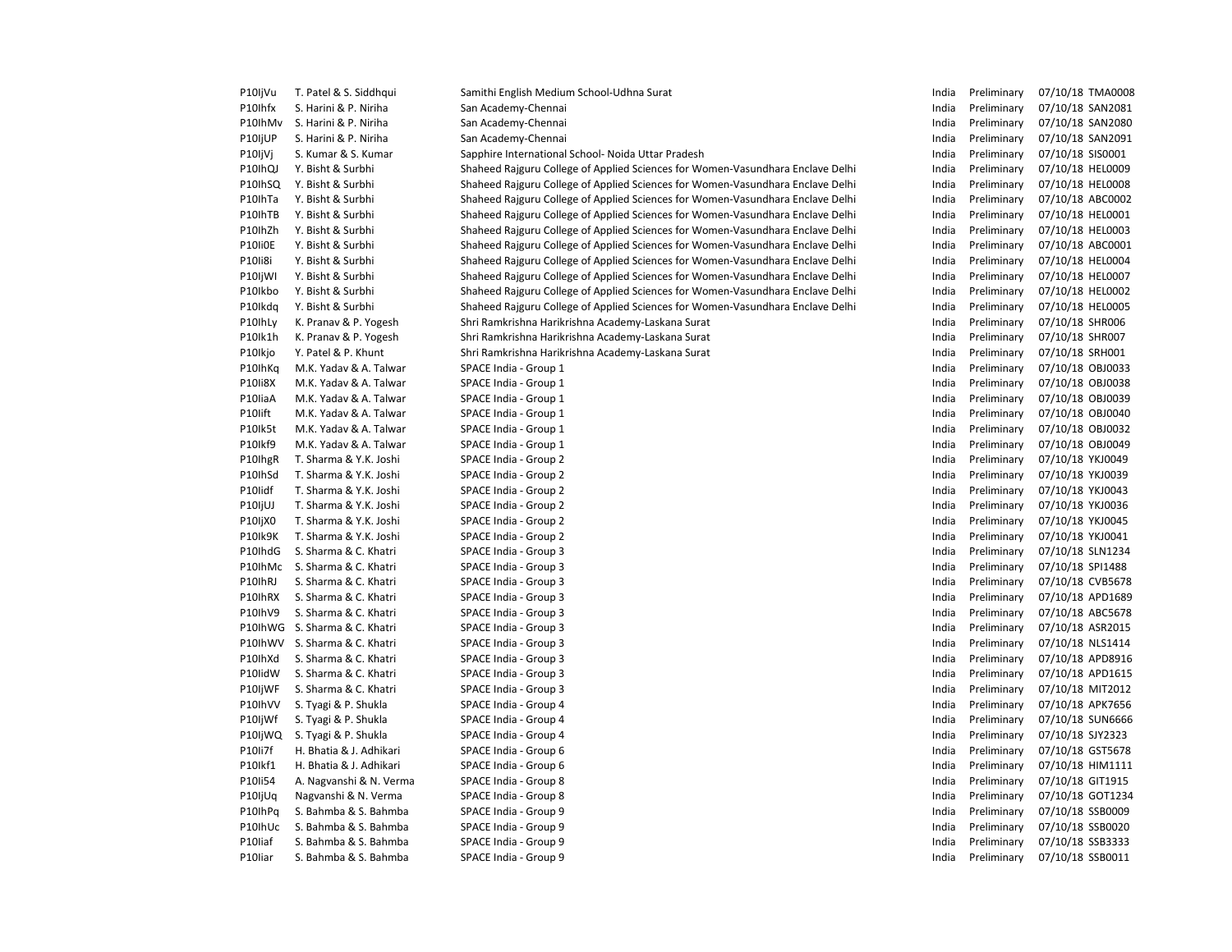| P10IjVu | T. Patel & S. Siddhqui  | Samithi English Medium School-Udhna Surat                                      | India | Preliminary | 07/10/18 TMA0008 |
|---------|-------------------------|--------------------------------------------------------------------------------|-------|-------------|------------------|
| P10Ihfx | S. Harini & P. Niriha   | San Academy-Chennai                                                            | India | Preliminary | 07/10/18 SAN2081 |
| P10IhMv | S. Harini & P. Niriha   | San Academy-Chennai                                                            | India | Preliminary | 07/10/18 SAN2080 |
| P10IjUP | S. Harini & P. Niriha   | San Academy-Chennai                                                            | India | Preliminary | 07/10/18 SAN2091 |
| P10IjVj | S. Kumar & S. Kumar     | Sapphire International School- Noida Uttar Pradesh                             | India | Preliminary | 07/10/18 SIS0001 |
| P10IhQJ | Y. Bisht & Surbhi       | Shaheed Rajguru College of Applied Sciences for Women-Vasundhara Enclave Delhi | India | Preliminary | 07/10/18 HEL0009 |
| P10IhSQ | Y. Bisht & Surbhi       | Shaheed Rajguru College of Applied Sciences for Women-Vasundhara Enclave Delhi | India | Preliminary | 07/10/18 HEL0008 |
| P10IhTa | Y. Bisht & Surbhi       | Shaheed Rajguru College of Applied Sciences for Women-Vasundhara Enclave Delhi | India | Preliminary | 07/10/18 ABC0002 |
| P10IhTB | Y. Bisht & Surbhi       | Shaheed Rajguru College of Applied Sciences for Women-Vasundhara Enclave Delhi | India | Preliminary | 07/10/18 HEL0001 |
| P10IhZh | Y. Bisht & Surbhi       | Shaheed Rajguru College of Applied Sciences for Women-Vasundhara Enclave Delhi | India | Preliminary | 07/10/18 HEL0003 |
| P10Ii0E | Y. Bisht & Surbhi       | Shaheed Rajguru College of Applied Sciences for Women-Vasundhara Enclave Delhi | India | Preliminary | 07/10/18 ABC0001 |
| P10Ii8i | Y. Bisht & Surbhi       | Shaheed Rajguru College of Applied Sciences for Women-Vasundhara Enclave Delhi | India | Preliminary | 07/10/18 HEL0004 |
| P10IjWI | Y. Bisht & Surbhi       | Shaheed Rajguru College of Applied Sciences for Women-Vasundhara Enclave Delhi | India | Preliminary | 07/10/18 HEL0007 |
| P10Ikbo | Y. Bisht & Surbhi       | Shaheed Rajguru College of Applied Sciences for Women-Vasundhara Enclave Delhi | India | Preliminary | 07/10/18 HEL0002 |
| P10Ikdq | Y. Bisht & Surbhi       | Shaheed Rajguru College of Applied Sciences for Women-Vasundhara Enclave Delhi | India | Preliminary | 07/10/18 HEL0005 |
| P10IhLy | K. Pranav & P. Yogesh   | Shri Ramkrishna Harikrishna Academy-Laskana Surat                              | India | Preliminary | 07/10/18 SHR006  |
| P10lk1h | K. Pranav & P. Yogesh   | Shri Ramkrishna Harikrishna Academy-Laskana Surat                              | India | Preliminary | 07/10/18 SHR007  |
| P10Ikjo | Y. Patel & P. Khunt     | Shri Ramkrishna Harikrishna Academy-Laskana Surat                              | India | Preliminary | 07/10/18 SRH001  |
| P10IhKq | M.K. Yadav & A. Talwar  | SPACE India - Group 1                                                          | India | Preliminary | 07/10/18 OBJ0033 |
| P10Ii8X | M.K. Yadav & A. Talwar  | SPACE India - Group 1                                                          | India | Preliminary | 07/10/18 OBJ0038 |
| P10liaA | M.K. Yadav & A. Talwar  | SPACE India - Group 1                                                          | India | Preliminary | 07/10/18 OBJ0039 |
| P10lift | M.K. Yadav & A. Talwar  | SPACE India - Group 1                                                          | India | Preliminary | 07/10/18 OBJ0040 |
| P10lk5t | M.K. Yadav & A. Talwar  | SPACE India - Group 1                                                          | India | Preliminary | 07/10/18 OBJ0032 |
| P10lkf9 | M.K. Yadav & A. Talwar  | SPACE India - Group 1                                                          | India | Preliminary | 07/10/18 OBJ0049 |
|         | T. Sharma & Y.K. Joshi  | SPACE India - Group 2                                                          | India | Preliminary | 07/10/18 YKJ0049 |
| P10IhgR |                         |                                                                                | India |             |                  |
| P10IhSd | T. Sharma & Y.K. Joshi  | SPACE India - Group 2                                                          |       | Preliminary | 07/10/18 YKJ0039 |
| P10lidf | T. Sharma & Y.K. Joshi  | SPACE India - Group 2                                                          | India | Preliminary | 07/10/18 YKJ0043 |
| P10IjUJ | T. Sharma & Y.K. Joshi  | SPACE India - Group 2                                                          | India | Preliminary | 07/10/18 YKJ0036 |
| P10IjX0 | T. Sharma & Y.K. Joshi  | SPACE India - Group 2                                                          | India | Preliminary | 07/10/18 YKJ0045 |
| P10Ik9K | T. Sharma & Y.K. Joshi  | SPACE India - Group 2                                                          | India | Preliminary | 07/10/18 YKJ0041 |
| P10IhdG | S. Sharma & C. Khatri   | SPACE India - Group 3                                                          | India | Preliminary | 07/10/18 SLN1234 |
| P10IhMc | S. Sharma & C. Khatri   | SPACE India - Group 3                                                          | India | Preliminary | 07/10/18 SPI1488 |
| P10IhRJ | S. Sharma & C. Khatri   | SPACE India - Group 3                                                          | India | Preliminary | 07/10/18 CVB5678 |
| P10IhRX | S. Sharma & C. Khatri   | SPACE India - Group 3                                                          | India | Preliminary | 07/10/18 APD1689 |
| P10IhV9 | S. Sharma & C. Khatri   | SPACE India - Group 3                                                          | India | Preliminary | 07/10/18 ABC5678 |
| P10IhWG | S. Sharma & C. Khatri   | SPACE India - Group 3                                                          | India | Preliminary | 07/10/18 ASR2015 |
| P10IhWV | S. Sharma & C. Khatri   | SPACE India - Group 3                                                          | India | Preliminary | 07/10/18 NLS1414 |
| P10IhXd | S. Sharma & C. Khatri   | SPACE India - Group 3                                                          | India | Preliminary | 07/10/18 APD8916 |
| P10IidW | S. Sharma & C. Khatri   | SPACE India - Group 3                                                          | India | Preliminary | 07/10/18 APD1615 |
| P10IjWF | S. Sharma & C. Khatri   | SPACE India - Group 3                                                          | India | Preliminary | 07/10/18 MIT2012 |
| P10IhVV | S. Tyagi & P. Shukla    | SPACE India - Group 4                                                          | India | Preliminary | 07/10/18 APK7656 |
| P10IjWf | S. Tyagi & P. Shukla    | SPACE India - Group 4                                                          | India | Preliminary | 07/10/18 SUN6666 |
| P10IjWQ | S. Tyagi & P. Shukla    | SPACE India - Group 4                                                          | India | Preliminary | 07/10/18 SJY2323 |
| P10Ii7f | H. Bhatia & J. Adhikari | SPACE India - Group 6                                                          | India | Preliminary | 07/10/18 GST5678 |
| P10lkf1 | H. Bhatia & J. Adhikari | SPACE India - Group 6                                                          | India | Preliminary | 07/10/18 HIM1111 |
| P10Ii54 | A. Nagvanshi & N. Verma | SPACE India - Group 8                                                          | India | Preliminary | 07/10/18 GIT1915 |
| P10IjUq | Nagvanshi & N. Verma    | SPACE India - Group 8                                                          | India | Preliminary | 07/10/18 GOT1234 |
| P10IhPq | S. Bahmba & S. Bahmba   | SPACE India - Group 9                                                          | India | Preliminary | 07/10/18 SSB0009 |
| P10IhUc | S. Bahmba & S. Bahmba   | SPACE India - Group 9                                                          | India | Preliminary | 07/10/18 SSB0020 |
| P10liaf | S. Bahmba & S. Bahmba   | SPACE India - Group 9                                                          | India | Preliminary | 07/10/18 SSB3333 |
| P10liar | S. Bahmba & S. Bahmba   | SPACE India - Group 9                                                          | India | Preliminary | 07/10/18 SSB0011 |
|         |                         |                                                                                |       |             |                  |